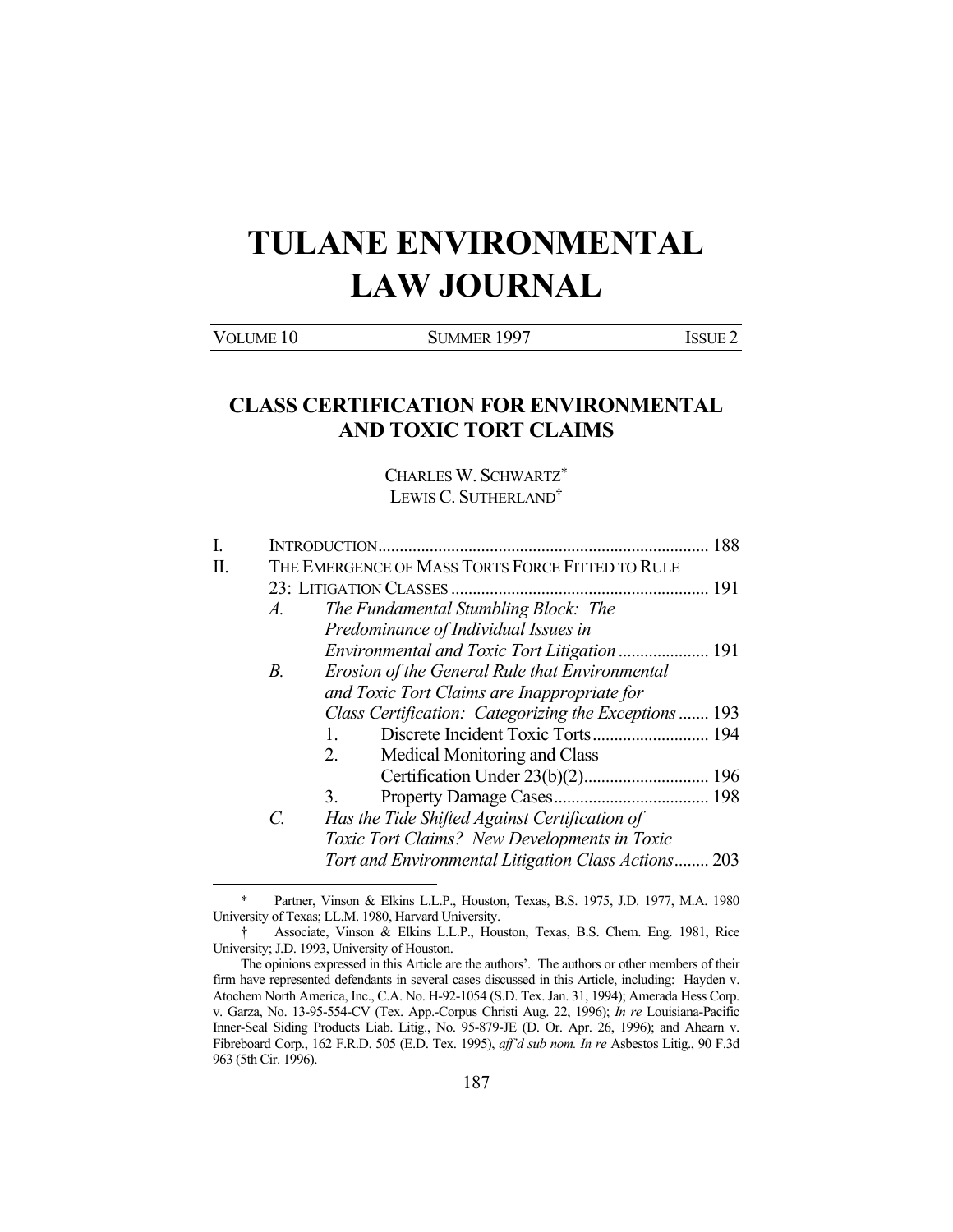# **TULANE ENVIRONMENTAL LAW JOURNAL**

VOLUME 10 SUMMER 1997 ISSUE 2

## **CLASS CERTIFICATION FOR ENVIRONMENTAL AND TOXIC TORT CLAIMS**

CHARLES W. SCHWARTZ\* LEWIS C. SUTHERLAND†

|  | 188              |                                                       |  |  |  |
|--|------------------|-------------------------------------------------------|--|--|--|
|  |                  | THE EMERGENCE OF MASS TORTS FORCE FITTED TO RULE      |  |  |  |
|  |                  |                                                       |  |  |  |
|  | $\mathcal{A}$ .  | The Fundamental Stumbling Block: The                  |  |  |  |
|  |                  | Predominance of Individual Issues in                  |  |  |  |
|  |                  |                                                       |  |  |  |
|  | В.               | Erosion of the General Rule that Environmental        |  |  |  |
|  |                  | and Toxic Tort Claims are Inappropriate for           |  |  |  |
|  |                  | Class Certification: Categorizing the Exceptions  193 |  |  |  |
|  |                  | $1_{-}$                                               |  |  |  |
|  |                  | Medical Monitoring and Class<br>2.                    |  |  |  |
|  |                  |                                                       |  |  |  |
|  |                  | 3.                                                    |  |  |  |
|  | $\overline{C}$ . | Has the Tide Shifted Against Certification of         |  |  |  |
|  |                  | Toxic Tort Claims? New Developments in Toxic          |  |  |  |
|  |                  | Tort and Environmental Litigation Class Actions 203   |  |  |  |
|  |                  |                                                       |  |  |  |
|  |                  |                                                       |  |  |  |

Partner, Vinson & Elkins L.L.P., Houston, Texas, B.S. 1975, J.D. 1977, M.A. 1980 University of Texas; LL.M. 1980, Harvard University.

 <sup>†</sup> Associate, Vinson & Elkins L.L.P., Houston, Texas, B.S. Chem. Eng. 1981, Rice University; J.D. 1993, University of Houston.

The opinions expressed in this Article are the authors'. The authors or other members of their firm have represented defendants in several cases discussed in this Article, including: Hayden v. Atochem North America, Inc., C.A. No. H-92-1054 (S.D. Tex. Jan. 31, 1994); Amerada Hess Corp. v. Garza, No. 13-95-554-CV (Tex. App.-Corpus Christi Aug. 22, 1996); *In re* Louisiana-Pacific Inner-Seal Siding Products Liab. Litig., No. 95-879-JE (D. Or. Apr. 26, 1996); and Ahearn v. Fibreboard Corp., 162 F.R.D. 505 (E.D. Tex. 1995), *aff'd sub nom. In re* Asbestos Litig., 90 F.3d 963 (5th Cir. 1996).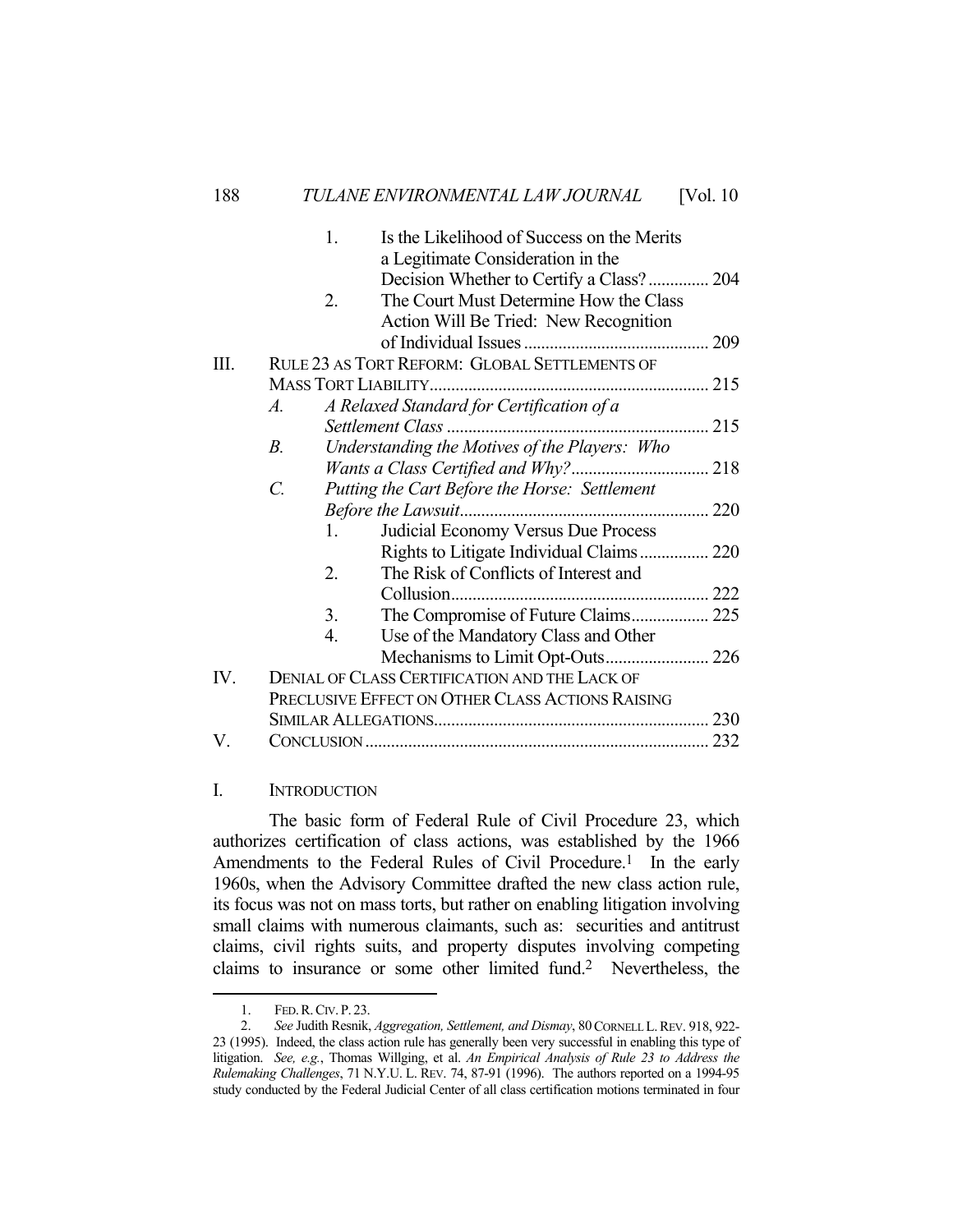|     |                                                  | 1. | Is the Likelihood of Success on the Merits    |  |  |
|-----|--------------------------------------------------|----|-----------------------------------------------|--|--|
|     |                                                  |    | a Legitimate Consideration in the             |  |  |
|     |                                                  |    | Decision Whether to Certify a Class? 204      |  |  |
|     |                                                  | 2. | The Court Must Determine How the Class        |  |  |
|     |                                                  |    | Action Will Be Tried: New Recognition         |  |  |
|     |                                                  |    |                                               |  |  |
| Ш.  |                                                  |    | RULE 23 AS TORT REFORM: GLOBAL SETTLEMENTS OF |  |  |
|     |                                                  |    |                                               |  |  |
|     | A.                                               |    | A Relaxed Standard for Certification of a     |  |  |
|     |                                                  |    |                                               |  |  |
|     | $B_{\cdot}$                                      |    | Understanding the Motives of the Players: Who |  |  |
|     |                                                  |    |                                               |  |  |
|     | $\mathcal{C}$ .                                  |    | Putting the Cart Before the Horse: Settlement |  |  |
|     |                                                  |    |                                               |  |  |
|     |                                                  | 1. | Judicial Economy Versus Due Process           |  |  |
|     |                                                  |    | Rights to Litigate Individual Claims 220      |  |  |
|     |                                                  | 2. | The Risk of Conflicts of Interest and         |  |  |
|     |                                                  |    |                                               |  |  |
|     |                                                  | 3. |                                               |  |  |
|     |                                                  | 4. | Use of the Mandatory Class and Other          |  |  |
|     |                                                  |    |                                               |  |  |
| IV. | DENIAL OF CLASS CERTIFICATION AND THE LACK OF    |    |                                               |  |  |
|     | PRECLUSIVE EFFECT ON OTHER CLASS ACTIONS RAISING |    |                                               |  |  |
|     |                                                  |    |                                               |  |  |
| V.  |                                                  |    |                                               |  |  |
|     |                                                  |    |                                               |  |  |

## I. INTRODUCTION

 The basic form of Federal Rule of Civil Procedure 23, which authorizes certification of class actions, was established by the 1966 Amendments to the Federal Rules of Civil Procedure.<sup>1</sup> In the early 1960s, when the Advisory Committee drafted the new class action rule, its focus was not on mass torts, but rather on enabling litigation involving small claims with numerous claimants, such as: securities and antitrust claims, civil rights suits, and property disputes involving competing claims to insurance or some other limited fund.2 Nevertheless, the

 <sup>1.</sup> FED.R.CIV. P. 23.

 <sup>2.</sup> *See* Judith Resnik, *Aggregation, Settlement, and Dismay*, 80CORNELL L.REV. 918, 922- 23 (1995). Indeed, the class action rule has generally been very successful in enabling this type of litigation. *See, e.g.*, Thomas Willging, et al. *An Empirical Analysis of Rule 23 to Address the Rulemaking Challenges*, 71 N.Y.U. L. REV. 74, 87-91 (1996). The authors reported on a 1994-95 study conducted by the Federal Judicial Center of all class certification motions terminated in four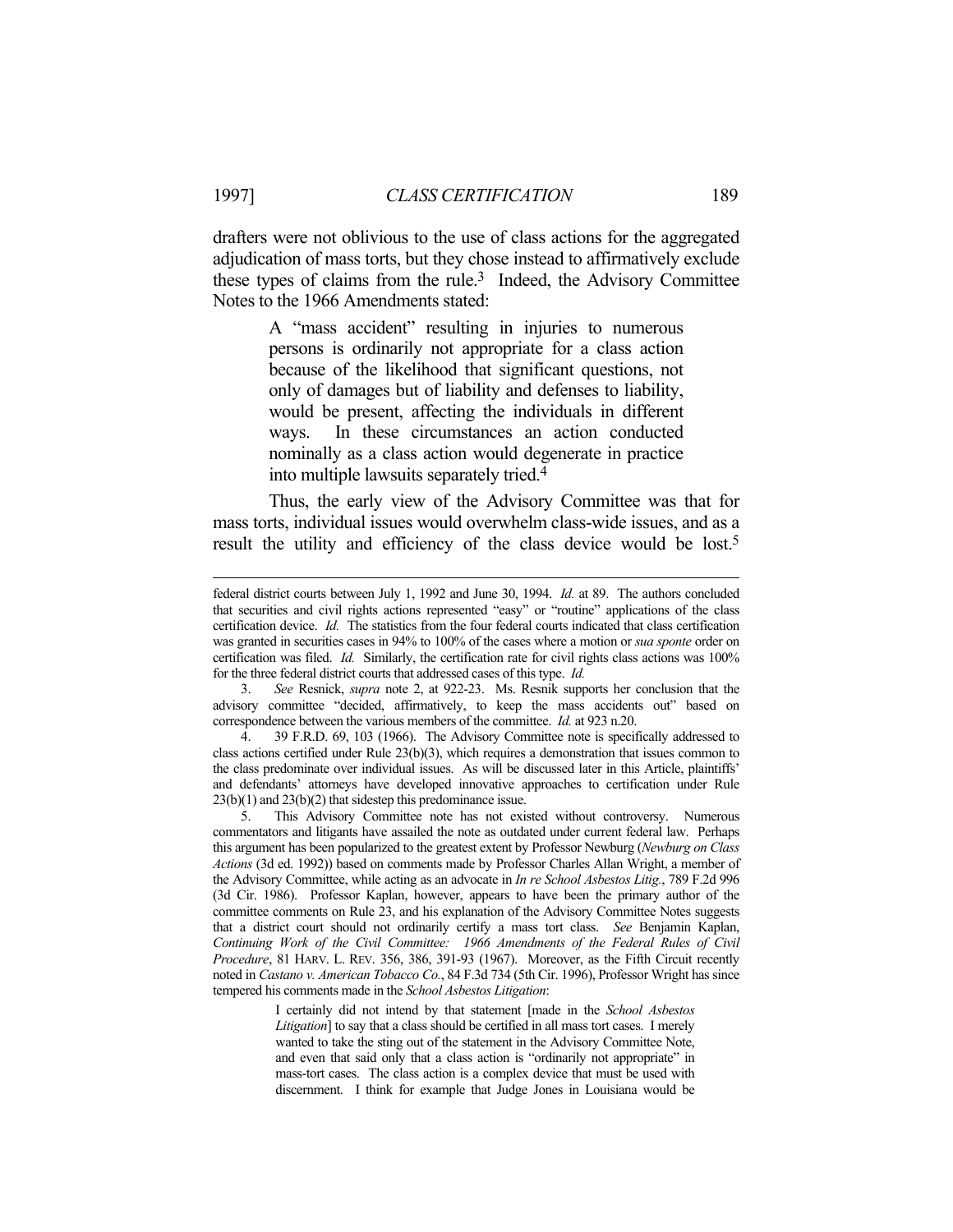drafters were not oblivious to the use of class actions for the aggregated adjudication of mass torts, but they chose instead to affirmatively exclude these types of claims from the rule. $3$  Indeed, the Advisory Committee Notes to the 1966 Amendments stated:

> A "mass accident" resulting in injuries to numerous persons is ordinarily not appropriate for a class action because of the likelihood that significant questions, not only of damages but of liability and defenses to liability, would be present, affecting the individuals in different ways. In these circumstances an action conducted nominally as a class action would degenerate in practice into multiple lawsuits separately tried.4

 Thus, the early view of the Advisory Committee was that for mass torts, individual issues would overwhelm class-wide issues, and as a result the utility and efficiency of the class device would be lost.5

 3. *See* Resnick, *supra* note 2, at 922-23. Ms. Resnik supports her conclusion that the advisory committee "decided, affirmatively, to keep the mass accidents out" based on correspondence between the various members of the committee. *Id.* at 923 n.20.

 4. 39 F.R.D. 69, 103 (1966). The Advisory Committee note is specifically addressed to class actions certified under Rule 23(b)(3), which requires a demonstration that issues common to the class predominate over individual issues. As will be discussed later in this Article, plaintiffs' and defendants' attorneys have developed innovative approaches to certification under Rule 23(b)(1) and 23(b)(2) that sidestep this predominance issue.

 5. This Advisory Committee note has not existed without controversy. Numerous commentators and litigants have assailed the note as outdated under current federal law. Perhaps this argument has been popularized to the greatest extent by Professor Newburg (*Newburg on Class Actions* (3d ed. 1992)) based on comments made by Professor Charles Allan Wright, a member of the Advisory Committee, while acting as an advocate in *In re School Asbestos Litig.*, 789 F.2d 996 (3d Cir. 1986). Professor Kaplan, however, appears to have been the primary author of the committee comments on Rule 23, and his explanation of the Advisory Committee Notes suggests that a district court should not ordinarily certify a mass tort class. *See* Benjamin Kaplan, *Continuing Work of the Civil Committee: 1966 Amendments of the Federal Rules of Civil Procedure*, 81 HARV. L. REV. 356, 386, 391-93 (1967). Moreover, as the Fifth Circuit recently noted in *Castano v. American Tobacco Co.*, 84 F.3d 734 (5th Cir. 1996), Professor Wright has since tempered his comments made in the *School Asbestos Litigation*:

> I certainly did not intend by that statement [made in the *School Asbestos Litigation*] to say that a class should be certified in all mass tort cases. I merely wanted to take the sting out of the statement in the Advisory Committee Note, and even that said only that a class action is "ordinarily not appropriate" in mass-tort cases. The class action is a complex device that must be used with discernment. I think for example that Judge Jones in Louisiana would be

federal district courts between July 1, 1992 and June 30, 1994. *Id.* at 89. The authors concluded that securities and civil rights actions represented "easy" or "routine" applications of the class certification device. *Id.* The statistics from the four federal courts indicated that class certification was granted in securities cases in 94% to 100% of the cases where a motion or *sua sponte* order on certification was filed. *Id.* Similarly, the certification rate for civil rights class actions was 100% for the three federal district courts that addressed cases of this type. *Id.*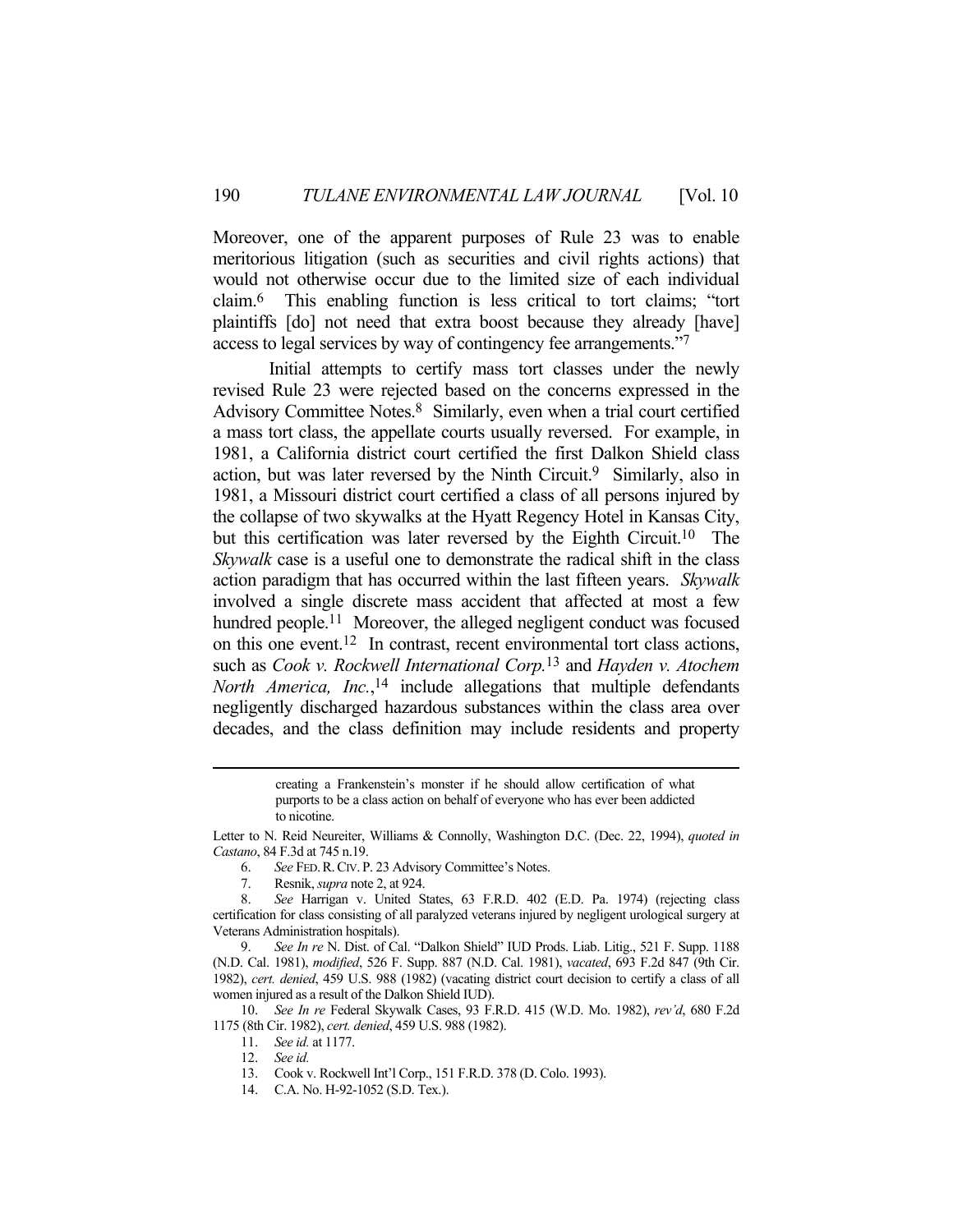Moreover, one of the apparent purposes of Rule 23 was to enable meritorious litigation (such as securities and civil rights actions) that would not otherwise occur due to the limited size of each individual claim.6 This enabling function is less critical to tort claims; "tort plaintiffs [do] not need that extra boost because they already [have] access to legal services by way of contingency fee arrangements."7

 Initial attempts to certify mass tort classes under the newly revised Rule 23 were rejected based on the concerns expressed in the Advisory Committee Notes.<sup>8</sup> Similarly, even when a trial court certified a mass tort class, the appellate courts usually reversed. For example, in 1981, a California district court certified the first Dalkon Shield class action, but was later reversed by the Ninth Circuit.<sup>9</sup> Similarly, also in 1981, a Missouri district court certified a class of all persons injured by the collapse of two skywalks at the Hyatt Regency Hotel in Kansas City, but this certification was later reversed by the Eighth Circuit. 10 The *Skywalk* case is a useful one to demonstrate the radical shift in the class action paradigm that has occurred within the last fifteen years. *Skywalk* involved a single discrete mass accident that affected at most a few hundred people.<sup>11</sup> Moreover, the alleged negligent conduct was focused on this one event.12 In contrast, recent environmental tort class actions, such as *Cook v. Rockwell International Corp.*13 and *Hayden v. Atochem North America, Inc.*, 14 include allegations that multiple defendants negligently discharged hazardous substances within the class area over decades, and the class definition may include residents and property

> creating a Frankenstein's monster if he should allow certification of what purports to be a class action on behalf of everyone who has ever been addicted to nicotine.

7. Resnik, *supra* note 2, at 924.

 10. *See In re* Federal Skywalk Cases, 93 F.R.D. 415 (W.D. Mo. 1982), *rev'd*, 680 F.2d 1175 (8th Cir. 1982), *cert. denied*, 459 U.S. 988 (1982).

Letter to N. Reid Neureiter, Williams & Connolly, Washington D.C. (Dec. 22, 1994), *quoted in Castano*, 84 F.3d at 745 n.19.

 <sup>6.</sup> *See* FED.R.CIV. P. 23 Advisory Committee's Notes.

 <sup>8.</sup> *See* Harrigan v. United States, 63 F.R.D. 402 (E.D. Pa. 1974) (rejecting class certification for class consisting of all paralyzed veterans injured by negligent urological surgery at Veterans Administration hospitals).

 <sup>9.</sup> *See In re* N. Dist. of Cal. "Dalkon Shield" IUD Prods. Liab. Litig., 521 F. Supp. 1188 (N.D. Cal. 1981), *modified*, 526 F. Supp. 887 (N.D. Cal. 1981), *vacated*, 693 F.2d 847 (9th Cir. 1982), *cert. denied*, 459 U.S. 988 (1982) (vacating district court decision to certify a class of all women injured as a result of the Dalkon Shield IUD).

 <sup>11.</sup> *See id.* at 1177.

 <sup>12.</sup> *See id.*

 <sup>13.</sup> Cook v. Rockwell Int'l Corp., 151 F.R.D. 378 (D. Colo. 1993).

 <sup>14.</sup> C.A. No. H-92-1052 (S.D. Tex.).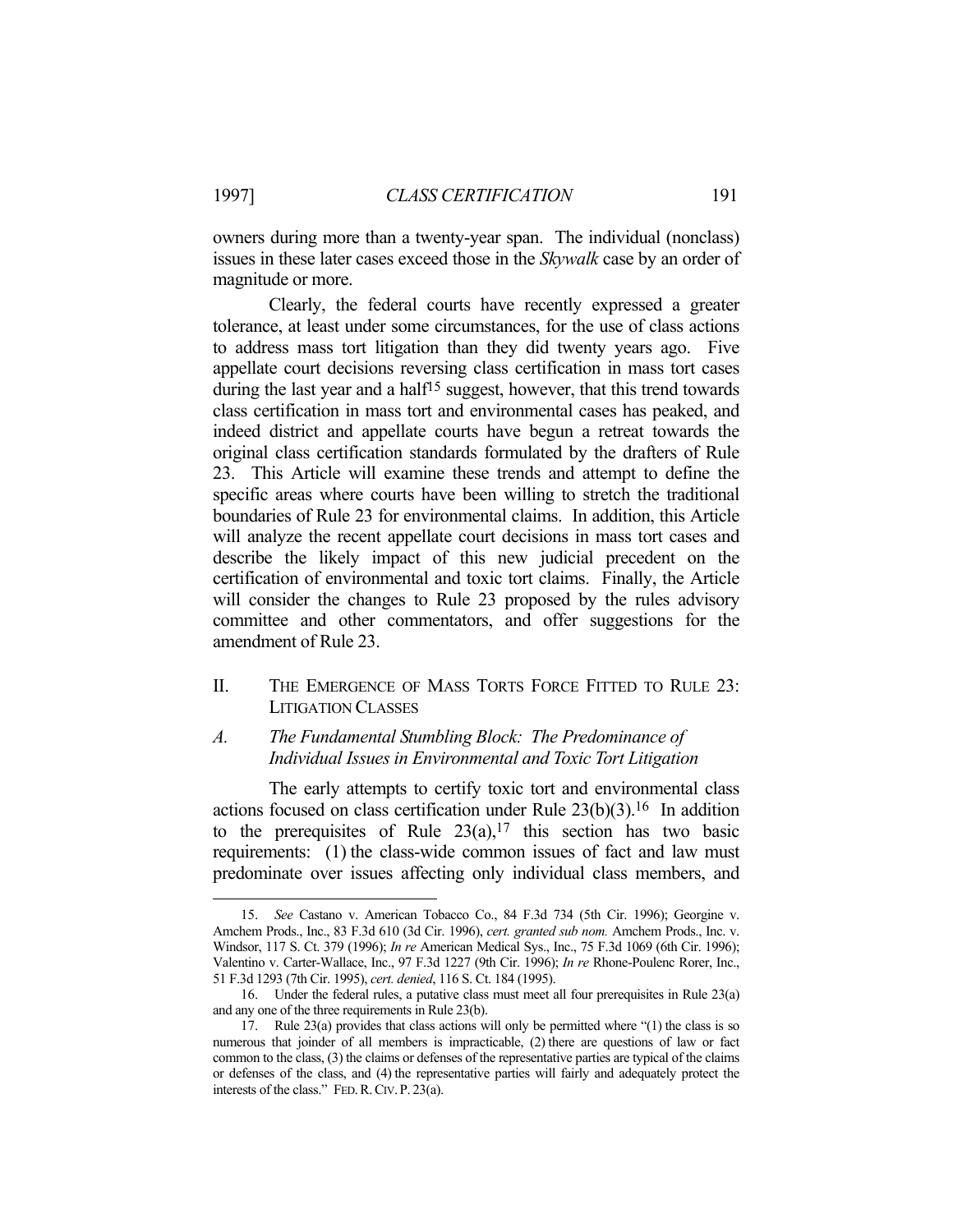owners during more than a twenty-year span. The individual (nonclass) issues in these later cases exceed those in the *Skywalk* case by an order of magnitude or more.

 Clearly, the federal courts have recently expressed a greater tolerance, at least under some circumstances, for the use of class actions to address mass tort litigation than they did twenty years ago. Five appellate court decisions reversing class certification in mass tort cases during the last year and a half<sup>15</sup> suggest, however, that this trend towards class certification in mass tort and environmental cases has peaked, and indeed district and appellate courts have begun a retreat towards the original class certification standards formulated by the drafters of Rule 23. This Article will examine these trends and attempt to define the specific areas where courts have been willing to stretch the traditional boundaries of Rule 23 for environmental claims. In addition, this Article will analyze the recent appellate court decisions in mass tort cases and describe the likely impact of this new judicial precedent on the certification of environmental and toxic tort claims. Finally, the Article will consider the changes to Rule 23 proposed by the rules advisory committee and other commentators, and offer suggestions for the amendment of Rule 23.

II. THE EMERGENCE OF MASS TORTS FORCE FITTED TO RULE 23: LITIGATION CLASSES

## *A. The Fundamental Stumbling Block: The Predominance of Individual Issues in Environmental and Toxic Tort Litigation*

 The early attempts to certify toxic tort and environmental class actions focused on class certification under Rule  $23(b)(3)$ .<sup>16</sup> In addition to the prerequisites of Rule  $23(a)$ ,<sup>17</sup> this section has two basic requirements: (1) the class-wide common issues of fact and law must predominate over issues affecting only individual class members, and

 <sup>15.</sup> *See* Castano v. American Tobacco Co., 84 F.3d 734 (5th Cir. 1996); Georgine v. Amchem Prods., Inc., 83 F.3d 610 (3d Cir. 1996), *cert. granted sub nom.* Amchem Prods., Inc. v. Windsor, 117 S. Ct. 379 (1996); *In re* American Medical Sys., Inc., 75 F.3d 1069 (6th Cir. 1996); Valentino v. Carter-Wallace, Inc., 97 F.3d 1227 (9th Cir. 1996); *In re* Rhone-Poulenc Rorer, Inc., 51 F.3d 1293 (7th Cir. 1995), *cert. denied*, 116 S. Ct. 184 (1995).

 <sup>16.</sup> Under the federal rules, a putative class must meet all four prerequisites in Rule 23(a) and any one of the three requirements in Rule 23(b).

 <sup>17.</sup> Rule 23(a) provides that class actions will only be permitted where "(1) the class is so numerous that joinder of all members is impracticable, (2) there are questions of law or fact common to the class, (3) the claims or defenses of the representative parties are typical of the claims or defenses of the class, and (4) the representative parties will fairly and adequately protect the interests of the class." FED.R.CIV. P. 23(a).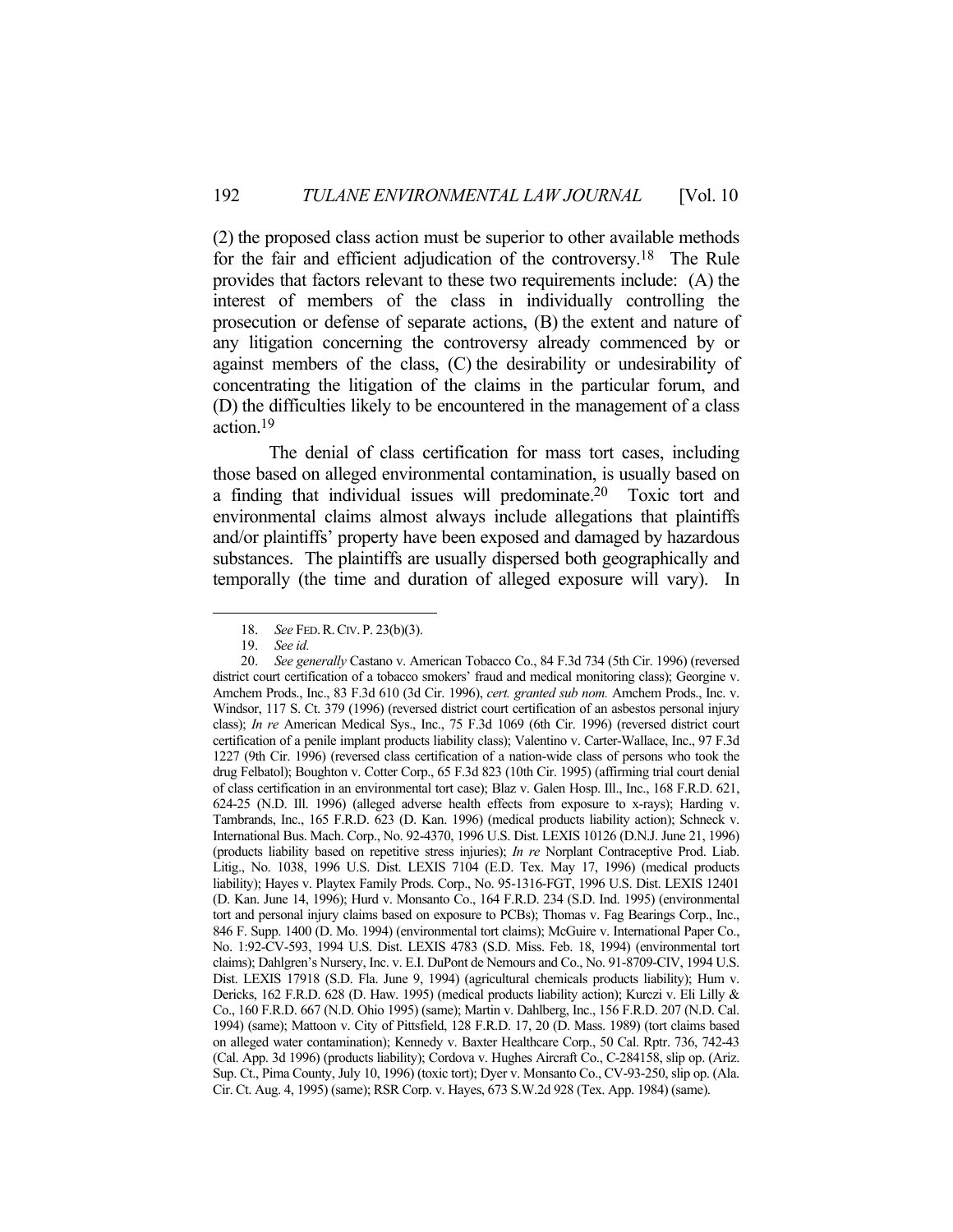(2) the proposed class action must be superior to other available methods for the fair and efficient adjudication of the controversy.18 The Rule provides that factors relevant to these two requirements include: (A) the interest of members of the class in individually controlling the prosecution or defense of separate actions, (B) the extent and nature of any litigation concerning the controversy already commenced by or against members of the class, (C) the desirability or undesirability of concentrating the litigation of the claims in the particular forum, and (D) the difficulties likely to be encountered in the management of a class action.19

 The denial of class certification for mass tort cases, including those based on alleged environmental contamination, is usually based on a finding that individual issues will predominate.20 Toxic tort and environmental claims almost always include allegations that plaintiffs and/or plaintiffs' property have been exposed and damaged by hazardous substances. The plaintiffs are usually dispersed both geographically and temporally (the time and duration of alleged exposure will vary). In

 <sup>18.</sup> *See* FED.R.CIV. P. 23(b)(3).

 <sup>19.</sup> *See id.*

 <sup>20.</sup> *See generally* Castano v. American Tobacco Co., 84 F.3d 734 (5th Cir. 1996) (reversed district court certification of a tobacco smokers' fraud and medical monitoring class); Georgine v. Amchem Prods., Inc., 83 F.3d 610 (3d Cir. 1996), *cert. granted sub nom.* Amchem Prods., Inc. v. Windsor, 117 S. Ct. 379 (1996) (reversed district court certification of an asbestos personal injury class); *In re* American Medical Sys., Inc., 75 F.3d 1069 (6th Cir. 1996) (reversed district court certification of a penile implant products liability class); Valentino v. Carter-Wallace, Inc., 97 F.3d 1227 (9th Cir. 1996) (reversed class certification of a nation-wide class of persons who took the drug Felbatol); Boughton v. Cotter Corp., 65 F.3d 823 (10th Cir. 1995) (affirming trial court denial of class certification in an environmental tort case); Blaz v. Galen Hosp. Ill., Inc., 168 F.R.D. 621, 624-25 (N.D. Ill. 1996) (alleged adverse health effects from exposure to x-rays); Harding v. Tambrands, Inc., 165 F.R.D. 623 (D. Kan. 1996) (medical products liability action); Schneck v. International Bus. Mach. Corp., No. 92-4370, 1996 U.S. Dist. LEXIS 10126 (D.N.J. June 21, 1996) (products liability based on repetitive stress injuries); *In re* Norplant Contraceptive Prod. Liab. Litig., No. 1038, 1996 U.S. Dist. LEXIS 7104 (E.D. Tex. May 17, 1996) (medical products liability); Hayes v. Playtex Family Prods. Corp., No. 95-1316-FGT, 1996 U.S. Dist. LEXIS 12401 (D. Kan. June 14, 1996); Hurd v. Monsanto Co., 164 F.R.D. 234 (S.D. Ind. 1995) (environmental tort and personal injury claims based on exposure to PCBs); Thomas v. Fag Bearings Corp., Inc., 846 F. Supp. 1400 (D. Mo. 1994) (environmental tort claims); McGuire v. International Paper Co., No. 1:92-CV-593, 1994 U.S. Dist. LEXIS 4783 (S.D. Miss. Feb. 18, 1994) (environmental tort claims); Dahlgren's Nursery, Inc. v. E.I. DuPont de Nemours and Co., No. 91-8709-CIV, 1994 U.S. Dist. LEXIS 17918 (S.D. Fla. June 9, 1994) (agricultural chemicals products liability); Hum v. Dericks, 162 F.R.D. 628 (D. Haw. 1995) (medical products liability action); Kurczi v. Eli Lilly & Co., 160 F.R.D. 667 (N.D. Ohio 1995) (same); Martin v. Dahlberg, Inc., 156 F.R.D. 207 (N.D. Cal. 1994) (same); Mattoon v. City of Pittsfield, 128 F.R.D. 17, 20 (D. Mass. 1989) (tort claims based on alleged water contamination); Kennedy v. Baxter Healthcare Corp., 50 Cal. Rptr. 736, 742-43 (Cal. App. 3d 1996) (products liability); Cordova v. Hughes Aircraft Co., C-284158, slip op. (Ariz. Sup. Ct., Pima County, July 10, 1996) (toxic tort); Dyer v. Monsanto Co., CV-93-250, slip op. (Ala. Cir. Ct. Aug. 4, 1995) (same); RSR Corp. v. Hayes, 673 S.W.2d 928 (Tex. App. 1984) (same).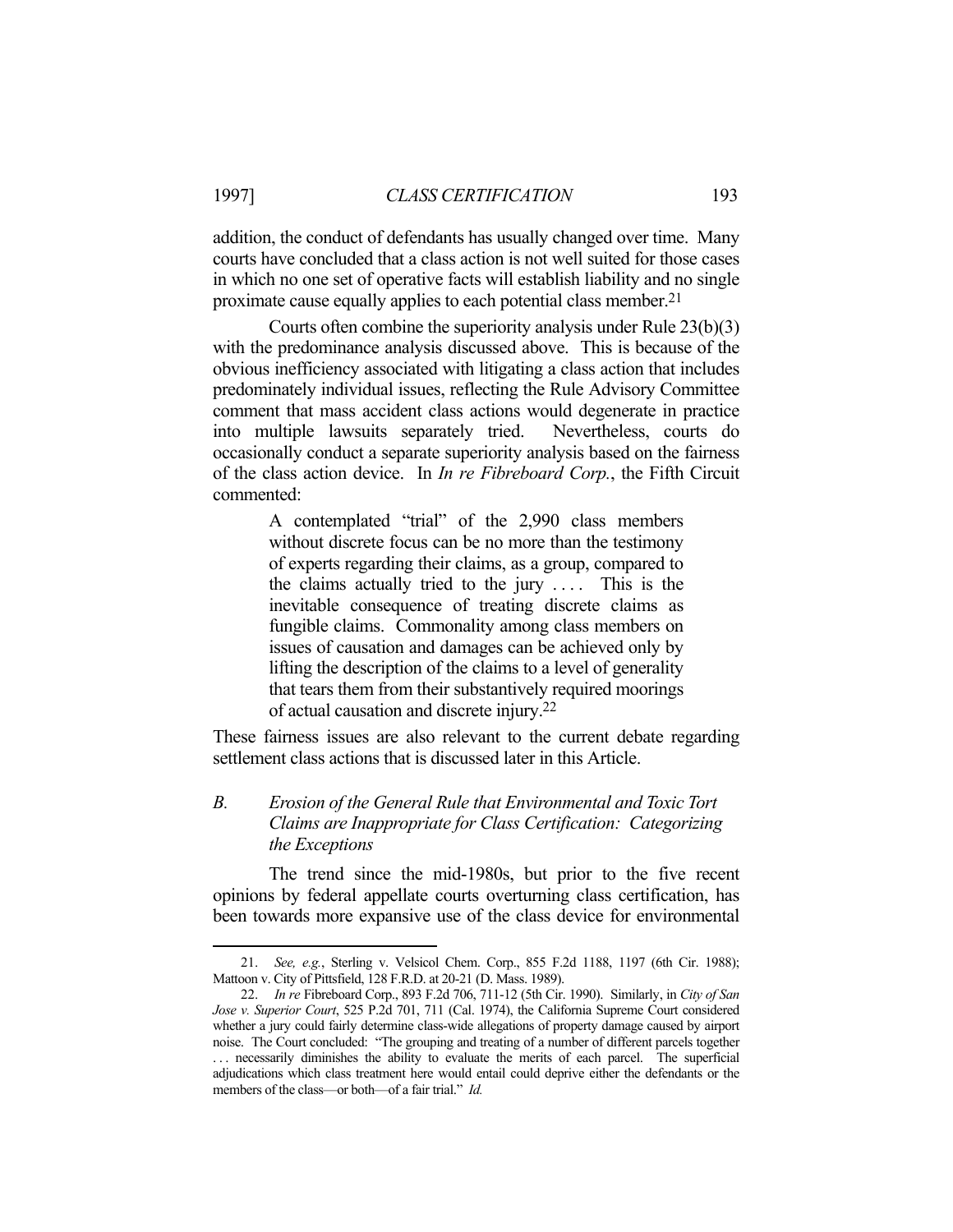addition, the conduct of defendants has usually changed over time. Many courts have concluded that a class action is not well suited for those cases in which no one set of operative facts will establish liability and no single proximate cause equally applies to each potential class member.21

 Courts often combine the superiority analysis under Rule 23(b)(3) with the predominance analysis discussed above. This is because of the obvious inefficiency associated with litigating a class action that includes predominately individual issues, reflecting the Rule Advisory Committee comment that mass accident class actions would degenerate in practice into multiple lawsuits separately tried. Nevertheless, courts do occasionally conduct a separate superiority analysis based on the fairness of the class action device. In *In re Fibreboard Corp.*, the Fifth Circuit commented:

> A contemplated "trial" of the 2,990 class members without discrete focus can be no more than the testimony of experts regarding their claims, as a group, compared to the claims actually tried to the jury  $\ldots$ . This is the inevitable consequence of treating discrete claims as fungible claims. Commonality among class members on issues of causation and damages can be achieved only by lifting the description of the claims to a level of generality that tears them from their substantively required moorings of actual causation and discrete injury.22

These fairness issues are also relevant to the current debate regarding settlement class actions that is discussed later in this Article.

## *B. Erosion of the General Rule that Environmental and Toxic Tort Claims are Inappropriate for Class Certification: Categorizing the Exceptions*

 The trend since the mid-1980s, but prior to the five recent opinions by federal appellate courts overturning class certification, has been towards more expansive use of the class device for environmental

 <sup>21.</sup> *See, e.g.*, Sterling v. Velsicol Chem. Corp., 855 F.2d 1188, 1197 (6th Cir. 1988); Mattoon v. City of Pittsfield, 128 F.R.D. at 20-21 (D. Mass. 1989).

 <sup>22.</sup> *In re* Fibreboard Corp., 893 F.2d 706, 711-12 (5th Cir. 1990). Similarly, in *City of San Jose v. Superior Court*, 525 P.2d 701, 711 (Cal. 1974), the California Supreme Court considered whether a jury could fairly determine class-wide allegations of property damage caused by airport noise. The Court concluded: "The grouping and treating of a number of different parcels together . . . necessarily diminishes the ability to evaluate the merits of each parcel. The superficial adjudications which class treatment here would entail could deprive either the defendants or the members of the class—or both—of a fair trial." *Id.*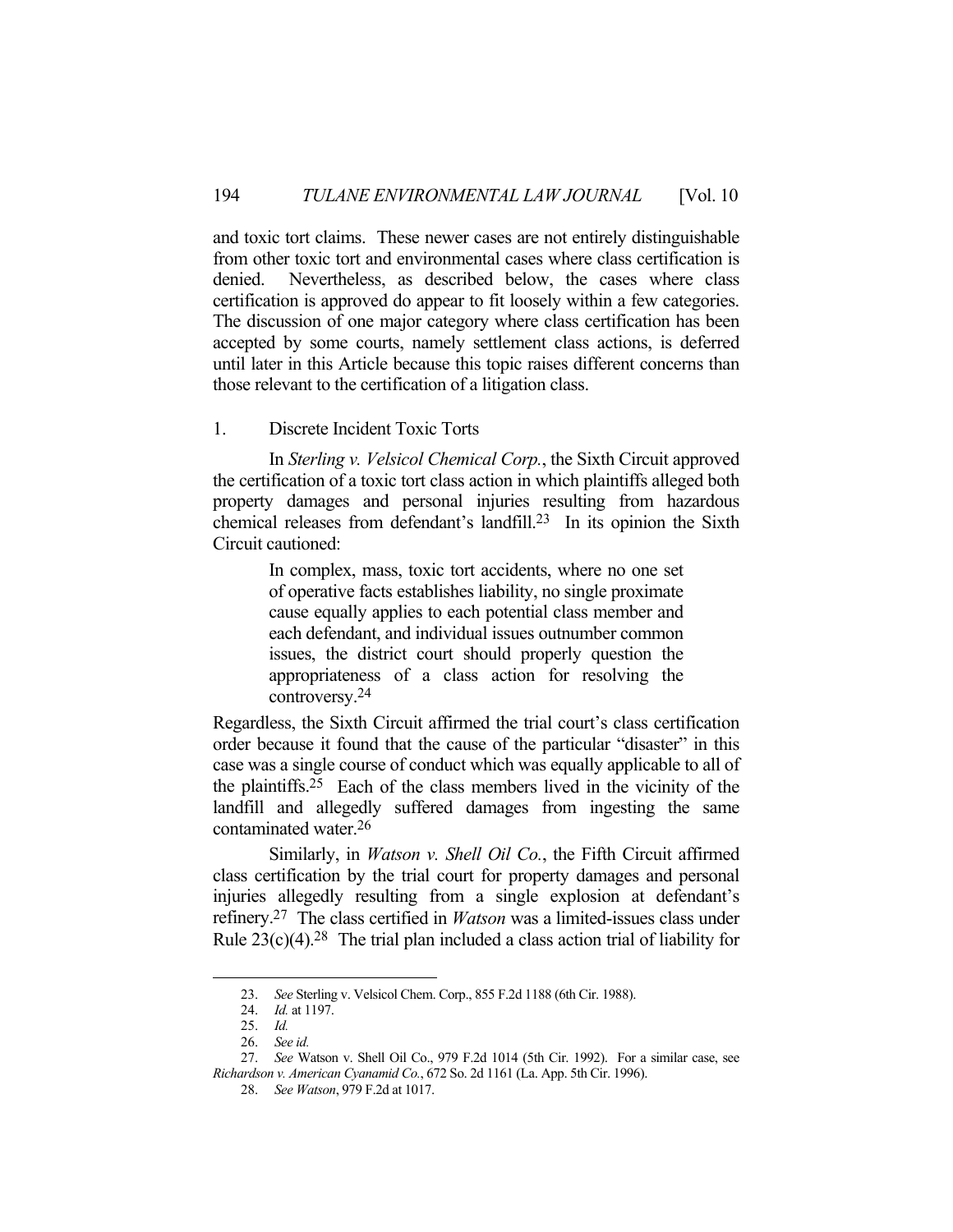and toxic tort claims. These newer cases are not entirely distinguishable from other toxic tort and environmental cases where class certification is denied. Nevertheless, as described below, the cases where class certification is approved do appear to fit loosely within a few categories. The discussion of one major category where class certification has been accepted by some courts, namely settlement class actions, is deferred until later in this Article because this topic raises different concerns than those relevant to the certification of a litigation class.

## 1. Discrete Incident Toxic Torts

 In *Sterling v. Velsicol Chemical Corp.*, the Sixth Circuit approved the certification of a toxic tort class action in which plaintiffs alleged both property damages and personal injuries resulting from hazardous chemical releases from defendant's landfill.23 In its opinion the Sixth Circuit cautioned:

> In complex, mass, toxic tort accidents, where no one set of operative facts establishes liability, no single proximate cause equally applies to each potential class member and each defendant, and individual issues outnumber common issues, the district court should properly question the appropriateness of a class action for resolving the controversy.24

Regardless, the Sixth Circuit affirmed the trial court's class certification order because it found that the cause of the particular "disaster" in this case was a single course of conduct which was equally applicable to all of the plaintiffs.25 Each of the class members lived in the vicinity of the landfill and allegedly suffered damages from ingesting the same contaminated water.26

 Similarly, in *Watson v. Shell Oil Co.*, the Fifth Circuit affirmed class certification by the trial court for property damages and personal injuries allegedly resulting from a single explosion at defendant's refinery.27 The class certified in *Watson* was a limited-issues class under Rule  $23(c)(4)$ .<sup>28</sup> The trial plan included a class action trial of liability for

 <sup>23.</sup> *See* Sterling v. Velsicol Chem. Corp., 855 F.2d 1188 (6th Cir. 1988).

 <sup>24.</sup> *Id.* at 1197.

 <sup>25.</sup> *Id.*

 <sup>26.</sup> *See id.*

 <sup>27.</sup> *See* Watson v. Shell Oil Co., 979 F.2d 1014 (5th Cir. 1992). For a similar case, see *Richardson v. American Cyanamid Co.*, 672 So. 2d 1161 (La. App. 5th Cir. 1996).

 <sup>28.</sup> *See Watson*, 979 F.2d at 1017.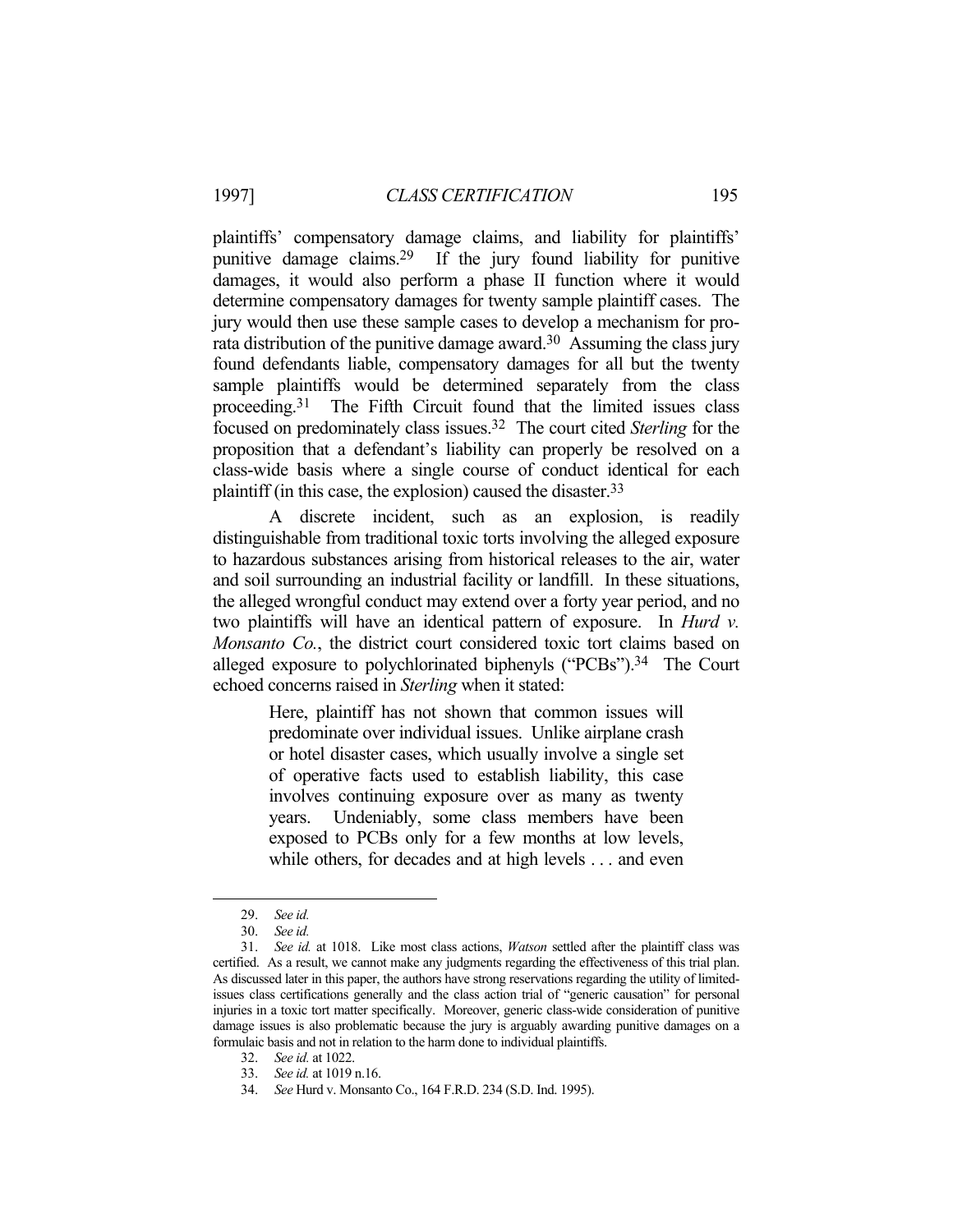plaintiffs' compensatory damage claims, and liability for plaintiffs' punitive damage claims.29 If the jury found liability for punitive damages, it would also perform a phase II function where it would determine compensatory damages for twenty sample plaintiff cases. The jury would then use these sample cases to develop a mechanism for prorata distribution of the punitive damage award.<sup>30</sup> Assuming the class jury found defendants liable, compensatory damages for all but the twenty sample plaintiffs would be determined separately from the class proceeding.31 The Fifth Circuit found that the limited issues class focused on predominately class issues.32 The court cited *Sterling* for the proposition that a defendant's liability can properly be resolved on a class-wide basis where a single course of conduct identical for each plaintiff (in this case, the explosion) caused the disaster.33

 A discrete incident, such as an explosion, is readily distinguishable from traditional toxic torts involving the alleged exposure to hazardous substances arising from historical releases to the air, water and soil surrounding an industrial facility or landfill. In these situations, the alleged wrongful conduct may extend over a forty year period, and no two plaintiffs will have an identical pattern of exposure. In *Hurd v. Monsanto Co.*, the district court considered toxic tort claims based on alleged exposure to polychlorinated biphenyls ("PCBs").<sup>34</sup> The Court echoed concerns raised in *Sterling* when it stated:

> Here, plaintiff has not shown that common issues will predominate over individual issues. Unlike airplane crash or hotel disaster cases, which usually involve a single set of operative facts used to establish liability, this case involves continuing exposure over as many as twenty years. Undeniably, some class members have been exposed to PCBs only for a few months at low levels, while others, for decades and at high levels . . . and even

 <sup>29.</sup> *See id.*

 <sup>30.</sup> *See id.*

 <sup>31.</sup> *See id.* at 1018. Like most class actions, *Watson* settled after the plaintiff class was certified. As a result, we cannot make any judgments regarding the effectiveness of this trial plan. As discussed later in this paper, the authors have strong reservations regarding the utility of limitedissues class certifications generally and the class action trial of "generic causation" for personal injuries in a toxic tort matter specifically. Moreover, generic class-wide consideration of punitive damage issues is also problematic because the jury is arguably awarding punitive damages on a formulaic basis and not in relation to the harm done to individual plaintiffs.

 <sup>32.</sup> *See id.* at 1022.

 <sup>33.</sup> *See id.* at 1019 n.16.

 <sup>34.</sup> *See* Hurd v. Monsanto Co., 164 F.R.D. 234 (S.D. Ind. 1995).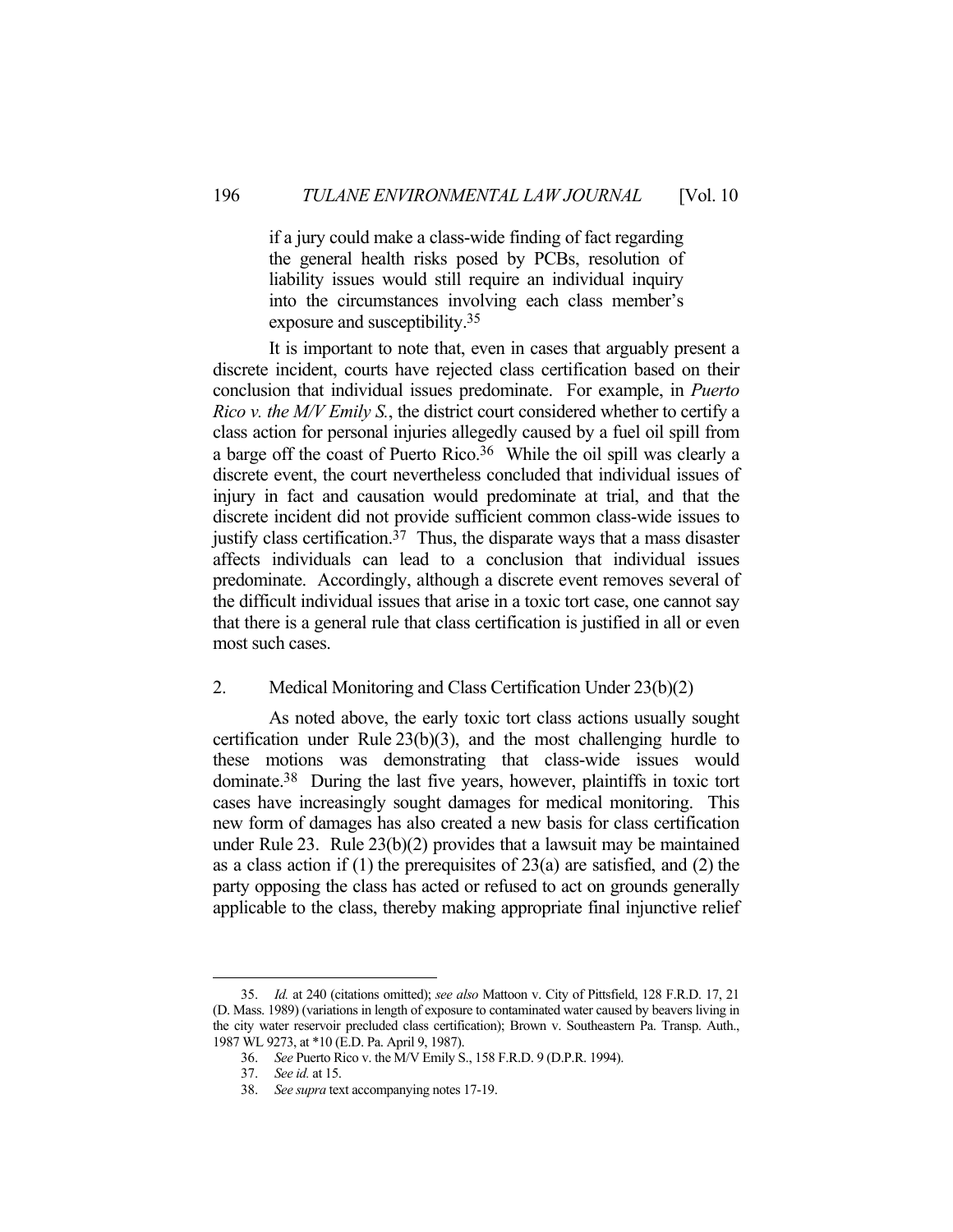if a jury could make a class-wide finding of fact regarding the general health risks posed by PCBs, resolution of liability issues would still require an individual inquiry into the circumstances involving each class member's exposure and susceptibility.35

 It is important to note that, even in cases that arguably present a discrete incident, courts have rejected class certification based on their conclusion that individual issues predominate. For example, in *Puerto Rico v. the M/V Emily S.*, the district court considered whether to certify a class action for personal injuries allegedly caused by a fuel oil spill from a barge off the coast of Puerto Rico.36 While the oil spill was clearly a discrete event, the court nevertheless concluded that individual issues of injury in fact and causation would predominate at trial, and that the discrete incident did not provide sufficient common class-wide issues to justify class certification.<sup>37</sup> Thus, the disparate ways that a mass disaster affects individuals can lead to a conclusion that individual issues predominate. Accordingly, although a discrete event removes several of the difficult individual issues that arise in a toxic tort case, one cannot say that there is a general rule that class certification is justified in all or even most such cases.

## 2. Medical Monitoring and Class Certification Under 23(b)(2)

 As noted above, the early toxic tort class actions usually sought certification under Rule 23(b)(3), and the most challenging hurdle to these motions was demonstrating that class-wide issues would dominate.38 During the last five years, however, plaintiffs in toxic tort cases have increasingly sought damages for medical monitoring. This new form of damages has also created a new basis for class certification under Rule 23. Rule 23(b)(2) provides that a lawsuit may be maintained as a class action if  $(1)$  the prerequisites of  $23(a)$  are satisfied, and  $(2)$  the party opposing the class has acted or refused to act on grounds generally applicable to the class, thereby making appropriate final injunctive relief

 <sup>35.</sup> *Id.* at 240 (citations omitted); *see also* Mattoon v. City of Pittsfield, 128 F.R.D. 17, 21 (D. Mass. 1989) (variations in length of exposure to contaminated water caused by beavers living in the city water reservoir precluded class certification); Brown v. Southeastern Pa. Transp. Auth., 1987 WL 9273, at \*10 (E.D. Pa. April 9, 1987).

 <sup>36.</sup> *See* Puerto Rico v. the M/V Emily S., 158 F.R.D. 9 (D.P.R. 1994).

 <sup>37.</sup> *See id.* at 15.

 <sup>38.</sup> *See supra* text accompanying notes 17-19.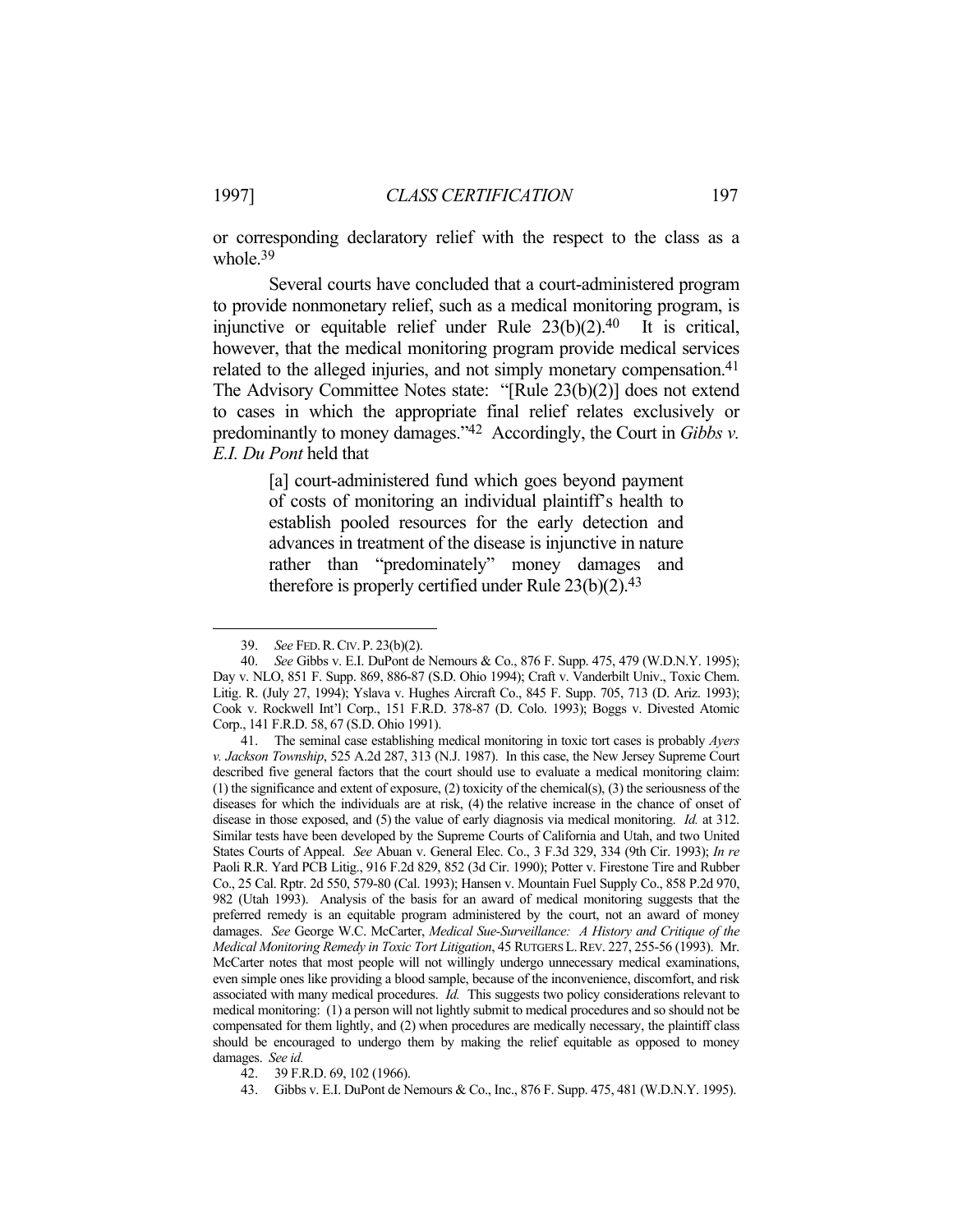1

or corresponding declaratory relief with the respect to the class as a whole.39

 Several courts have concluded that a court-administered program to provide nonmonetary relief, such as a medical monitoring program, is injunctive or equitable relief under Rule  $23(b)(2).40$  It is critical, however, that the medical monitoring program provide medical services related to the alleged injuries, and not simply monetary compensation.<sup>41</sup> The Advisory Committee Notes state: "[Rule 23(b)(2)] does not extend to cases in which the appropriate final relief relates exclusively or predominantly to money damages."42 Accordingly, the Court in *Gibbs v. E.I. Du Pont* held that

> [a] court-administered fund which goes beyond payment of costs of monitoring an individual plaintiff's health to establish pooled resources for the early detection and advances in treatment of the disease is injunctive in nature rather than "predominately" money damages and therefore is properly certified under Rule  $23(b)(2).43$

 <sup>39.</sup> *See* FED.R.CIV. P. 23(b)(2).

 <sup>40.</sup> *See* Gibbs v. E.I. DuPont de Nemours & Co., 876 F. Supp. 475, 479 (W.D.N.Y. 1995); Day v. NLO, 851 F. Supp. 869, 886-87 (S.D. Ohio 1994); Craft v. Vanderbilt Univ., Toxic Chem. Litig. R. (July 27, 1994); Yslava v. Hughes Aircraft Co., 845 F. Supp. 705, 713 (D. Ariz. 1993); Cook v. Rockwell Int'l Corp., 151 F.R.D. 378-87 (D. Colo. 1993); Boggs v. Divested Atomic Corp., 141 F.R.D. 58, 67 (S.D. Ohio 1991).

 <sup>41.</sup> The seminal case establishing medical monitoring in toxic tort cases is probably *Ayers v. Jackson Township*, 525 A.2d 287, 313 (N.J. 1987). In this case, the New Jersey Supreme Court described five general factors that the court should use to evaluate a medical monitoring claim: (1) the significance and extent of exposure, (2) toxicity of the chemical(s), (3) the seriousness of the diseases for which the individuals are at risk, (4) the relative increase in the chance of onset of disease in those exposed, and (5) the value of early diagnosis via medical monitoring. *Id.* at 312. Similar tests have been developed by the Supreme Courts of California and Utah, and two United States Courts of Appeal. *See* Abuan v. General Elec. Co., 3 F.3d 329, 334 (9th Cir. 1993); *In re* Paoli R.R. Yard PCB Litig., 916 F.2d 829, 852 (3d Cir. 1990); Potter v. Firestone Tire and Rubber Co., 25 Cal. Rptr. 2d 550, 579-80 (Cal. 1993); Hansen v. Mountain Fuel Supply Co., 858 P.2d 970, 982 (Utah 1993). Analysis of the basis for an award of medical monitoring suggests that the preferred remedy is an equitable program administered by the court, not an award of money damages. *See* George W.C. McCarter, *Medical Sue-Surveillance: A History and Critique of the Medical Monitoring Remedy in Toxic Tort Litigation*, 45 RUTGERS L.REV. 227, 255-56 (1993). Mr. McCarter notes that most people will not willingly undergo unnecessary medical examinations, even simple ones like providing a blood sample, because of the inconvenience, discomfort, and risk associated with many medical procedures. *Id.* This suggests two policy considerations relevant to medical monitoring: (1) a person will not lightly submit to medical procedures and so should not be compensated for them lightly, and (2) when procedures are medically necessary, the plaintiff class should be encouraged to undergo them by making the relief equitable as opposed to money damages. *See id.*

 <sup>42. 39</sup> F.R.D. 69, 102 (1966).

 <sup>43.</sup> Gibbs v. E.I. DuPont de Nemours & Co., Inc., 876 F. Supp. 475, 481 (W.D.N.Y. 1995).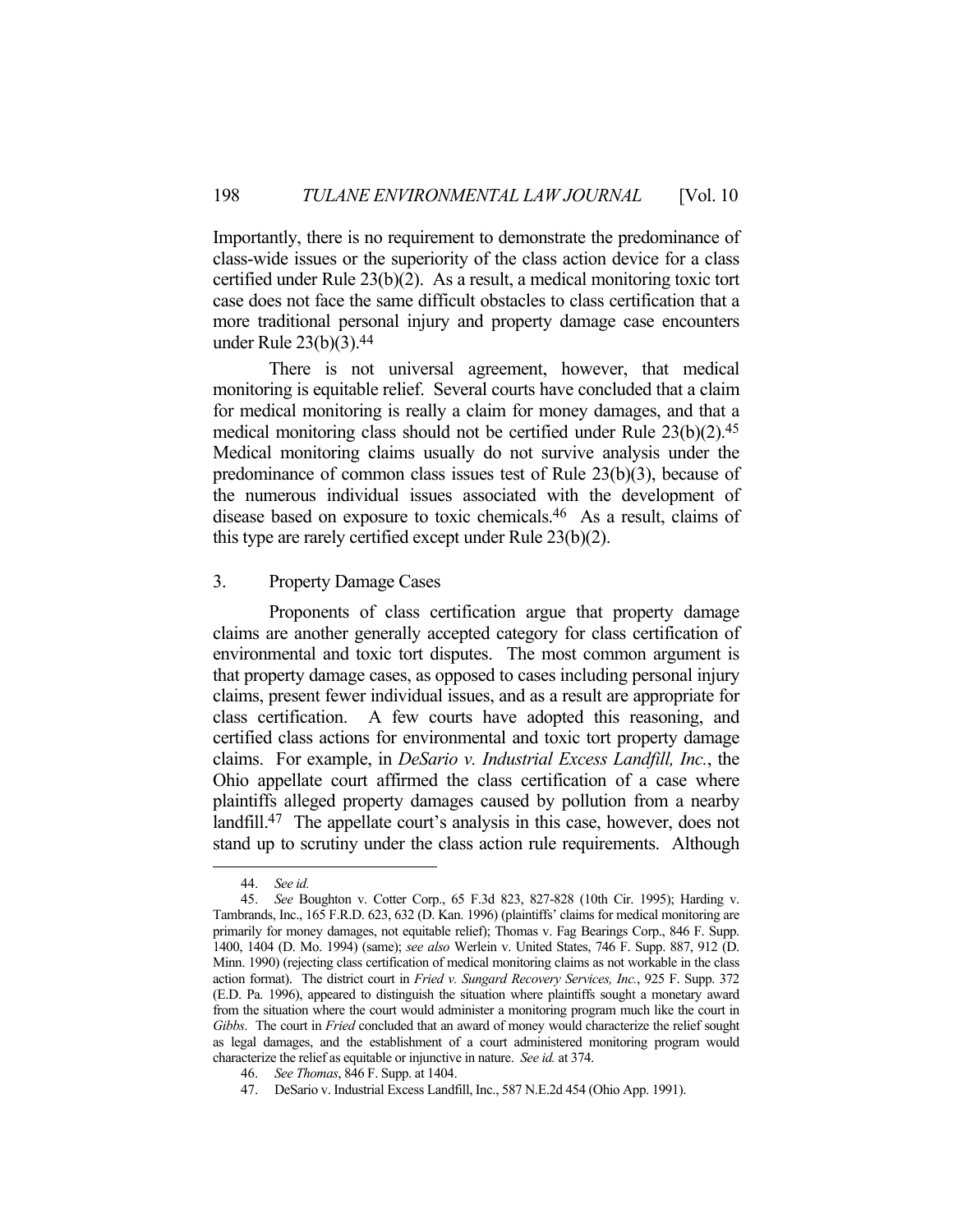Importantly, there is no requirement to demonstrate the predominance of class-wide issues or the superiority of the class action device for a class certified under Rule 23(b)(2). As a result, a medical monitoring toxic tort case does not face the same difficult obstacles to class certification that a more traditional personal injury and property damage case encounters under Rule 23(b)(3).44

 There is not universal agreement, however, that medical monitoring is equitable relief. Several courts have concluded that a claim for medical monitoring is really a claim for money damages, and that a medical monitoring class should not be certified under Rule 23(b)(2).45 Medical monitoring claims usually do not survive analysis under the predominance of common class issues test of Rule 23(b)(3), because of the numerous individual issues associated with the development of disease based on exposure to toxic chemicals.46 As a result, claims of this type are rarely certified except under Rule 23(b)(2).

## 3. Property Damage Cases

 Proponents of class certification argue that property damage claims are another generally accepted category for class certification of environmental and toxic tort disputes. The most common argument is that property damage cases, as opposed to cases including personal injury claims, present fewer individual issues, and as a result are appropriate for class certification. A few courts have adopted this reasoning, and certified class actions for environmental and toxic tort property damage claims. For example, in *DeSario v. Industrial Excess Landfill, Inc.*, the Ohio appellate court affirmed the class certification of a case where plaintiffs alleged property damages caused by pollution from a nearby landfill.47 The appellate court's analysis in this case, however, does not stand up to scrutiny under the class action rule requirements. Although

 <sup>44.</sup> *See id.*

 <sup>45.</sup> *See* Boughton v. Cotter Corp., 65 F.3d 823, 827-828 (10th Cir. 1995); Harding v. Tambrands, Inc., 165 F.R.D. 623, 632 (D. Kan. 1996) (plaintiffs' claims for medical monitoring are primarily for money damages, not equitable relief); Thomas v. Fag Bearings Corp., 846 F. Supp. 1400, 1404 (D. Mo. 1994) (same); *see also* Werlein v. United States, 746 F. Supp. 887, 912 (D. Minn. 1990) (rejecting class certification of medical monitoring claims as not workable in the class action format). The district court in *Fried v. Sungard Recovery Services, Inc.*, 925 F. Supp. 372 (E.D. Pa. 1996), appeared to distinguish the situation where plaintiffs sought a monetary award from the situation where the court would administer a monitoring program much like the court in *Gibbs*. The court in *Fried* concluded that an award of money would characterize the relief sought as legal damages, and the establishment of a court administered monitoring program would characterize the relief as equitable or injunctive in nature. *See id.* at 374.

 <sup>46.</sup> *See Thomas*, 846 F. Supp. at 1404.

 <sup>47.</sup> DeSario v. Industrial Excess Landfill, Inc., 587 N.E.2d 454 (Ohio App. 1991).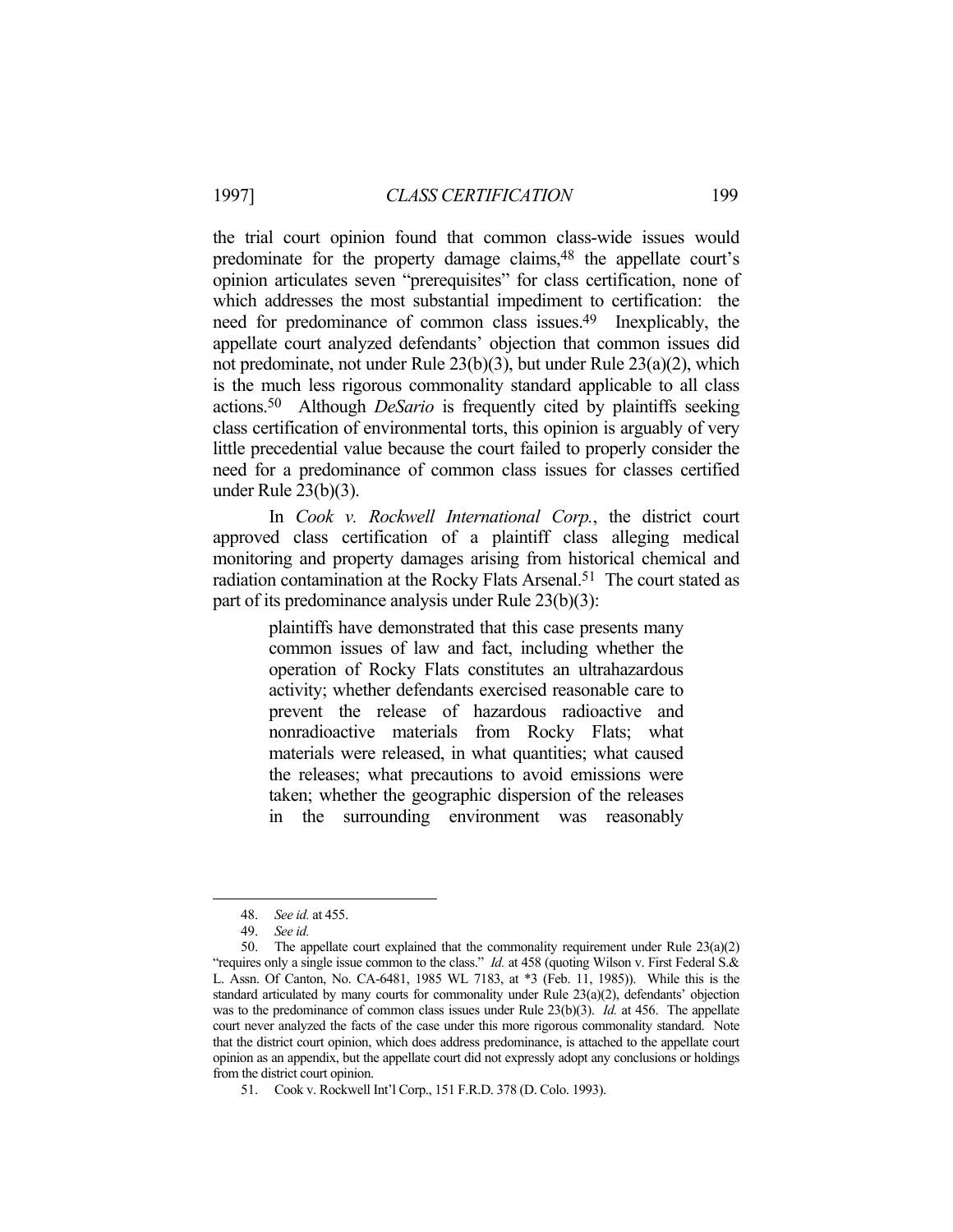the trial court opinion found that common class-wide issues would predominate for the property damage claims,48 the appellate court's opinion articulates seven "prerequisites" for class certification, none of which addresses the most substantial impediment to certification: the need for predominance of common class issues.49 Inexplicably, the appellate court analyzed defendants' objection that common issues did not predominate, not under Rule 23(b)(3), but under Rule 23(a)(2), which is the much less rigorous commonality standard applicable to all class actions.50 Although *DeSario* is frequently cited by plaintiffs seeking class certification of environmental torts, this opinion is arguably of very little precedential value because the court failed to properly consider the need for a predominance of common class issues for classes certified under Rule 23(b)(3).

 In *Cook v. Rockwell International Corp.*, the district court approved class certification of a plaintiff class alleging medical monitoring and property damages arising from historical chemical and radiation contamination at the Rocky Flats Arsenal.<sup>51</sup> The court stated as part of its predominance analysis under Rule 23(b)(3):

> plaintiffs have demonstrated that this case presents many common issues of law and fact, including whether the operation of Rocky Flats constitutes an ultrahazardous activity; whether defendants exercised reasonable care to prevent the release of hazardous radioactive and nonradioactive materials from Rocky Flats; what materials were released, in what quantities; what caused the releases; what precautions to avoid emissions were taken; whether the geographic dispersion of the releases in the surrounding environment was reasonably

 <sup>48.</sup> *See id.* at 455.

 <sup>49.</sup> *See id.*

 <sup>50.</sup> The appellate court explained that the commonality requirement under Rule 23(a)(2) "requires only a single issue common to the class." *Id.* at 458 (quoting Wilson v. First Federal S.& L. Assn. Of Canton, No. CA-6481, 1985 WL 7183, at \*3 (Feb. 11, 1985)). While this is the standard articulated by many courts for commonality under Rule 23(a)(2), defendants' objection was to the predominance of common class issues under Rule 23(b)(3). *Id.* at 456. The appellate court never analyzed the facts of the case under this more rigorous commonality standard. Note that the district court opinion, which does address predominance, is attached to the appellate court opinion as an appendix, but the appellate court did not expressly adopt any conclusions or holdings from the district court opinion.

 <sup>51.</sup> Cook v. Rockwell Int'l Corp., 151 F.R.D. 378 (D. Colo. 1993).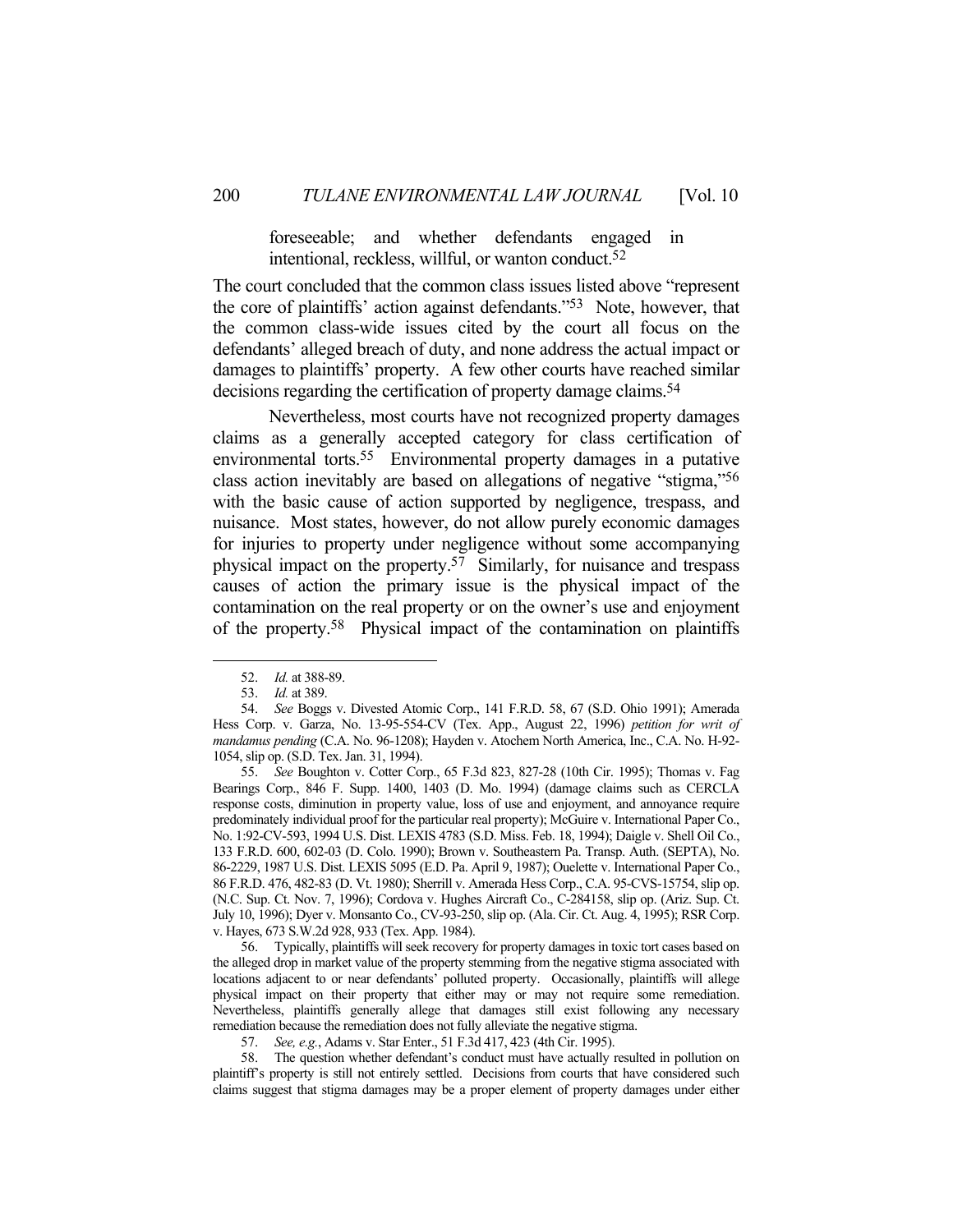foreseeable; and whether defendants engaged in intentional, reckless, willful, or wanton conduct.52

The court concluded that the common class issues listed above "represent the core of plaintiffs' action against defendants."53 Note, however, that the common class-wide issues cited by the court all focus on the defendants' alleged breach of duty, and none address the actual impact or damages to plaintiffs' property. A few other courts have reached similar decisions regarding the certification of property damage claims. 54

 Nevertheless, most courts have not recognized property damages claims as a generally accepted category for class certification of environmental torts.<sup>55</sup> Environmental property damages in a putative class action inevitably are based on allegations of negative "stigma,"56 with the basic cause of action supported by negligence, trespass, and nuisance. Most states, however, do not allow purely economic damages for injuries to property under negligence without some accompanying physical impact on the property.57 Similarly, for nuisance and trespass causes of action the primary issue is the physical impact of the contamination on the real property or on the owner's use and enjoyment of the property.58 Physical impact of the contamination on plaintiffs

<u>.</u>

 56. Typically, plaintiffs will seek recovery for property damages in toxic tort cases based on the alleged drop in market value of the property stemming from the negative stigma associated with locations adjacent to or near defendants' polluted property. Occasionally, plaintiffs will allege physical impact on their property that either may or may not require some remediation. Nevertheless, plaintiffs generally allege that damages still exist following any necessary remediation because the remediation does not fully alleviate the negative stigma.

57. *See, e.g.*, Adams v. Star Enter., 51 F.3d 417, 423 (4th Cir. 1995).

 58. The question whether defendant's conduct must have actually resulted in pollution on plaintiff's property is still not entirely settled. Decisions from courts that have considered such claims suggest that stigma damages may be a proper element of property damages under either

 <sup>52.</sup> *Id.* at 388-89.

 <sup>53.</sup> *Id.* at 389.

 <sup>54.</sup> *See* Boggs v. Divested Atomic Corp., 141 F.R.D. 58, 67 (S.D. Ohio 1991); Amerada Hess Corp. v. Garza, No. 13-95-554-CV (Tex. App., August 22, 1996) *petition for writ of mandamus pending* (C.A. No. 96-1208); Hayden v. Atochem North America, Inc., C.A. No. H-92- 1054, slip op. (S.D. Tex. Jan. 31, 1994).

 <sup>55.</sup> *See* Boughton v. Cotter Corp., 65 F.3d 823, 827-28 (10th Cir. 1995); Thomas v. Fag Bearings Corp., 846 F. Supp. 1400, 1403 (D. Mo. 1994) (damage claims such as CERCLA response costs, diminution in property value, loss of use and enjoyment, and annoyance require predominately individual proof for the particular real property); McGuire v. International Paper Co., No. 1:92-CV-593, 1994 U.S. Dist. LEXIS 4783 (S.D. Miss. Feb. 18, 1994); Daigle v. Shell Oil Co., 133 F.R.D. 600, 602-03 (D. Colo. 1990); Brown v. Southeastern Pa. Transp. Auth. (SEPTA), No. 86-2229, 1987 U.S. Dist. LEXIS 5095 (E.D. Pa. April 9, 1987); Ouelette v. International Paper Co., 86 F.R.D. 476, 482-83 (D. Vt. 1980); Sherrill v. Amerada Hess Corp., C.A. 95-CVS-15754, slip op. (N.C. Sup. Ct. Nov. 7, 1996); Cordova v. Hughes Aircraft Co., C-284158, slip op. (Ariz. Sup. Ct. July 10, 1996); Dyer v. Monsanto Co., CV-93-250, slip op. (Ala. Cir. Ct. Aug. 4, 1995); RSR Corp. v. Hayes, 673 S.W.2d 928, 933 (Tex. App. 1984).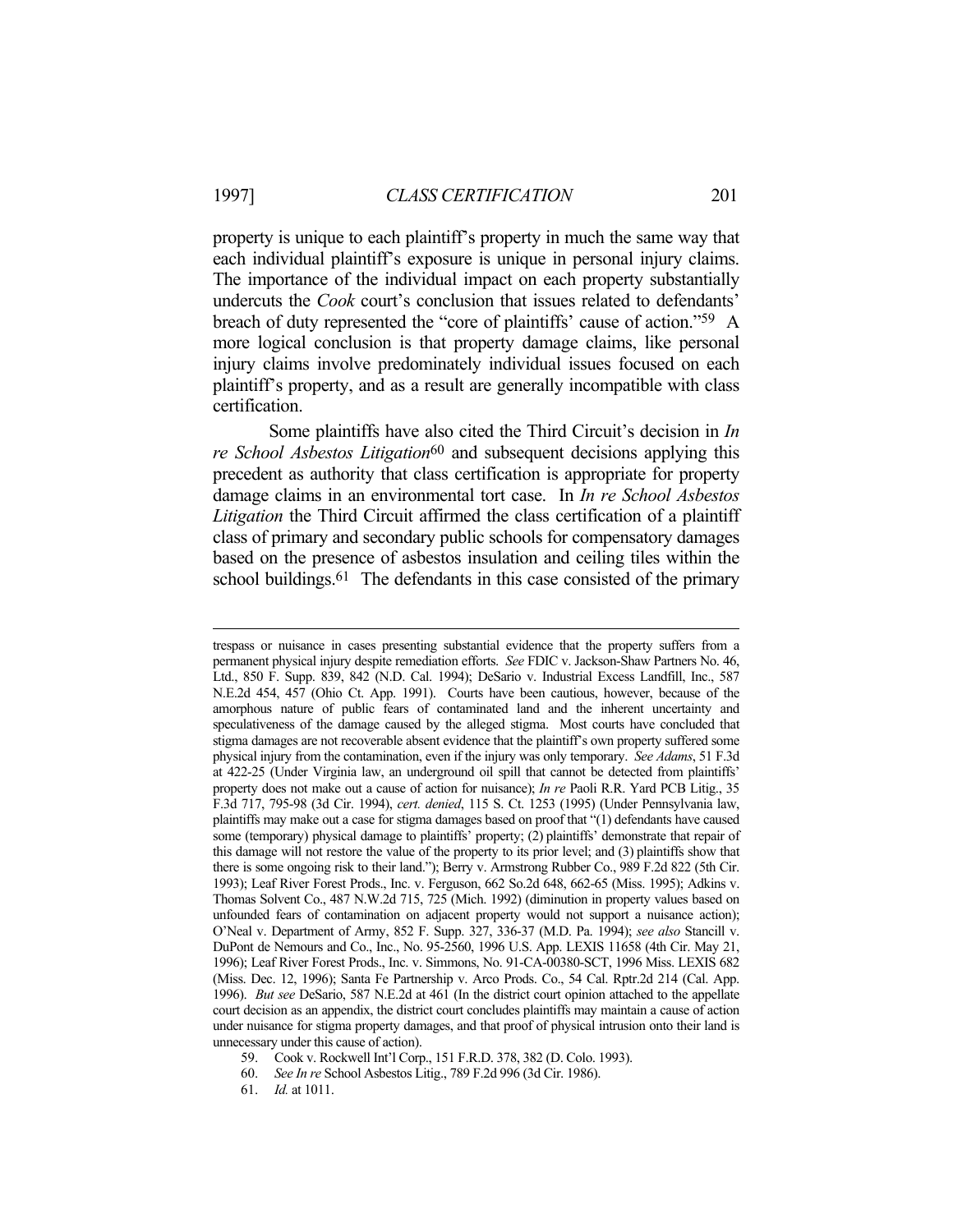property is unique to each plaintiff's property in much the same way that each individual plaintiff's exposure is unique in personal injury claims. The importance of the individual impact on each property substantially undercuts the *Cook* court's conclusion that issues related to defendants' breach of duty represented the "core of plaintiffs' cause of action."59 A more logical conclusion is that property damage claims, like personal injury claims involve predominately individual issues focused on each plaintiff's property, and as a result are generally incompatible with class certification.

 Some plaintiffs have also cited the Third Circuit's decision in *In re School Asbestos Litigation*<sup>60</sup> and subsequent decisions applying this precedent as authority that class certification is appropriate for property damage claims in an environmental tort case. In *In re School Asbestos Litigation* the Third Circuit affirmed the class certification of a plaintiff class of primary and secondary public schools for compensatory damages based on the presence of asbestos insulation and ceiling tiles within the school buildings.<sup>61</sup> The defendants in this case consisted of the primary

59. Cook v. Rockwell Int'l Corp., 151 F.R.D. 378, 382 (D. Colo. 1993).

trespass or nuisance in cases presenting substantial evidence that the property suffers from a permanent physical injury despite remediation efforts. *See* FDIC v. Jackson-Shaw Partners No. 46, Ltd., 850 F. Supp. 839, 842 (N.D. Cal. 1994); DeSario v. Industrial Excess Landfill, Inc., 587 N.E.2d 454, 457 (Ohio Ct. App. 1991). Courts have been cautious, however, because of the amorphous nature of public fears of contaminated land and the inherent uncertainty and speculativeness of the damage caused by the alleged stigma. Most courts have concluded that stigma damages are not recoverable absent evidence that the plaintiff's own property suffered some physical injury from the contamination, even if the injury was only temporary. *See Adams*, 51 F.3d at 422-25 (Under Virginia law, an underground oil spill that cannot be detected from plaintiffs' property does not make out a cause of action for nuisance); *In re* Paoli R.R. Yard PCB Litig., 35 F.3d 717, 795-98 (3d Cir. 1994), *cert. denied*, 115 S. Ct. 1253 (1995) (Under Pennsylvania law, plaintiffs may make out a case for stigma damages based on proof that "(1) defendants have caused some (temporary) physical damage to plaintiffs' property; (2) plaintiffs' demonstrate that repair of this damage will not restore the value of the property to its prior level; and (3) plaintiffs show that there is some ongoing risk to their land."); Berry v. Armstrong Rubber Co., 989 F.2d 822 (5th Cir. 1993); Leaf River Forest Prods., Inc. v. Ferguson, 662 So.2d 648, 662-65 (Miss. 1995); Adkins v. Thomas Solvent Co., 487 N.W.2d 715, 725 (Mich. 1992) (diminution in property values based on unfounded fears of contamination on adjacent property would not support a nuisance action); O'Neal v. Department of Army, 852 F. Supp. 327, 336-37 (M.D. Pa. 1994); *see also* Stancill v. DuPont de Nemours and Co., Inc., No. 95-2560, 1996 U.S. App. LEXIS 11658 (4th Cir. May 21, 1996); Leaf River Forest Prods., Inc. v. Simmons, No. 91-CA-00380-SCT, 1996 Miss. LEXIS 682 (Miss. Dec. 12, 1996); Santa Fe Partnership v. Arco Prods. Co., 54 Cal. Rptr.2d 214 (Cal. App. 1996). *But see* DeSario, 587 N.E.2d at 461 (In the district court opinion attached to the appellate court decision as an appendix, the district court concludes plaintiffs may maintain a cause of action under nuisance for stigma property damages, and that proof of physical intrusion onto their land is unnecessary under this cause of action).

 <sup>60.</sup> *See In re* School Asbestos Litig., 789 F.2d 996 (3d Cir. 1986).

 <sup>61.</sup> *Id.* at 1011.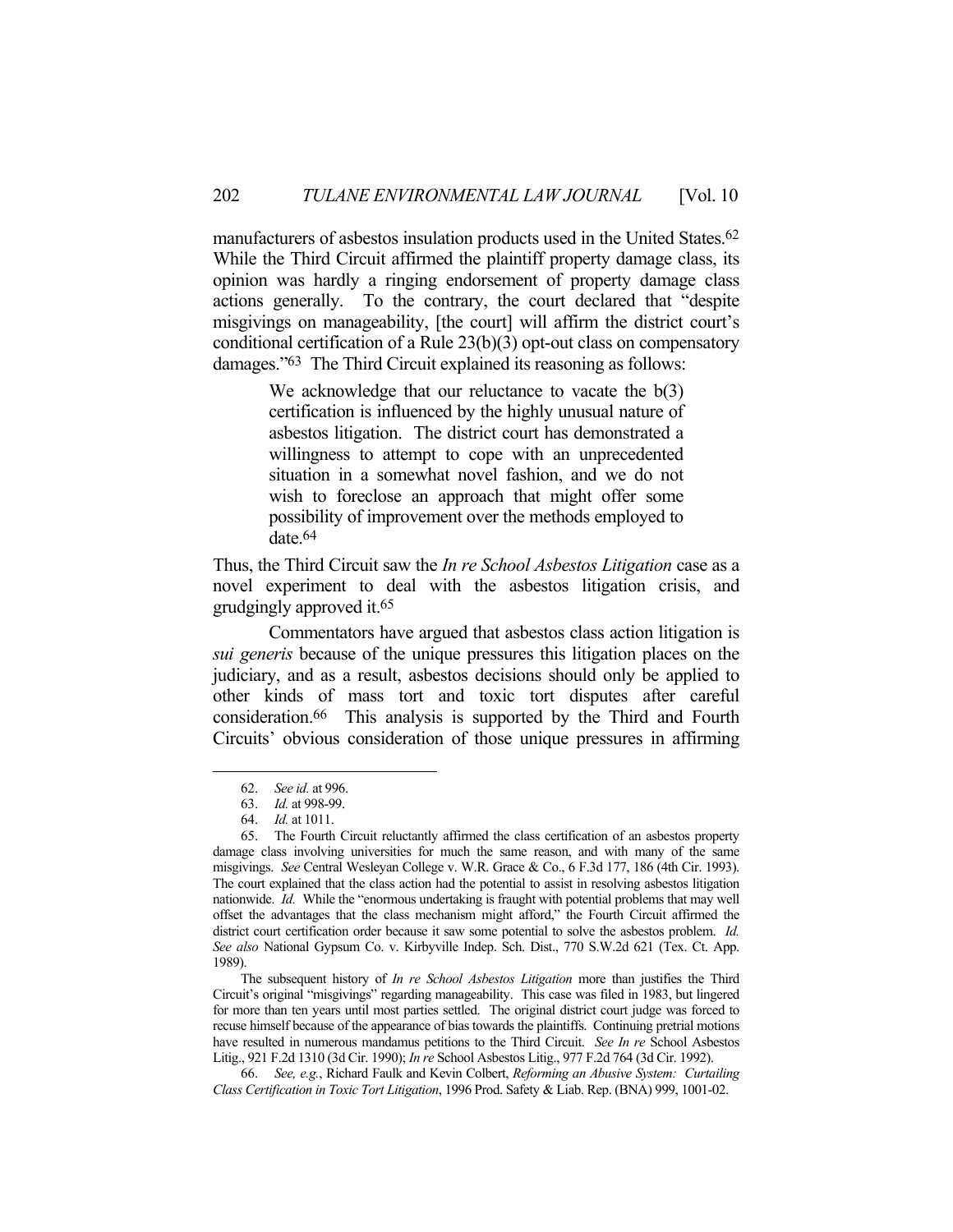manufacturers of asbestos insulation products used in the United States.<sup>62</sup> While the Third Circuit affirmed the plaintiff property damage class, its opinion was hardly a ringing endorsement of property damage class actions generally. To the contrary, the court declared that "despite misgivings on manageability, [the court] will affirm the district court's conditional certification of a Rule 23(b)(3) opt-out class on compensatory damages."63 The Third Circuit explained its reasoning as follows:

> We acknowledge that our reluctance to vacate the  $b(3)$ certification is influenced by the highly unusual nature of asbestos litigation. The district court has demonstrated a willingness to attempt to cope with an unprecedented situation in a somewhat novel fashion, and we do not wish to foreclose an approach that might offer some possibility of improvement over the methods employed to date.64

Thus, the Third Circuit saw the *In re School Asbestos Litigation* case as a novel experiment to deal with the asbestos litigation crisis, and grudgingly approved it.65

 Commentators have argued that asbestos class action litigation is *sui generis* because of the unique pressures this litigation places on the judiciary, and as a result, asbestos decisions should only be applied to other kinds of mass tort and toxic tort disputes after careful consideration.66 This analysis is supported by the Third and Fourth Circuits' obvious consideration of those unique pressures in affirming

1

 The subsequent history of *In re School Asbestos Litigation* more than justifies the Third Circuit's original "misgivings" regarding manageability. This case was filed in 1983, but lingered for more than ten years until most parties settled. The original district court judge was forced to recuse himself because of the appearance of bias towards the plaintiffs. Continuing pretrial motions have resulted in numerous mandamus petitions to the Third Circuit. *See In re* School Asbestos Litig., 921 F.2d 1310 (3d Cir. 1990); *In re* School Asbestos Litig., 977 F.2d 764 (3d Cir. 1992).

 66. *See, e.g.*, Richard Faulk and Kevin Colbert, *Reforming an Abusive System: Curtailing Class Certification in Toxic Tort Litigation*, 1996 Prod. Safety & Liab. Rep. (BNA) 999, 1001-02.

 <sup>62.</sup> *See id.* at 996.

 <sup>63.</sup> *Id.* at 998-99.

 <sup>64.</sup> *Id.* at 1011.

 <sup>65.</sup> The Fourth Circuit reluctantly affirmed the class certification of an asbestos property damage class involving universities for much the same reason, and with many of the same misgivings. *See* Central Wesleyan College v. W.R. Grace & Co., 6 F.3d 177, 186 (4th Cir. 1993). The court explained that the class action had the potential to assist in resolving asbestos litigation nationwide. *Id.* While the "enormous undertaking is fraught with potential problems that may well offset the advantages that the class mechanism might afford," the Fourth Circuit affirmed the district court certification order because it saw some potential to solve the asbestos problem. *Id. See also* National Gypsum Co. v. Kirbyville Indep. Sch. Dist., 770 S.W.2d 621 (Tex. Ct. App. 1989).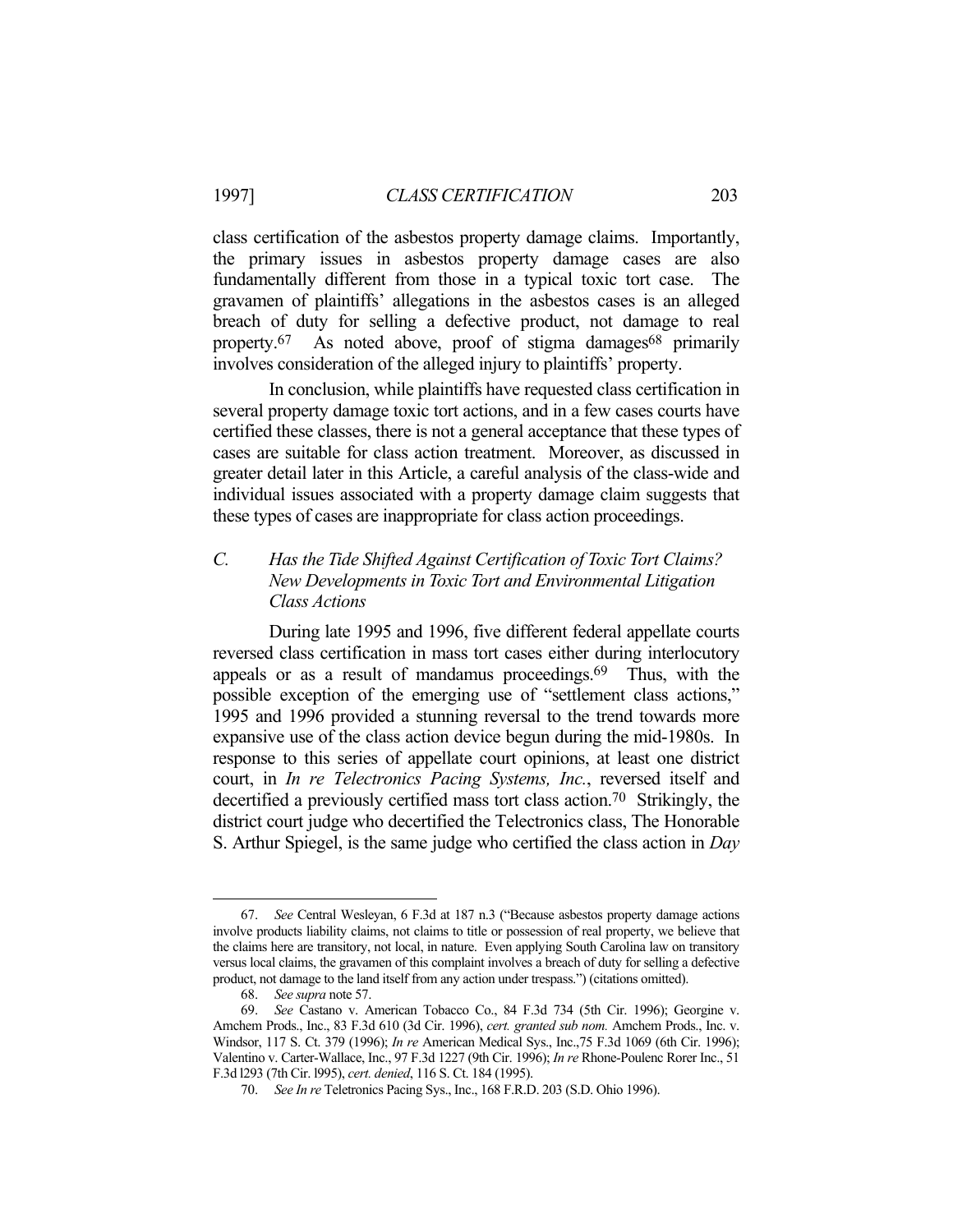class certification of the asbestos property damage claims. Importantly, the primary issues in asbestos property damage cases are also fundamentally different from those in a typical toxic tort case. The gravamen of plaintiffs' allegations in the asbestos cases is an alleged breach of duty for selling a defective product, not damage to real property.<sup>67</sup> As noted above, proof of stigma damages<sup>68</sup> primarily involves consideration of the alleged injury to plaintiffs' property.

 In conclusion, while plaintiffs have requested class certification in several property damage toxic tort actions, and in a few cases courts have certified these classes, there is not a general acceptance that these types of cases are suitable for class action treatment. Moreover, as discussed in greater detail later in this Article, a careful analysis of the class-wide and individual issues associated with a property damage claim suggests that these types of cases are inappropriate for class action proceedings.

## *C. Has the Tide Shifted Against Certification of Toxic Tort Claims? New Developments in Toxic Tort and Environmental Litigation Class Actions*

 During late 1995 and 1996, five different federal appellate courts reversed class certification in mass tort cases either during interlocutory appeals or as a result of mandamus proceedings.69 Thus, with the possible exception of the emerging use of "settlement class actions," 1995 and 1996 provided a stunning reversal to the trend towards more expansive use of the class action device begun during the mid-1980s. In response to this series of appellate court opinions, at least one district court, in *In re Telectronics Pacing Systems, Inc.*, reversed itself and decertified a previously certified mass tort class action.70 Strikingly, the district court judge who decertified the Telectronics class, The Honorable S. Arthur Spiegel, is the same judge who certified the class action in *Day* 

 <sup>67.</sup> *See* Central Wesleyan, 6 F.3d at 187 n.3 ("Because asbestos property damage actions involve products liability claims, not claims to title or possession of real property, we believe that the claims here are transitory, not local, in nature. Even applying South Carolina law on transitory versus local claims, the gravamen of this complaint involves a breach of duty for selling a defective product, not damage to the land itself from any action under trespass.") (citations omitted).

 <sup>68.</sup> *See supra* note 57.

 <sup>69.</sup> *See* Castano v. American Tobacco Co., 84 F.3d 734 (5th Cir. 1996); Georgine v. Amchem Prods., Inc., 83 F.3d 610 (3d Cir. 1996), *cert. granted sub nom.* Amchem Prods., Inc. v. Windsor, 117 S. Ct. 379 (1996); *In re* American Medical Sys., Inc.,75 F.3d 1069 (6th Cir. 1996); Valentino v. Carter-Wallace, Inc., 97 F.3d 1227 (9th Cir. 1996); *In re* Rhone-Poulenc Rorer Inc., 51 F.3d l293 (7th Cir. l995), *cert. denied*, 116 S. Ct. 184 (1995).

 <sup>70.</sup> *See In re* Teletronics Pacing Sys., Inc., 168 F.R.D. 203 (S.D. Ohio 1996).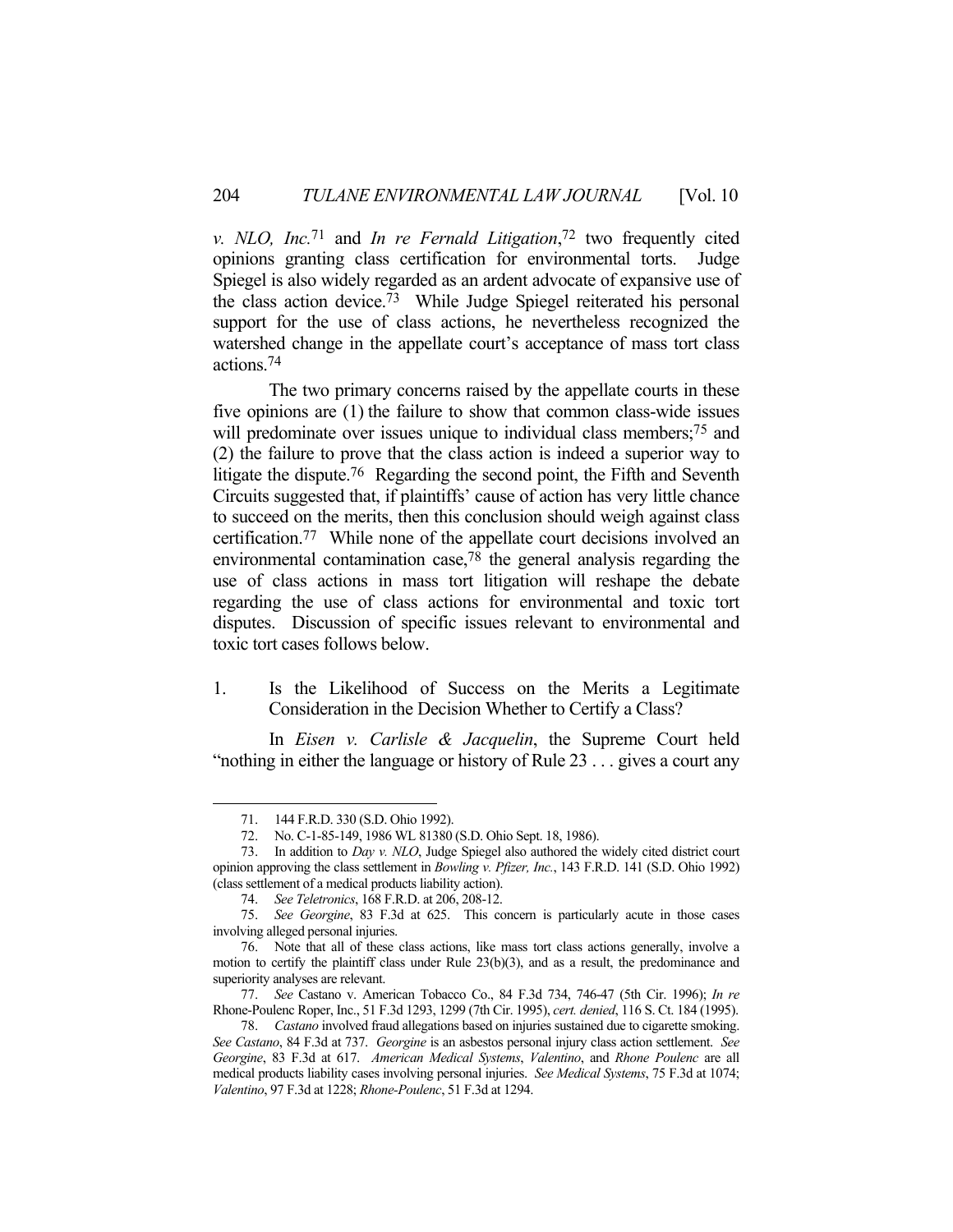*v. NLO, Inc.*71 and *In re Fernald Litigation*, 72 two frequently cited opinions granting class certification for environmental torts. Judge Spiegel is also widely regarded as an ardent advocate of expansive use of the class action device.73 While Judge Spiegel reiterated his personal support for the use of class actions, he nevertheless recognized the watershed change in the appellate court's acceptance of mass tort class actions.74

 The two primary concerns raised by the appellate courts in these five opinions are (1) the failure to show that common class-wide issues will predominate over issues unique to individual class members;<sup>75</sup> and (2) the failure to prove that the class action is indeed a superior way to litigate the dispute.<sup>76</sup> Regarding the second point, the Fifth and Seventh Circuits suggested that, if plaintiffs' cause of action has very little chance to succeed on the merits, then this conclusion should weigh against class certification.77 While none of the appellate court decisions involved an environmental contamination case,78 the general analysis regarding the use of class actions in mass tort litigation will reshape the debate regarding the use of class actions for environmental and toxic tort disputes. Discussion of specific issues relevant to environmental and toxic tort cases follows below.

1. Is the Likelihood of Success on the Merits a Legitimate Consideration in the Decision Whether to Certify a Class?

 In *Eisen v. Carlisle & Jacquelin*, the Supreme Court held "nothing in either the language or history of Rule 23 . . . gives a court any

<u>.</u>

 77. *See* Castano v. American Tobacco Co., 84 F.3d 734, 746-47 (5th Cir. 1996); *In re* Rhone-Poulenc Roper, Inc., 51 F.3d 1293, 1299 (7th Cir. 1995), *cert. denied*, 116 S. Ct. 184 (1995).

 <sup>71. 144</sup> F.R.D. 330 (S.D. Ohio 1992).

 <sup>72.</sup> No. C-1-85-149, 1986 WL 81380 (S.D. Ohio Sept. 18, 1986).

 <sup>73.</sup> In addition to *Day v. NLO*, Judge Spiegel also authored the widely cited district court opinion approving the class settlement in *Bowling v. Pfizer, Inc.*, 143 F.R.D. 141 (S.D. Ohio 1992) (class settlement of a medical products liability action).

 <sup>74.</sup> *See Teletronics*, 168 F.R.D. at 206, 208-12.

 <sup>75.</sup> *See Georgine*, 83 F.3d at 625. This concern is particularly acute in those cases involving alleged personal injuries.

 <sup>76.</sup> Note that all of these class actions, like mass tort class actions generally, involve a motion to certify the plaintiff class under Rule 23(b)(3), and as a result, the predominance and superiority analyses are relevant.

 <sup>78.</sup> *Castano* involved fraud allegations based on injuries sustained due to cigarette smoking. *See Castano*, 84 F.3d at 737. *Georgine* is an asbestos personal injury class action settlement. *See Georgine*, 83 F.3d at 617. *American Medical Systems*, *Valentino*, and *Rhone Poulenc* are all medical products liability cases involving personal injuries. *See Medical Systems*, 75 F.3d at 1074; *Valentino*, 97 F.3d at 1228; *Rhone-Poulenc*, 51 F.3d at 1294.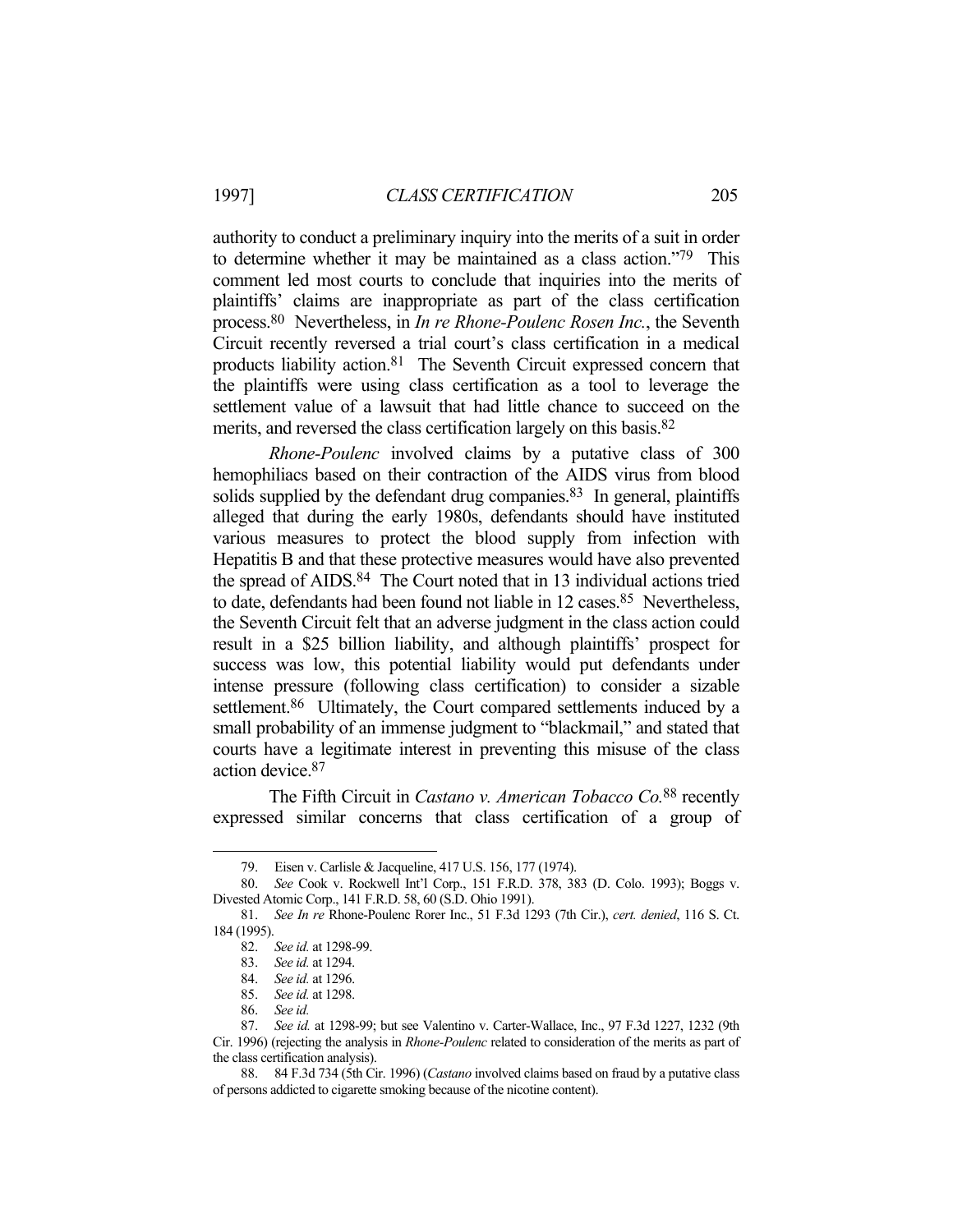authority to conduct a preliminary inquiry into the merits of a suit in order to determine whether it may be maintained as a class action."79 This comment led most courts to conclude that inquiries into the merits of plaintiffs' claims are inappropriate as part of the class certification process.80 Nevertheless, in *In re Rhone-Poulenc Rosen Inc.*, the Seventh Circuit recently reversed a trial court's class certification in a medical products liability action.81 The Seventh Circuit expressed concern that the plaintiffs were using class certification as a tool to leverage the settlement value of a lawsuit that had little chance to succeed on the merits, and reversed the class certification largely on this basis.<sup>82</sup>

*Rhone-Poulenc* involved claims by a putative class of 300 hemophiliacs based on their contraction of the AIDS virus from blood solids supplied by the defendant drug companies.<sup>83</sup> In general, plaintiffs alleged that during the early 1980s, defendants should have instituted various measures to protect the blood supply from infection with Hepatitis B and that these protective measures would have also prevented the spread of AIDS.84 The Court noted that in 13 individual actions tried to date, defendants had been found not liable in 12 cases.<sup>85</sup> Nevertheless, the Seventh Circuit felt that an adverse judgment in the class action could result in a \$25 billion liability, and although plaintiffs' prospect for success was low, this potential liability would put defendants under intense pressure (following class certification) to consider a sizable settlement.<sup>86</sup> Ultimately, the Court compared settlements induced by a small probability of an immense judgment to "blackmail," and stated that courts have a legitimate interest in preventing this misuse of the class action device.87

 The Fifth Circuit in *Castano v. American Tobacco Co.*88 recently expressed similar concerns that class certification of a group of

 <sup>79.</sup> Eisen v. Carlisle & Jacqueline, 417 U.S. 156, 177 (1974).

 <sup>80.</sup> *See* Cook v. Rockwell Int'l Corp., 151 F.R.D. 378, 383 (D. Colo. 1993); Boggs v. Divested Atomic Corp., 141 F.R.D. 58, 60 (S.D. Ohio 1991).

 <sup>81.</sup> *See In re* Rhone-Poulenc Rorer Inc., 51 F.3d 1293 (7th Cir.), *cert. denied*, 116 S. Ct. 184 (1995).

 <sup>82.</sup> *See id.* at 1298-99.

 <sup>83.</sup> *See id.* at 1294.

 <sup>84.</sup> *See id.* at 1296.

 <sup>85.</sup> *See id.* at 1298.

 <sup>86.</sup> *See id.*

 <sup>87.</sup> *See id.* at 1298-99; but see Valentino v. Carter-Wallace, Inc., 97 F.3d 1227, 1232 (9th Cir. 1996) (rejecting the analysis in *Rhone-Poulenc* related to consideration of the merits as part of the class certification analysis).

 <sup>88. 84</sup> F.3d 734 (5th Cir. 1996) (*Castano* involved claims based on fraud by a putative class of persons addicted to cigarette smoking because of the nicotine content).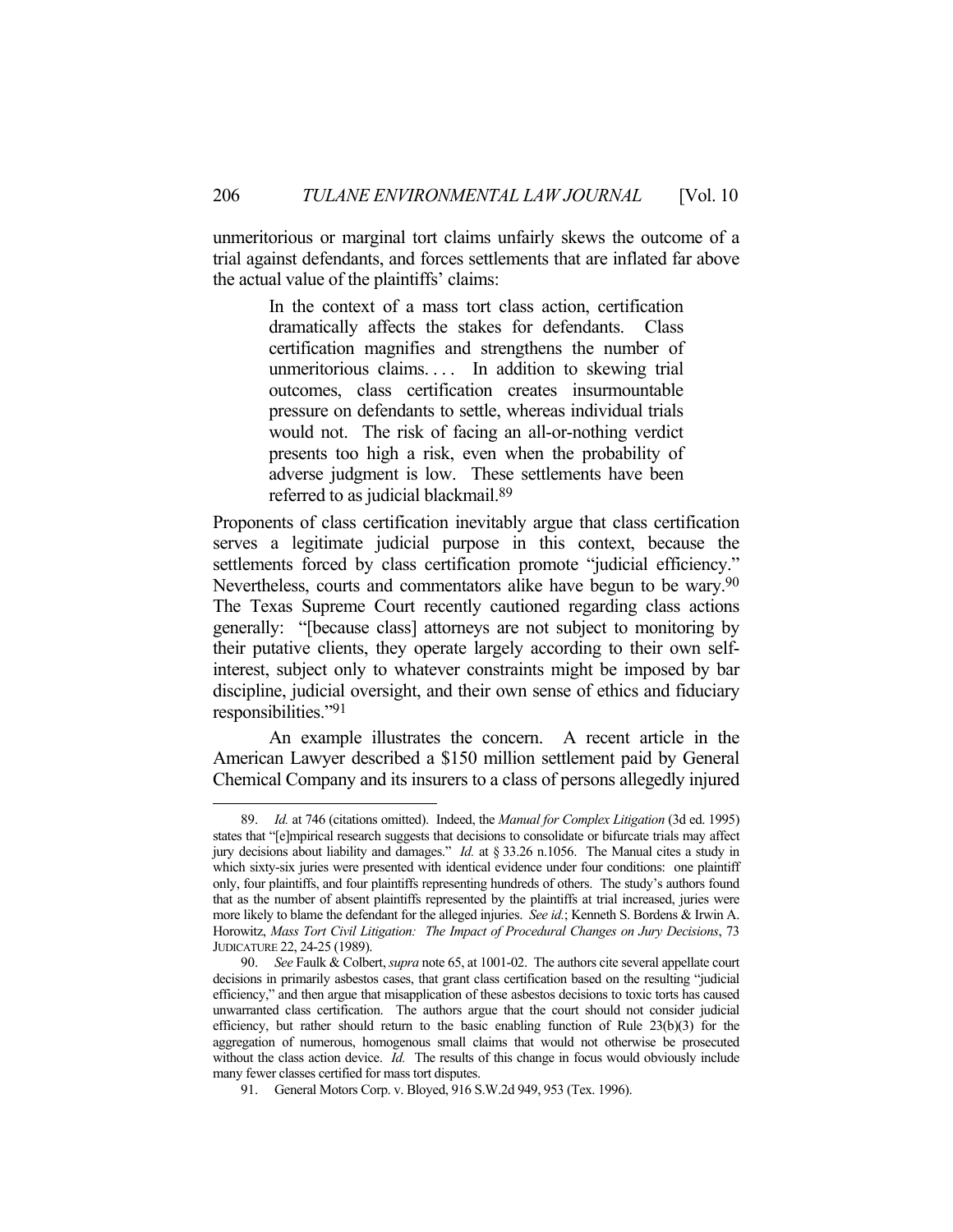unmeritorious or marginal tort claims unfairly skews the outcome of a trial against defendants, and forces settlements that are inflated far above the actual value of the plaintiffs' claims:

> In the context of a mass tort class action, certification dramatically affects the stakes for defendants. Class certification magnifies and strengthens the number of unmeritorious claims. . . . In addition to skewing trial outcomes, class certification creates insurmountable pressure on defendants to settle, whereas individual trials would not. The risk of facing an all-or-nothing verdict presents too high a risk, even when the probability of adverse judgment is low. These settlements have been referred to as judicial blackmail.89

Proponents of class certification inevitably argue that class certification serves a legitimate judicial purpose in this context, because the settlements forced by class certification promote "judicial efficiency." Nevertheless, courts and commentators alike have begun to be wary.<sup>90</sup> The Texas Supreme Court recently cautioned regarding class actions generally: "[because class] attorneys are not subject to monitoring by their putative clients, they operate largely according to their own selfinterest, subject only to whatever constraints might be imposed by bar discipline, judicial oversight, and their own sense of ethics and fiduciary responsibilities."91

 An example illustrates the concern. A recent article in the American Lawyer described a \$150 million settlement paid by General Chemical Company and its insurers to a class of persons allegedly injured

 <sup>89.</sup> *Id.* at 746 (citations omitted). Indeed, the *Manual for Complex Litigation* (3d ed. 1995) states that "[e]mpirical research suggests that decisions to consolidate or bifurcate trials may affect jury decisions about liability and damages." *Id.* at § 33.26 n.1056. The Manual cites a study in which sixty-six juries were presented with identical evidence under four conditions: one plaintiff only, four plaintiffs, and four plaintiffs representing hundreds of others. The study's authors found that as the number of absent plaintiffs represented by the plaintiffs at trial increased, juries were more likely to blame the defendant for the alleged injuries. *See id.*; Kenneth S. Bordens & Irwin A. Horowitz, *Mass Tort Civil Litigation: The Impact of Procedural Changes on Jury Decisions*, 73 JUDICATURE 22, 24-25 (1989).

 <sup>90.</sup> *See* Faulk & Colbert, *supra* note 65, at 1001-02. The authors cite several appellate court decisions in primarily asbestos cases, that grant class certification based on the resulting "judicial efficiency," and then argue that misapplication of these asbestos decisions to toxic torts has caused unwarranted class certification. The authors argue that the court should not consider judicial efficiency, but rather should return to the basic enabling function of Rule 23(b)(3) for the aggregation of numerous, homogenous small claims that would not otherwise be prosecuted without the class action device. *Id.* The results of this change in focus would obviously include many fewer classes certified for mass tort disputes.

 <sup>91.</sup> General Motors Corp. v. Bloyed, 916 S.W.2d 949, 953 (Tex. 1996).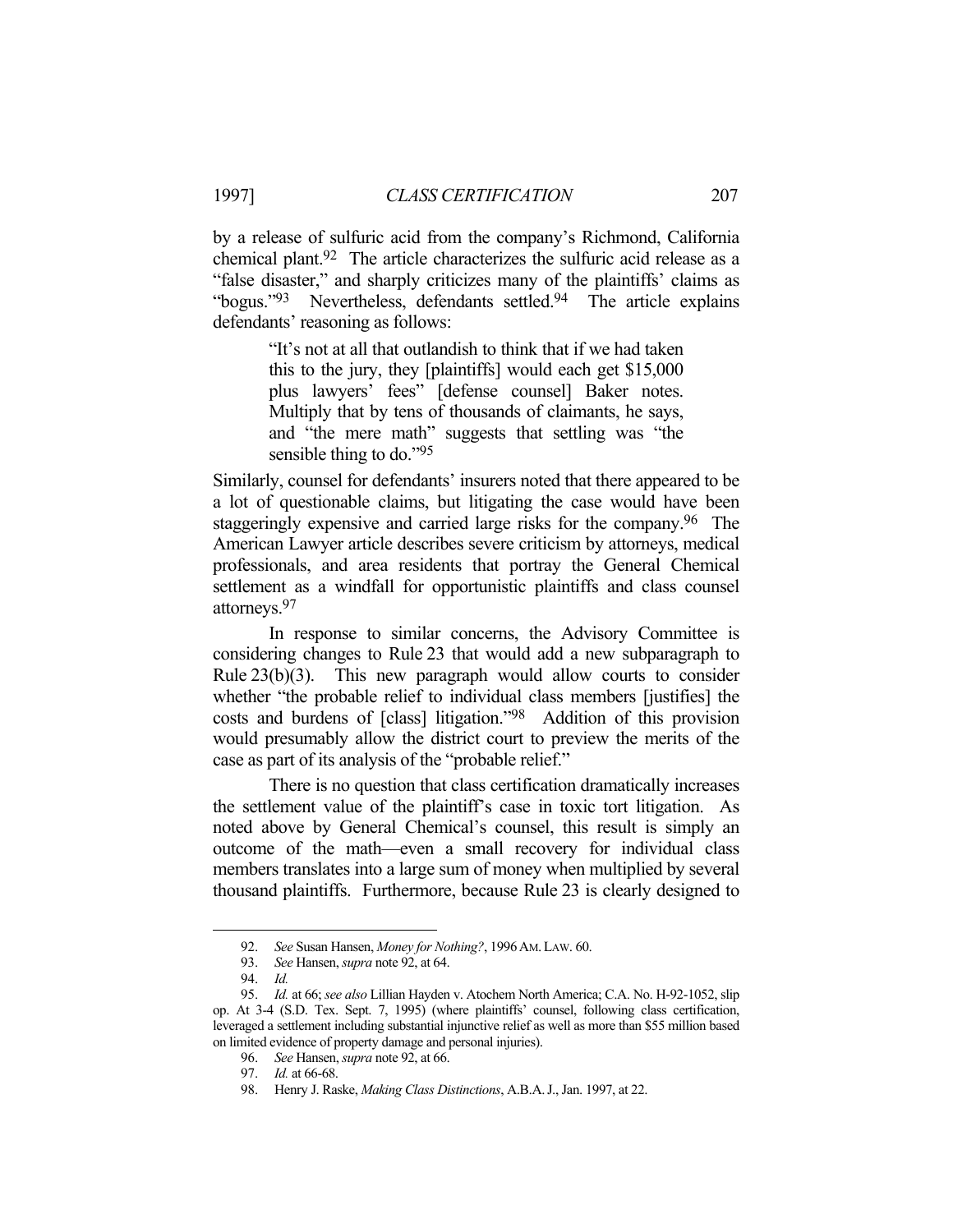by a release of sulfuric acid from the company's Richmond, California chemical plant.92 The article characterizes the sulfuric acid release as a "false disaster," and sharply criticizes many of the plaintiffs' claims as "bogus."<sup>93</sup> Nevertheless, defendants settled.<sup>94</sup> The article explains defendants' reasoning as follows:

> "It's not at all that outlandish to think that if we had taken this to the jury, they [plaintiffs] would each get \$15,000 plus lawyers' fees" [defense counsel] Baker notes. Multiply that by tens of thousands of claimants, he says, and "the mere math" suggests that settling was "the sensible thing to do."<sup>95</sup>

Similarly, counsel for defendants' insurers noted that there appeared to be a lot of questionable claims, but litigating the case would have been staggeringly expensive and carried large risks for the company.96 The American Lawyer article describes severe criticism by attorneys, medical professionals, and area residents that portray the General Chemical settlement as a windfall for opportunistic plaintiffs and class counsel attorneys.97

 In response to similar concerns, the Advisory Committee is considering changes to Rule 23 that would add a new subparagraph to Rule 23(b)(3). This new paragraph would allow courts to consider whether "the probable relief to individual class members [justifies] the costs and burdens of [class] litigation."98 Addition of this provision would presumably allow the district court to preview the merits of the case as part of its analysis of the "probable relief."

 There is no question that class certification dramatically increases the settlement value of the plaintiff's case in toxic tort litigation. As noted above by General Chemical's counsel, this result is simply an outcome of the math—even a small recovery for individual class members translates into a large sum of money when multiplied by several thousand plaintiffs. Furthermore, because Rule 23 is clearly designed to

 <sup>92.</sup> *See* Susan Hansen, *Money for Nothing?*, 1996AM.LAW. 60.

 <sup>93.</sup> *See* Hansen, *supra* note 92, at 64.

 <sup>94.</sup> *Id.*

 <sup>95.</sup> *Id.* at 66; *see also* Lillian Hayden v. Atochem North America; C.A. No. H-92-1052, slip op. At 3-4 (S.D. Tex. Sept. 7, 1995) (where plaintiffs' counsel, following class certification, leveraged a settlement including substantial injunctive relief as well as more than \$55 million based on limited evidence of property damage and personal injuries).

 <sup>96.</sup> *See* Hansen, *supra* note 92, at 66.

 <sup>97.</sup> *Id.* at 66-68.

 <sup>98.</sup> Henry J. Raske, *Making Class Distinctions*, A.B.A.J., Jan. 1997, at 22.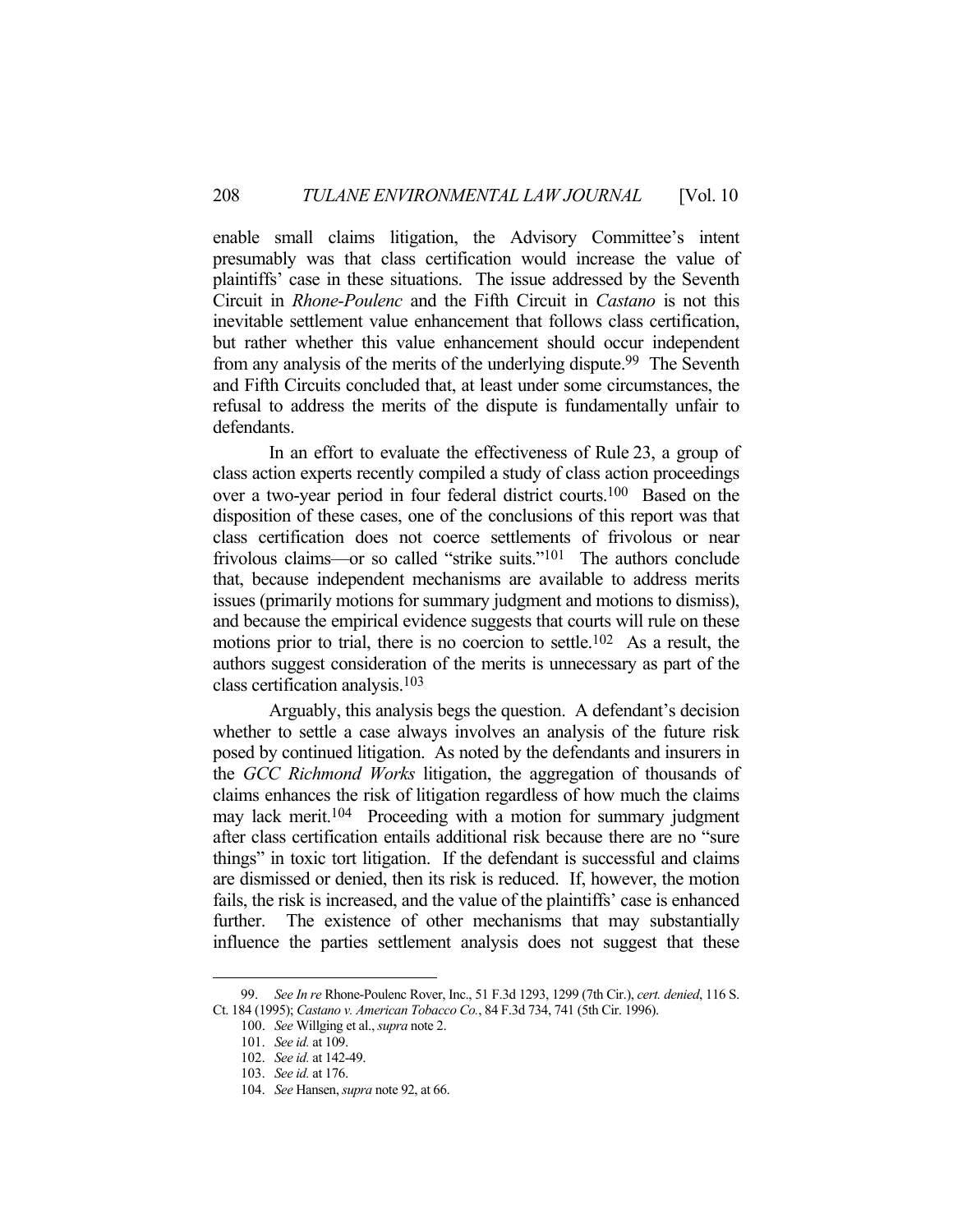enable small claims litigation, the Advisory Committee's intent presumably was that class certification would increase the value of plaintiffs' case in these situations. The issue addressed by the Seventh Circuit in *Rhone-Poulenc* and the Fifth Circuit in *Castano* is not this inevitable settlement value enhancement that follows class certification, but rather whether this value enhancement should occur independent from any analysis of the merits of the underlying dispute.99 The Seventh and Fifth Circuits concluded that, at least under some circumstances, the refusal to address the merits of the dispute is fundamentally unfair to defendants.

 In an effort to evaluate the effectiveness of Rule 23, a group of class action experts recently compiled a study of class action proceedings over a two-year period in four federal district courts.100 Based on the disposition of these cases, one of the conclusions of this report was that class certification does not coerce settlements of frivolous or near frivolous claims—or so called "strike suits."101 The authors conclude that, because independent mechanisms are available to address merits issues (primarily motions for summary judgment and motions to dismiss), and because the empirical evidence suggests that courts will rule on these motions prior to trial, there is no coercion to settle.<sup>102</sup> As a result, the authors suggest consideration of the merits is unnecessary as part of the class certification analysis.103

 Arguably, this analysis begs the question. A defendant's decision whether to settle a case always involves an analysis of the future risk posed by continued litigation. As noted by the defendants and insurers in the *GCC Richmond Works* litigation, the aggregation of thousands of claims enhances the risk of litigation regardless of how much the claims may lack merit.<sup>104</sup> Proceeding with a motion for summary judgment after class certification entails additional risk because there are no "sure things" in toxic tort litigation. If the defendant is successful and claims are dismissed or denied, then its risk is reduced. If, however, the motion fails, the risk is increased, and the value of the plaintiffs' case is enhanced further. The existence of other mechanisms that may substantially influence the parties settlement analysis does not suggest that these

 <sup>99.</sup> *See In re* Rhone-Poulenc Rover, Inc., 51 F.3d 1293, 1299 (7th Cir.), *cert. denied*, 116 S. Ct. 184 (1995); *Castano v. American Tobacco Co.*, 84 F.3d 734, 741 (5th Cir. 1996).

 <sup>100.</sup> *See* Willging et al., *supra* note 2.

 <sup>101.</sup> *See id.* at 109.

 <sup>102.</sup> *See id.* at 142-49.

 <sup>103.</sup> *See id.* at 176.

 <sup>104.</sup> *See* Hansen, *supra* note 92, at 66.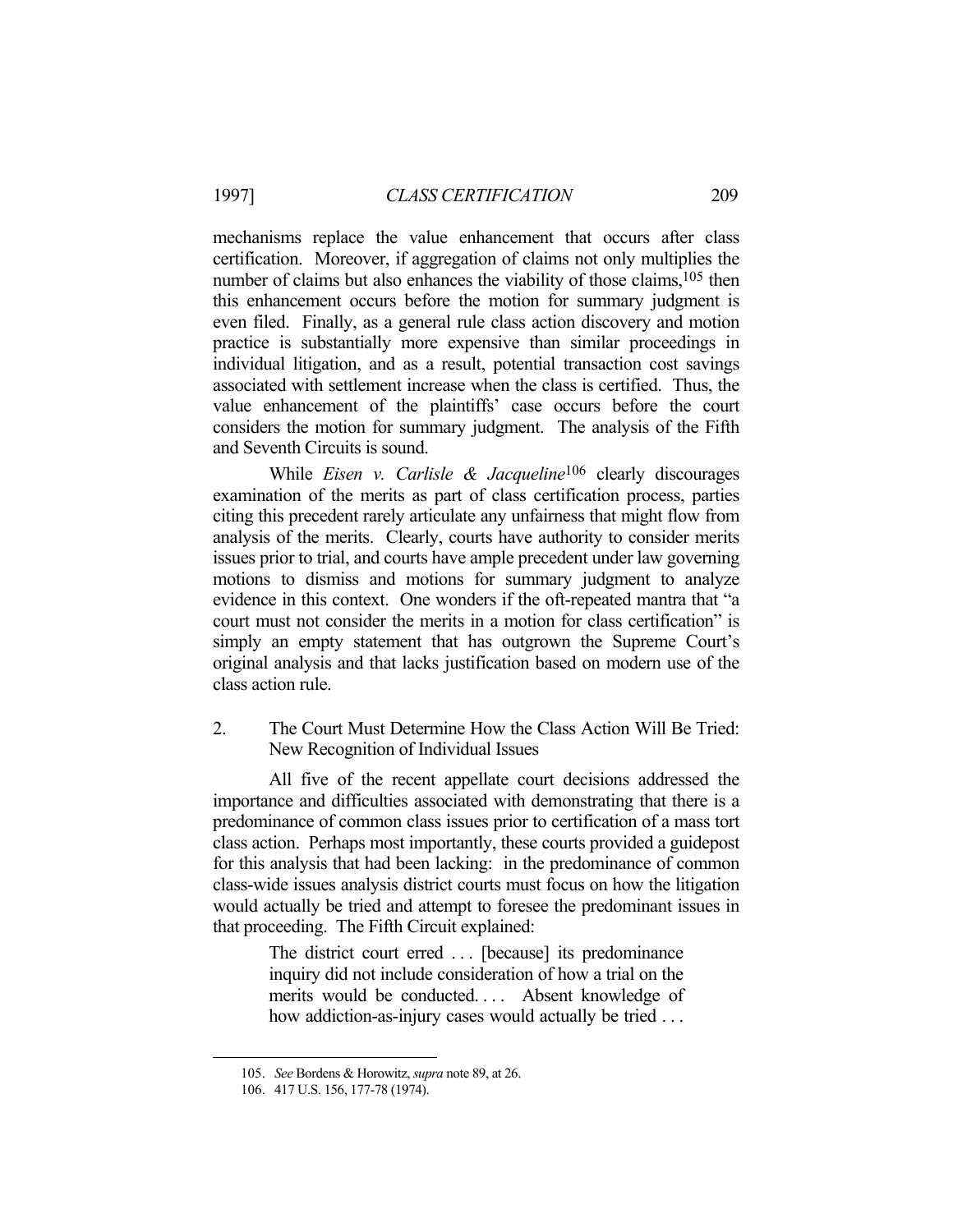mechanisms replace the value enhancement that occurs after class certification. Moreover, if aggregation of claims not only multiplies the number of claims but also enhances the viability of those claims,<sup>105</sup> then this enhancement occurs before the motion for summary judgment is even filed. Finally, as a general rule class action discovery and motion practice is substantially more expensive than similar proceedings in individual litigation, and as a result, potential transaction cost savings associated with settlement increase when the class is certified. Thus, the value enhancement of the plaintiffs' case occurs before the court considers the motion for summary judgment. The analysis of the Fifth and Seventh Circuits is sound.

 While *Eisen v. Carlisle & Jacqueline*106 clearly discourages examination of the merits as part of class certification process, parties citing this precedent rarely articulate any unfairness that might flow from analysis of the merits. Clearly, courts have authority to consider merits issues prior to trial, and courts have ample precedent under law governing motions to dismiss and motions for summary judgment to analyze evidence in this context. One wonders if the oft-repeated mantra that "a court must not consider the merits in a motion for class certification" is simply an empty statement that has outgrown the Supreme Court's original analysis and that lacks justification based on modern use of the class action rule.

2. The Court Must Determine How the Class Action Will Be Tried: New Recognition of Individual Issues

 All five of the recent appellate court decisions addressed the importance and difficulties associated with demonstrating that there is a predominance of common class issues prior to certification of a mass tort class action. Perhaps most importantly, these courts provided a guidepost for this analysis that had been lacking: in the predominance of common class-wide issues analysis district courts must focus on how the litigation would actually be tried and attempt to foresee the predominant issues in that proceeding. The Fifth Circuit explained:

> The district court erred ... [because] its predominance inquiry did not include consideration of how a trial on the merits would be conducted.... Absent knowledge of how addiction-as-injury cases would actually be tried ...

 <sup>105.</sup> *See* Bordens & Horowitz, *supra* note 89, at 26.

 <sup>106. 417</sup> U.S. 156, 177-78 (1974).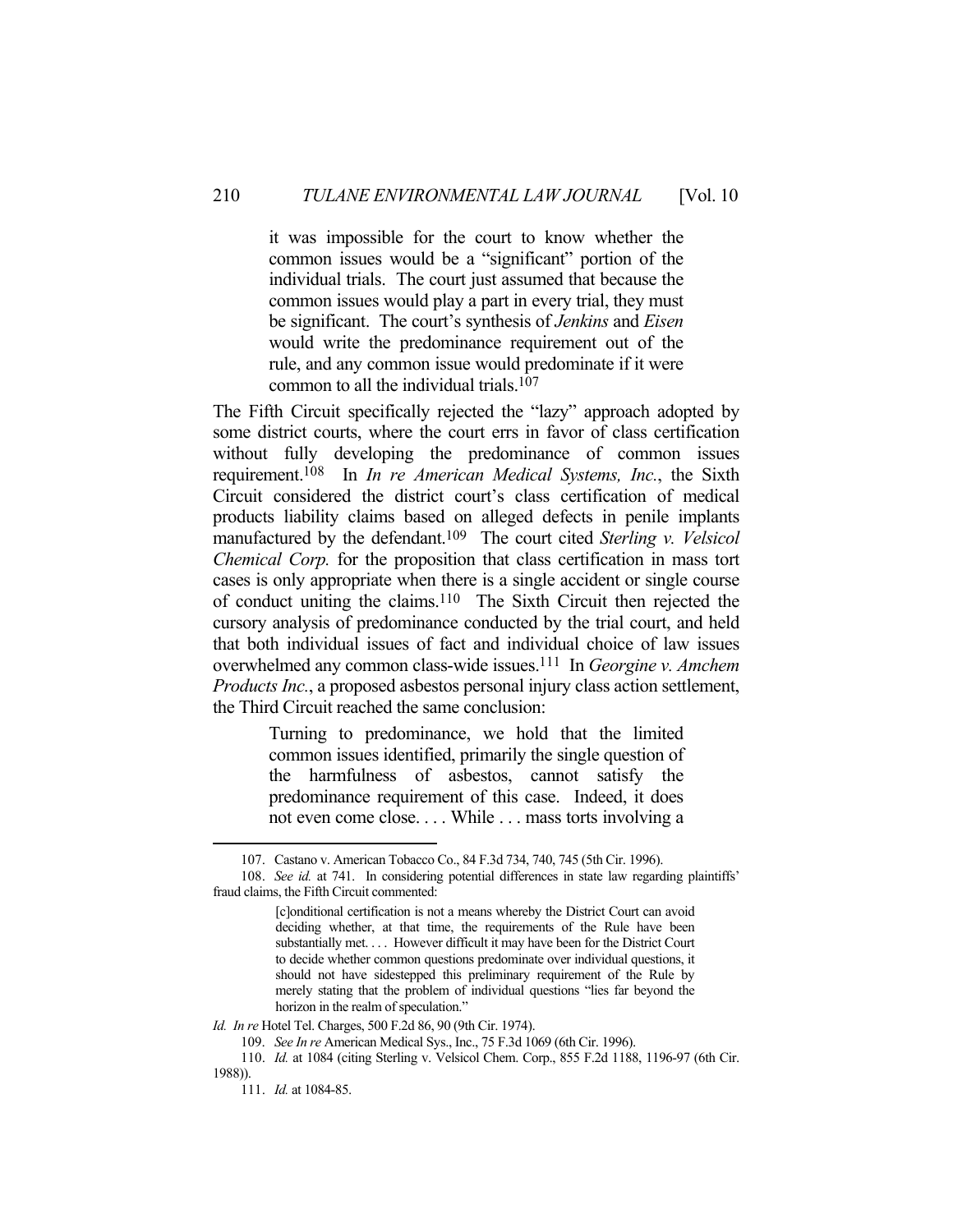it was impossible for the court to know whether the common issues would be a "significant" portion of the individual trials. The court just assumed that because the common issues would play a part in every trial, they must be significant. The court's synthesis of *Jenkins* and *Eisen* would write the predominance requirement out of the rule, and any common issue would predominate if it were common to all the individual trials.107

The Fifth Circuit specifically rejected the "lazy" approach adopted by some district courts, where the court errs in favor of class certification without fully developing the predominance of common issues requirement.108 In *In re American Medical Systems, Inc.*, the Sixth Circuit considered the district court's class certification of medical products liability claims based on alleged defects in penile implants manufactured by the defendant.109 The court cited *Sterling v. Velsicol Chemical Corp.* for the proposition that class certification in mass tort cases is only appropriate when there is a single accident or single course of conduct uniting the claims.110 The Sixth Circuit then rejected the cursory analysis of predominance conducted by the trial court, and held that both individual issues of fact and individual choice of law issues overwhelmed any common class-wide issues.111 In *Georgine v. Amchem Products Inc.*, a proposed asbestos personal injury class action settlement, the Third Circuit reached the same conclusion:

> Turning to predominance, we hold that the limited common issues identified, primarily the single question of the harmfulness of asbestos, cannot satisfy the predominance requirement of this case. Indeed, it does not even come close. . . . While . . . mass torts involving a

*Id. In re* Hotel Tel. Charges, 500 F.2d 86, 90 (9th Cir. 1974).

109. *See In re* American Medical Sys., Inc., 75 F.3d 1069 (6th Cir. 1996).

 110. *Id.* at 1084 (citing Sterling v. Velsicol Chem. Corp., 855 F.2d 1188, 1196-97 (6th Cir. 1988)).

 <sup>107.</sup> Castano v. American Tobacco Co., 84 F.3d 734, 740, 745 (5th Cir. 1996).

 <sup>108.</sup> *See id.* at 741. In considering potential differences in state law regarding plaintiffs' fraud claims, the Fifth Circuit commented:

<sup>[</sup>c]onditional certification is not a means whereby the District Court can avoid deciding whether, at that time, the requirements of the Rule have been substantially met. . . . However difficult it may have been for the District Court to decide whether common questions predominate over individual questions, it should not have sidestepped this preliminary requirement of the Rule by merely stating that the problem of individual questions "lies far beyond the horizon in the realm of speculation."

 <sup>111.</sup> *Id.* at 1084-85.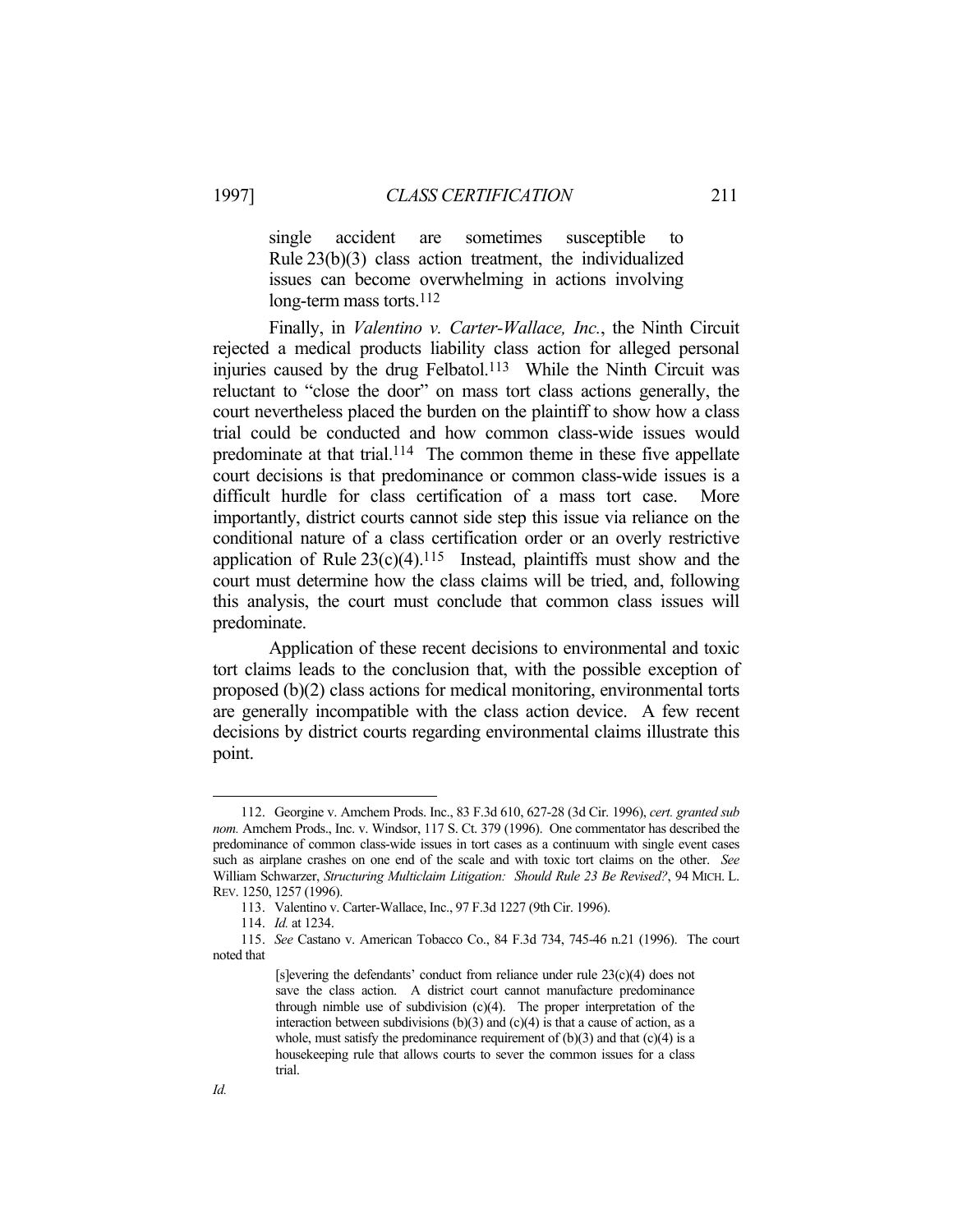single accident are sometimes susceptible to Rule 23(b)(3) class action treatment, the individualized issues can become overwhelming in actions involving long-term mass torts. $112$ 

 Finally, in *Valentino v. Carter-Wallace, Inc.*, the Ninth Circuit rejected a medical products liability class action for alleged personal injuries caused by the drug Felbatol.<sup>113</sup> While the Ninth Circuit was reluctant to "close the door" on mass tort class actions generally, the court nevertheless placed the burden on the plaintiff to show how a class trial could be conducted and how common class-wide issues would predominate at that trial.<sup>114</sup> The common theme in these five appellate court decisions is that predominance or common class-wide issues is a difficult hurdle for class certification of a mass tort case. More importantly, district courts cannot side step this issue via reliance on the conditional nature of a class certification order or an overly restrictive application of Rule  $23(c)(4)$ .<sup>115</sup> Instead, plaintiffs must show and the court must determine how the class claims will be tried, and, following this analysis, the court must conclude that common class issues will predominate.

 Application of these recent decisions to environmental and toxic tort claims leads to the conclusion that, with the possible exception of proposed (b)(2) class actions for medical monitoring, environmental torts are generally incompatible with the class action device. A few recent decisions by district courts regarding environmental claims illustrate this point.

 <sup>112.</sup> Georgine v. Amchem Prods. Inc., 83 F.3d 610, 627-28 (3d Cir. 1996), *cert. granted sub nom.* Amchem Prods., Inc. v. Windsor, 117 S. Ct. 379 (1996). One commentator has described the predominance of common class-wide issues in tort cases as a continuum with single event cases such as airplane crashes on one end of the scale and with toxic tort claims on the other. *See* William Schwarzer, *Structuring Multiclaim Litigation: Should Rule 23 Be Revised?*, 94 MICH. L. REV. 1250, 1257 (1996).

 <sup>113.</sup> Valentino v. Carter-Wallace, Inc., 97 F.3d 1227 (9th Cir. 1996).

 <sup>114.</sup> *Id.* at 1234.

 <sup>115.</sup> *See* Castano v. American Tobacco Co., 84 F.3d 734, 745-46 n.21 (1996). The court noted that

<sup>[</sup>s]evering the defendants' conduct from reliance under rule 23(c)(4) does not save the class action. A district court cannot manufacture predominance through nimble use of subdivision  $(c)(4)$ . The proper interpretation of the interaction between subdivisions  $(b)(3)$  and  $(c)(4)$  is that a cause of action, as a whole, must satisfy the predominance requirement of  $(b)(3)$  and that  $(c)(4)$  is a housekeeping rule that allows courts to sever the common issues for a class trial.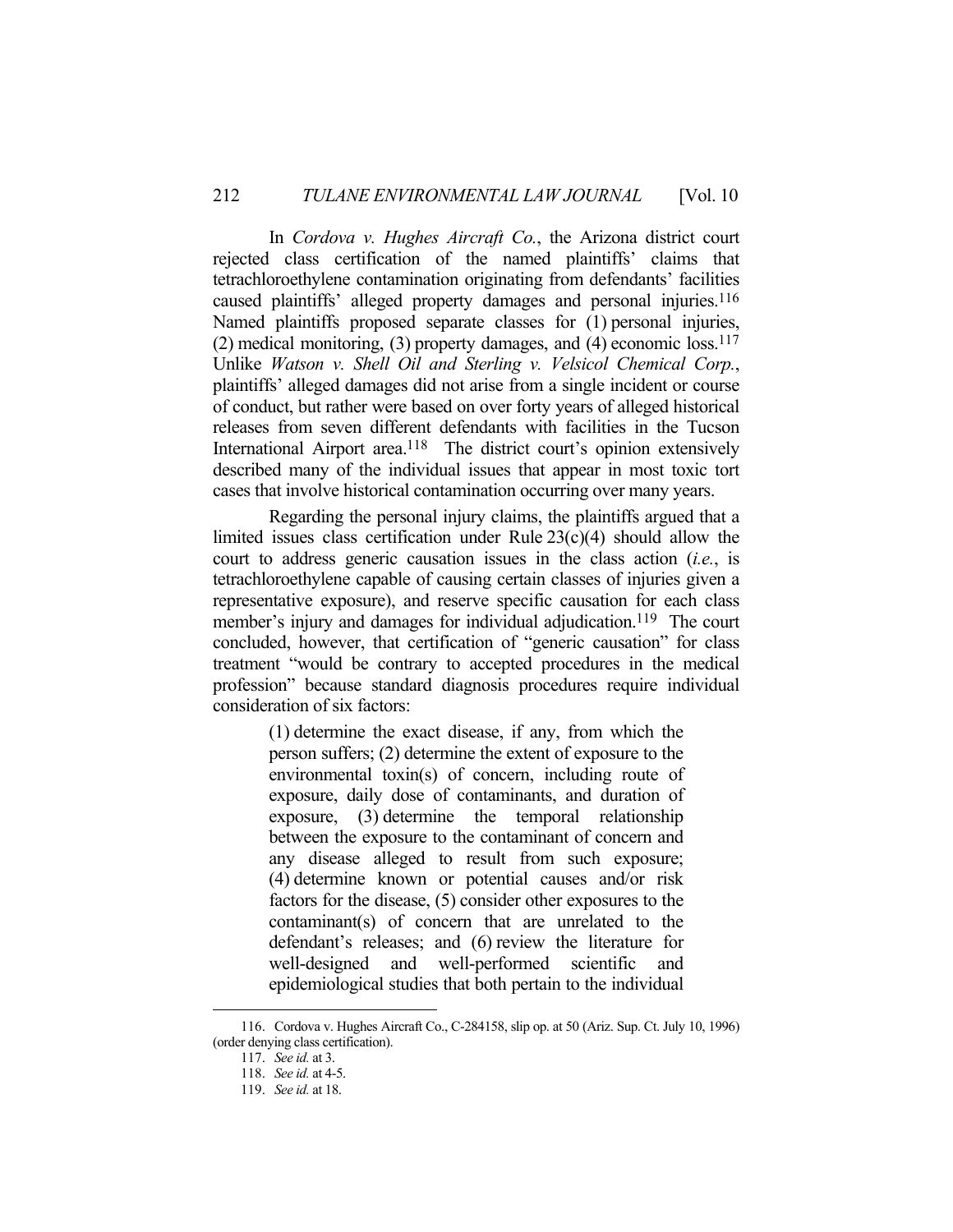In *Cordova v. Hughes Aircraft Co.*, the Arizona district court rejected class certification of the named plaintiffs' claims that tetrachloroethylene contamination originating from defendants' facilities caused plaintiffs' alleged property damages and personal injuries.116 Named plaintiffs proposed separate classes for (1) personal injuries, (2) medical monitoring, (3) property damages, and (4) economic  $loss<sup>117</sup>$ Unlike *Watson v. Shell Oil and Sterling v. Velsicol Chemical Corp.*, plaintiffs' alleged damages did not arise from a single incident or course of conduct, but rather were based on over forty years of alleged historical releases from seven different defendants with facilities in the Tucson International Airport area.<sup>118</sup> The district court's opinion extensively described many of the individual issues that appear in most toxic tort cases that involve historical contamination occurring over many years.

 Regarding the personal injury claims, the plaintiffs argued that a limited issues class certification under Rule  $23(c)(4)$  should allow the court to address generic causation issues in the class action (*i.e.*, is tetrachloroethylene capable of causing certain classes of injuries given a representative exposure), and reserve specific causation for each class member's injury and damages for individual adjudication.<sup>119</sup> The court concluded, however, that certification of "generic causation" for class treatment "would be contrary to accepted procedures in the medical profession" because standard diagnosis procedures require individual consideration of six factors:

> (1) determine the exact disease, if any, from which the person suffers; (2) determine the extent of exposure to the environmental toxin(s) of concern, including route of exposure, daily dose of contaminants, and duration of exposure, (3) determine the temporal relationship between the exposure to the contaminant of concern and any disease alleged to result from such exposure; (4) determine known or potential causes and/or risk factors for the disease, (5) consider other exposures to the contaminant(s) of concern that are unrelated to the defendant's releases; and (6) review the literature for well-designed and well-performed scientific and epidemiological studies that both pertain to the individual

 <sup>116.</sup> Cordova v. Hughes Aircraft Co., C-284158, slip op. at 50 (Ariz. Sup. Ct. July 10, 1996) (order denying class certification).

 <sup>117.</sup> *See id.* at 3.

 <sup>118.</sup> *See id.* at 4-5.

 <sup>119.</sup> *See id.* at 18.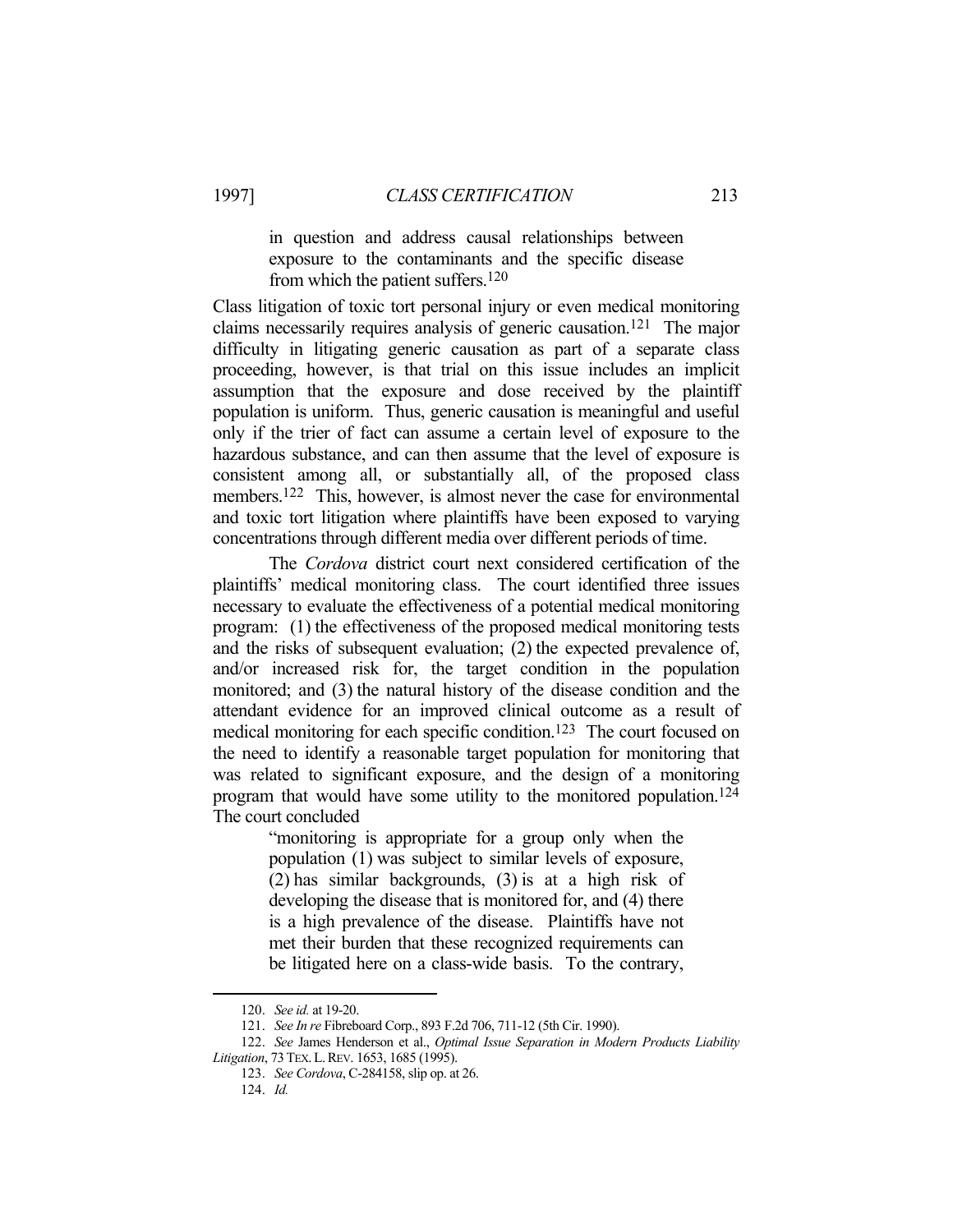in question and address causal relationships between exposure to the contaminants and the specific disease from which the patient suffers.120

Class litigation of toxic tort personal injury or even medical monitoring claims necessarily requires analysis of generic causation.121 The major difficulty in litigating generic causation as part of a separate class proceeding, however, is that trial on this issue includes an implicit assumption that the exposure and dose received by the plaintiff population is uniform. Thus, generic causation is meaningful and useful only if the trier of fact can assume a certain level of exposure to the hazardous substance, and can then assume that the level of exposure is consistent among all, or substantially all, of the proposed class members.<sup>122</sup> This, however, is almost never the case for environmental and toxic tort litigation where plaintiffs have been exposed to varying concentrations through different media over different periods of time.

 The *Cordova* district court next considered certification of the plaintiffs' medical monitoring class. The court identified three issues necessary to evaluate the effectiveness of a potential medical monitoring program: (1) the effectiveness of the proposed medical monitoring tests and the risks of subsequent evaluation; (2) the expected prevalence of, and/or increased risk for, the target condition in the population monitored; and (3) the natural history of the disease condition and the attendant evidence for an improved clinical outcome as a result of medical monitoring for each specific condition.<sup>123</sup> The court focused on the need to identify a reasonable target population for monitoring that was related to significant exposure, and the design of a monitoring program that would have some utility to the monitored population.124 The court concluded

> "monitoring is appropriate for a group only when the population (1) was subject to similar levels of exposure, (2) has similar backgrounds, (3) is at a high risk of developing the disease that is monitored for, and (4) there is a high prevalence of the disease. Plaintiffs have not met their burden that these recognized requirements can be litigated here on a class-wide basis. To the contrary,

 <sup>120.</sup> *See id.* at 19-20.

 <sup>121.</sup> *See In re* Fibreboard Corp., 893 F.2d 706, 711-12 (5th Cir. 1990).

 <sup>122.</sup> *See* James Henderson et al., *Optimal Issue Separation in Modern Products Liability Litigation*, 73TEX.L.REV. 1653, 1685 (1995).

 <sup>123.</sup> *See Cordova*, C-284158, slip op. at 26.

 <sup>124.</sup> *Id.*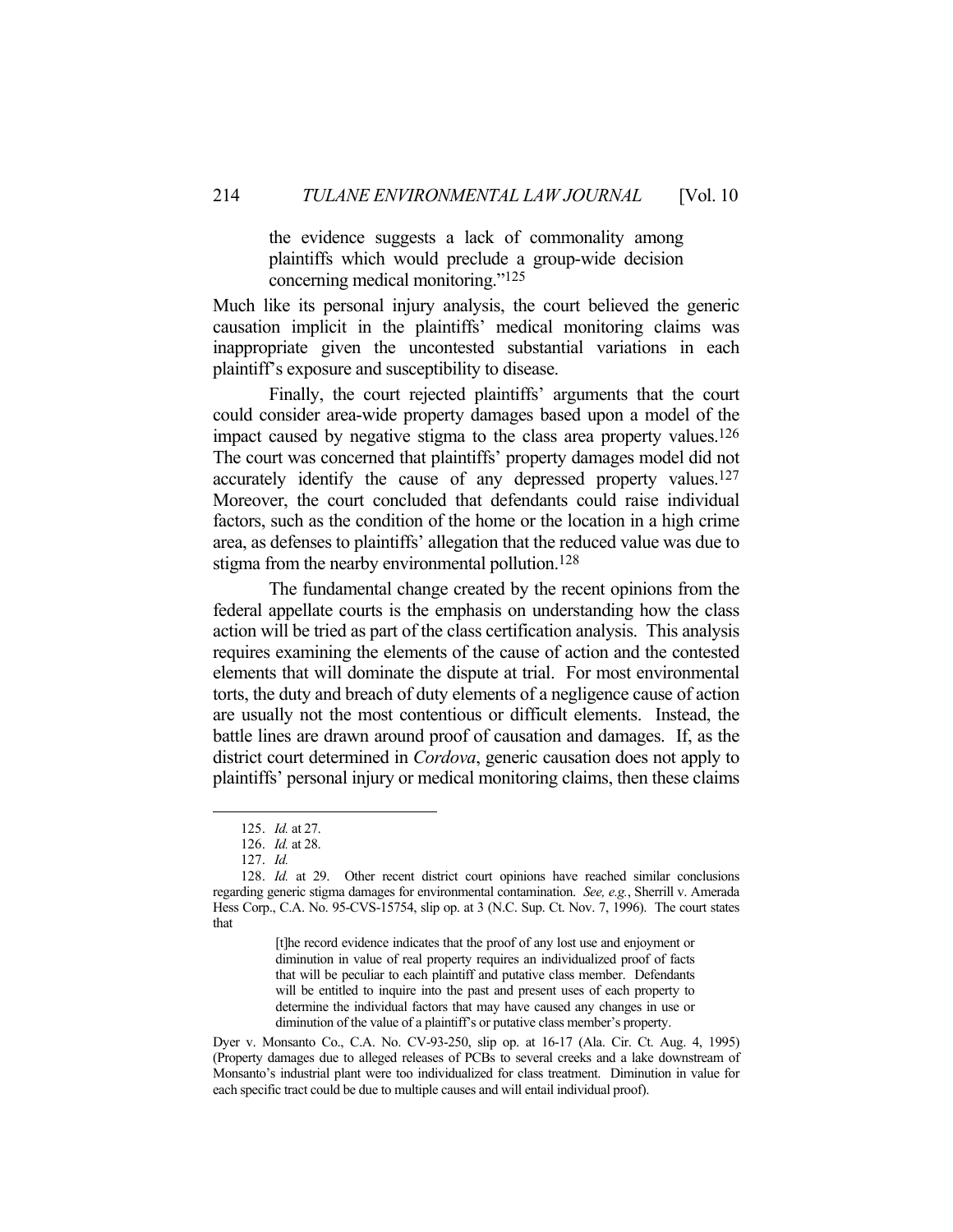the evidence suggests a lack of commonality among plaintiffs which would preclude a group-wide decision concerning medical monitoring."125

Much like its personal injury analysis, the court believed the generic causation implicit in the plaintiffs' medical monitoring claims was inappropriate given the uncontested substantial variations in each plaintiff's exposure and susceptibility to disease.

 Finally, the court rejected plaintiffs' arguments that the court could consider area-wide property damages based upon a model of the impact caused by negative stigma to the class area property values.126 The court was concerned that plaintiffs' property damages model did not accurately identify the cause of any depressed property values.127 Moreover, the court concluded that defendants could raise individual factors, such as the condition of the home or the location in a high crime area, as defenses to plaintiffs' allegation that the reduced value was due to stigma from the nearby environmental pollution.<sup>128</sup>

 The fundamental change created by the recent opinions from the federal appellate courts is the emphasis on understanding how the class action will be tried as part of the class certification analysis. This analysis requires examining the elements of the cause of action and the contested elements that will dominate the dispute at trial. For most environmental torts, the duty and breach of duty elements of a negligence cause of action are usually not the most contentious or difficult elements. Instead, the battle lines are drawn around proof of causation and damages. If, as the district court determined in *Cordova*, generic causation does not apply to plaintiffs' personal injury or medical monitoring claims, then these claims

1

[t]he record evidence indicates that the proof of any lost use and enjoyment or diminution in value of real property requires an individualized proof of facts that will be peculiar to each plaintiff and putative class member. Defendants will be entitled to inquire into the past and present uses of each property to determine the individual factors that may have caused any changes in use or diminution of the value of a plaintiff's or putative class member's property.

Dyer v. Monsanto Co., C.A. No. CV-93-250, slip op. at 16-17 (Ala. Cir. Ct. Aug. 4, 1995) (Property damages due to alleged releases of PCBs to several creeks and a lake downstream of Monsanto's industrial plant were too individualized for class treatment. Diminution in value for each specific tract could be due to multiple causes and will entail individual proof).

 <sup>125.</sup> *Id.* at 27.

 <sup>126.</sup> *Id.* at 28.

 <sup>127.</sup> *Id.*

 <sup>128.</sup> *Id.* at 29. Other recent district court opinions have reached similar conclusions regarding generic stigma damages for environmental contamination. *See, e.g.*, Sherrill v. Amerada Hess Corp., C.A. No. 95-CVS-15754, slip op. at 3 (N.C. Sup. Ct. Nov. 7, 1996). The court states that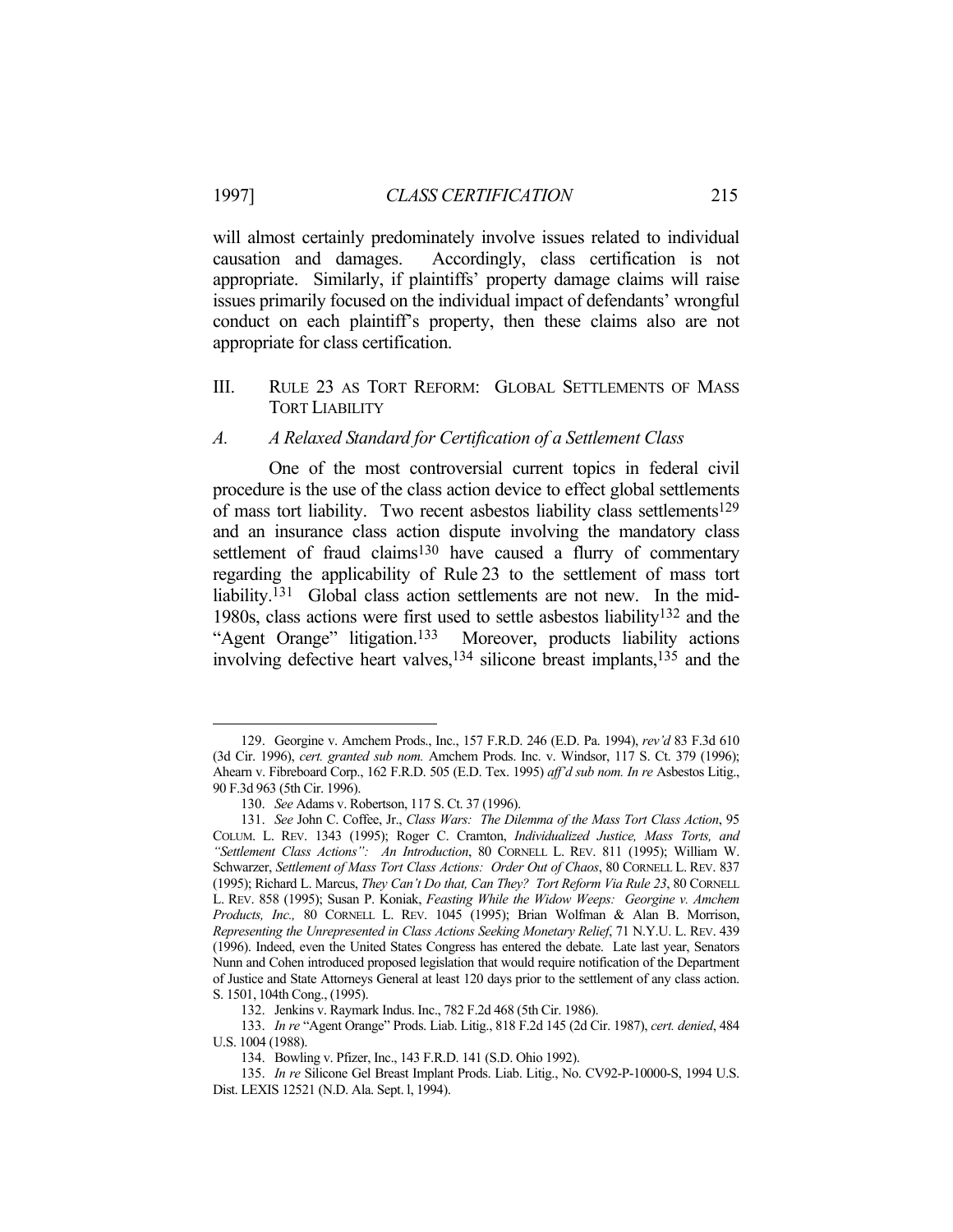will almost certainly predominately involve issues related to individual causation and damages. Accordingly, class certification is not appropriate. Similarly, if plaintiffs' property damage claims will raise issues primarily focused on the individual impact of defendants' wrongful conduct on each plaintiff's property, then these claims also are not appropriate for class certification.

III. RULE 23 AS TORT REFORM: GLOBAL SETTLEMENTS OF MASS TORT LIABILITY

#### *A. A Relaxed Standard for Certification of a Settlement Class*

 One of the most controversial current topics in federal civil procedure is the use of the class action device to effect global settlements of mass tort liability. Two recent asbestos liability class settlements<sup>129</sup> and an insurance class action dispute involving the mandatory class settlement of fraud claims<sup>130</sup> have caused a flurry of commentary regarding the applicability of Rule 23 to the settlement of mass tort liability.<sup>131</sup> Global class action settlements are not new. In the mid-1980s, class actions were first used to settle asbestos liability132 and the "Agent Orange" litigation.133 Moreover, products liability actions involving defective heart valves,134 silicone breast implants,135 and the

 <sup>129.</sup> Georgine v. Amchem Prods., Inc., 157 F.R.D. 246 (E.D. Pa. 1994), *rev'd* 83 F.3d 610 (3d Cir. 1996), *cert. granted sub nom.* Amchem Prods. Inc. v. Windsor, 117 S. Ct. 379 (1996); Ahearn v. Fibreboard Corp., 162 F.R.D. 505 (E.D. Tex. 1995) *aff'd sub nom. In re* Asbestos Litig., 90 F.3d 963 (5th Cir. 1996).

 <sup>130.</sup> *See* Adams v. Robertson, 117 S. Ct. 37 (1996).

 <sup>131.</sup> *See* John C. Coffee, Jr., *Class Wars: The Dilemma of the Mass Tort Class Action*, 95 COLUM. L. REV. 1343 (1995); Roger C. Cramton, *Individualized Justice, Mass Torts, and "Settlement Class Actions": An Introduction*, 80 CORNELL L. REV. 811 (1995); William W. Schwarzer, *Settlement of Mass Tort Class Actions: Order Out of Chaos*, 80 CORNELL L. REV. 837 (1995); Richard L. Marcus, *They Can't Do that, Can They? Tort Reform Via Rule 23*, 80 CORNELL L. REV. 858 (1995); Susan P. Koniak, *Feasting While the Widow Weeps: Georgine v. Amchem Products, Inc.,* 80 CORNELL L. REV. 1045 (1995); Brian Wolfman & Alan B. Morrison, *Representing the Unrepresented in Class Actions Seeking Monetary Relief*, 71 N.Y.U. L. REV. 439 (1996). Indeed, even the United States Congress has entered the debate. Late last year, Senators Nunn and Cohen introduced proposed legislation that would require notification of the Department of Justice and State Attorneys General at least 120 days prior to the settlement of any class action. S. 1501, 104th Cong., (1995).

 <sup>132.</sup> Jenkins v. Raymark Indus. Inc., 782 F.2d 468 (5th Cir. 1986).

 <sup>133.</sup> *In re* "Agent Orange" Prods. Liab. Litig., 818 F.2d 145 (2d Cir. 1987), *cert. denied*, 484 U.S. 1004 (1988).

 <sup>134.</sup> Bowling v. Pfizer, Inc., 143 F.R.D. 141 (S.D. Ohio 1992).

 <sup>135.</sup> *In re* Silicone Gel Breast Implant Prods. Liab. Litig., No. CV92-P-10000-S, 1994 U.S. Dist. LEXIS 12521 (N.D. Ala. Sept. l, 1994).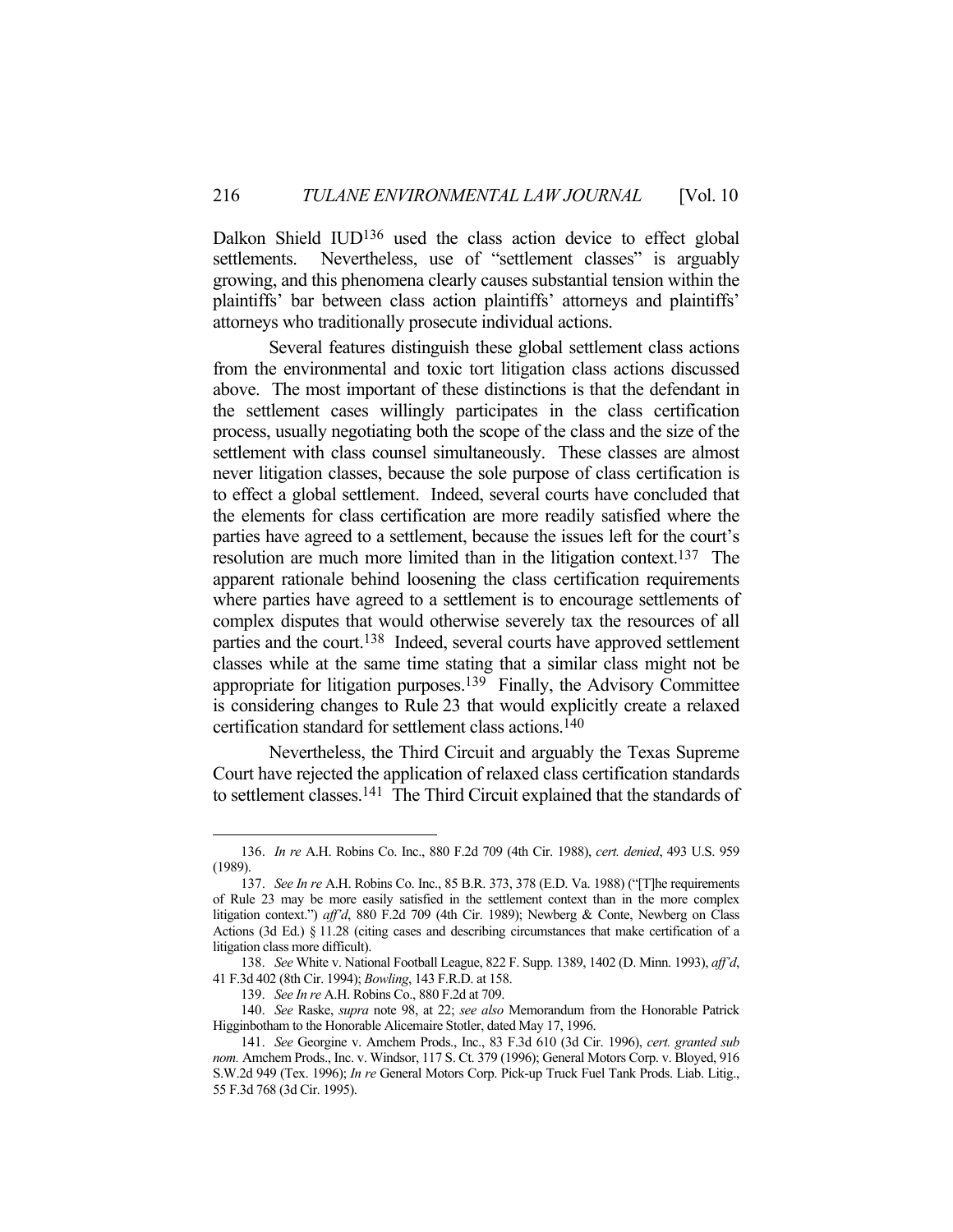Dalkon Shield IUD136 used the class action device to effect global settlements. Nevertheless, use of "settlement classes" is arguably growing, and this phenomena clearly causes substantial tension within the plaintiffs' bar between class action plaintiffs' attorneys and plaintiffs' attorneys who traditionally prosecute individual actions.

 Several features distinguish these global settlement class actions from the environmental and toxic tort litigation class actions discussed above. The most important of these distinctions is that the defendant in the settlement cases willingly participates in the class certification process, usually negotiating both the scope of the class and the size of the settlement with class counsel simultaneously. These classes are almost never litigation classes, because the sole purpose of class certification is to effect a global settlement. Indeed, several courts have concluded that the elements for class certification are more readily satisfied where the parties have agreed to a settlement, because the issues left for the court's resolution are much more limited than in the litigation context. 137 The apparent rationale behind loosening the class certification requirements where parties have agreed to a settlement is to encourage settlements of complex disputes that would otherwise severely tax the resources of all parties and the court.138 Indeed, several courts have approved settlement classes while at the same time stating that a similar class might not be appropriate for litigation purposes.139 Finally, the Advisory Committee is considering changes to Rule 23 that would explicitly create a relaxed certification standard for settlement class actions.140

 Nevertheless, the Third Circuit and arguably the Texas Supreme Court have rejected the application of relaxed class certification standards to settlement classes.141 The Third Circuit explained that the standards of

 <sup>136.</sup> *In re* A.H. Robins Co. Inc., 880 F.2d 709 (4th Cir. 1988), *cert. denied*, 493 U.S. 959 (1989).

 <sup>137.</sup> *See In re* A.H. Robins Co. Inc., 85 B.R. 373, 378 (E.D. Va. 1988) ("[T]he requirements of Rule 23 may be more easily satisfied in the settlement context than in the more complex litigation context.") *aff'd*, 880 F.2d 709 (4th Cir. 1989); Newberg & Conte, Newberg on Class Actions (3d Ed.) § 11.28 (citing cases and describing circumstances that make certification of a litigation class more difficult).

 <sup>138.</sup> *See* White v. National Football League, 822 F. Supp. 1389, 1402 (D. Minn. 1993), *aff'd*, 41 F.3d 402 (8th Cir. 1994); *Bowling*, 143 F.R.D. at 158.

 <sup>139.</sup> *See In re* A.H. Robins Co., 880 F.2d at 709.

 <sup>140.</sup> *See* Raske, *supra* note 98, at 22; *see also* Memorandum from the Honorable Patrick Higginbotham to the Honorable Alicemaire Stotler, dated May 17, 1996.

 <sup>141.</sup> *See* Georgine v. Amchem Prods., Inc., 83 F.3d 610 (3d Cir. 1996), *cert. granted sub nom.* Amchem Prods., Inc. v. Windsor, 117 S. Ct. 379 (1996); General Motors Corp. v. Bloyed, 916 S.W.2d 949 (Tex. 1996); *In re* General Motors Corp. Pick-up Truck Fuel Tank Prods. Liab. Litig., 55 F.3d 768 (3d Cir. 1995).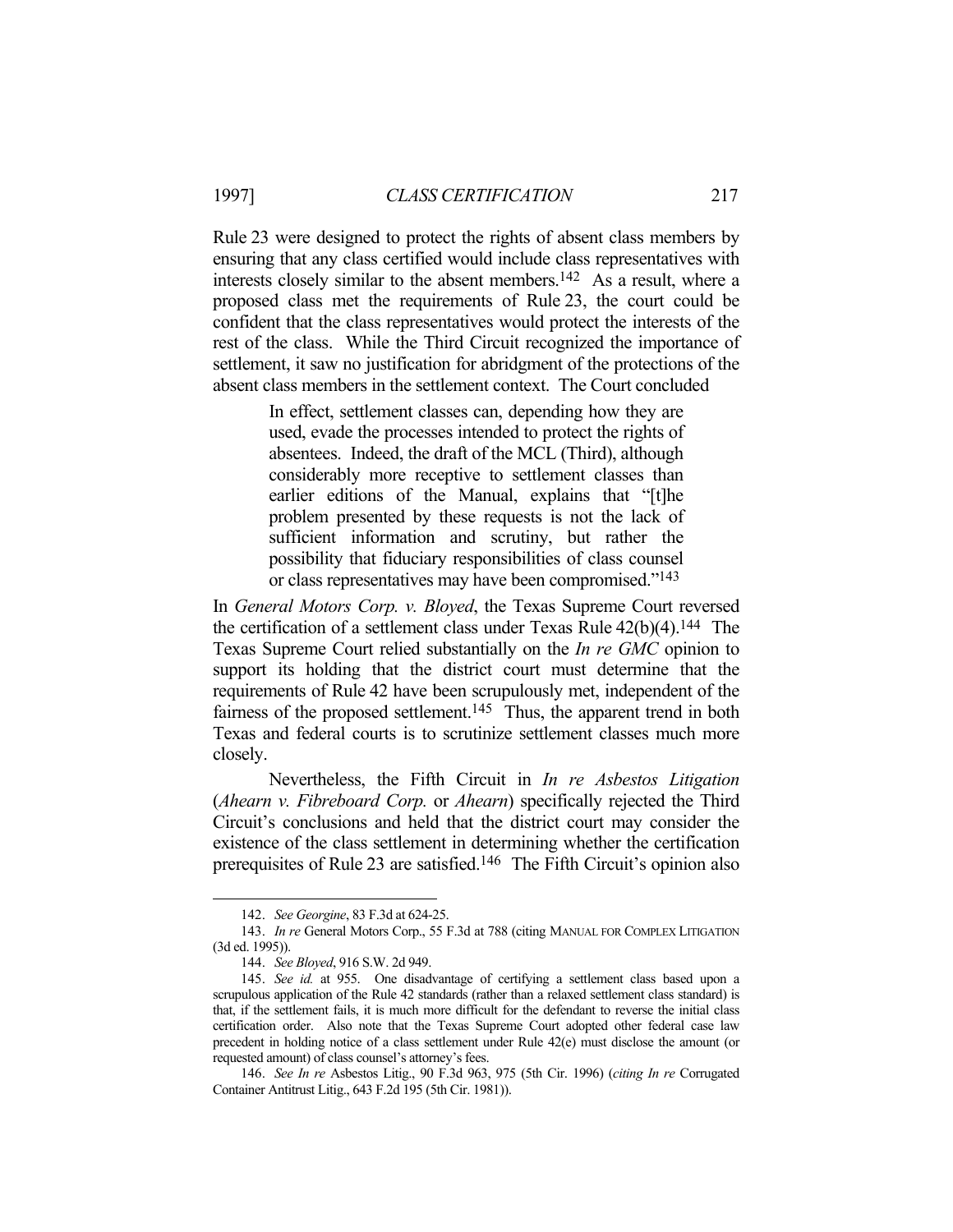Rule 23 were designed to protect the rights of absent class members by ensuring that any class certified would include class representatives with interests closely similar to the absent members.142 As a result, where a proposed class met the requirements of Rule 23, the court could be confident that the class representatives would protect the interests of the rest of the class. While the Third Circuit recognized the importance of settlement, it saw no justification for abridgment of the protections of the absent class members in the settlement context. The Court concluded

> In effect, settlement classes can, depending how they are used, evade the processes intended to protect the rights of absentees. Indeed, the draft of the MCL (Third), although considerably more receptive to settlement classes than earlier editions of the Manual, explains that "[t]he problem presented by these requests is not the lack of sufficient information and scrutiny, but rather the possibility that fiduciary responsibilities of class counsel or class representatives may have been compromised."143

In *General Motors Corp. v. Bloyed*, the Texas Supreme Court reversed the certification of a settlement class under Texas Rule  $42(b)(4)$ .<sup>144</sup> The Texas Supreme Court relied substantially on the *In re GMC* opinion to support its holding that the district court must determine that the requirements of Rule 42 have been scrupulously met, independent of the fairness of the proposed settlement.<sup>145</sup> Thus, the apparent trend in both Texas and federal courts is to scrutinize settlement classes much more closely.

 Nevertheless, the Fifth Circuit in *In re Asbestos Litigation* (*Ahearn v. Fibreboard Corp.* or *Ahearn*) specifically rejected the Third Circuit's conclusions and held that the district court may consider the existence of the class settlement in determining whether the certification prerequisites of Rule 23 are satisfied.<sup>146</sup> The Fifth Circuit's opinion also

 <sup>142.</sup> *See Georgine*, 83 F.3d at 624-25.

 <sup>143.</sup> *In re* General Motors Corp., 55 F.3d at 788 (citing MANUAL FOR COMPLEX LITIGATION (3d ed. 1995)).

 <sup>144.</sup> *See Bloyed*, 916 S.W. 2d 949.

 <sup>145.</sup> *See id.* at 955. One disadvantage of certifying a settlement class based upon a scrupulous application of the Rule 42 standards (rather than a relaxed settlement class standard) is that, if the settlement fails, it is much more difficult for the defendant to reverse the initial class certification order. Also note that the Texas Supreme Court adopted other federal case law precedent in holding notice of a class settlement under Rule 42(e) must disclose the amount (or requested amount) of class counsel's attorney's fees.

 <sup>146.</sup> *See In re* Asbestos Litig., 90 F.3d 963, 975 (5th Cir. 1996) (*citing In re* Corrugated Container Antitrust Litig., 643 F.2d 195 (5th Cir. 1981)).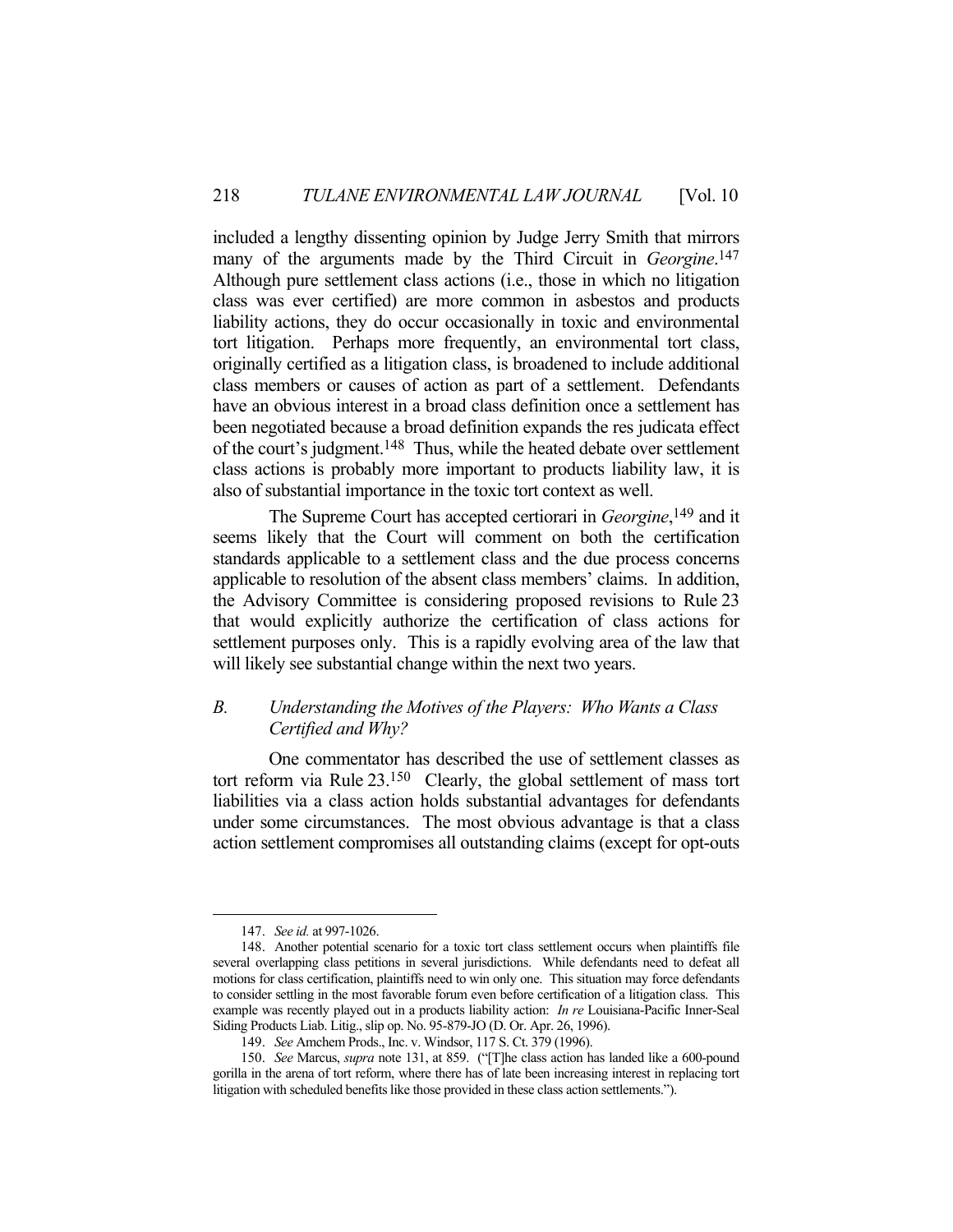included a lengthy dissenting opinion by Judge Jerry Smith that mirrors many of the arguments made by the Third Circuit in *Georgine*. 147 Although pure settlement class actions (i.e., those in which no litigation class was ever certified) are more common in asbestos and products liability actions, they do occur occasionally in toxic and environmental tort litigation. Perhaps more frequently, an environmental tort class, originally certified as a litigation class, is broadened to include additional class members or causes of action as part of a settlement. Defendants have an obvious interest in a broad class definition once a settlement has been negotiated because a broad definition expands the res judicata effect of the court's judgment.148 Thus, while the heated debate over settlement class actions is probably more important to products liability law, it is also of substantial importance in the toxic tort context as well.

 The Supreme Court has accepted certiorari in *Georgine*, 149 and it seems likely that the Court will comment on both the certification standards applicable to a settlement class and the due process concerns applicable to resolution of the absent class members' claims. In addition, the Advisory Committee is considering proposed revisions to Rule 23 that would explicitly authorize the certification of class actions for settlement purposes only. This is a rapidly evolving area of the law that will likely see substantial change within the next two years.

## *B. Understanding the Motives of the Players: Who Wants a Class Certified and Why?*

 One commentator has described the use of settlement classes as tort reform via Rule 23.150 Clearly, the global settlement of mass tort liabilities via a class action holds substantial advantages for defendants under some circumstances. The most obvious advantage is that a class action settlement compromises all outstanding claims (except for opt-outs

 <sup>147.</sup> *See id.* at 997-1026.

 <sup>148.</sup> Another potential scenario for a toxic tort class settlement occurs when plaintiffs file several overlapping class petitions in several jurisdictions. While defendants need to defeat all motions for class certification, plaintiffs need to win only one. This situation may force defendants to consider settling in the most favorable forum even before certification of a litigation class. This example was recently played out in a products liability action: *In re* Louisiana-Pacific Inner-Seal Siding Products Liab. Litig., slip op. No. 95-879-JO (D. Or. Apr. 26, 1996).

 <sup>149.</sup> *See* Amchem Prods., Inc. v. Windsor, 117 S. Ct. 379 (1996).

 <sup>150.</sup> *See* Marcus, *supra* note 131, at 859. ("[T]he class action has landed like a 600-pound gorilla in the arena of tort reform, where there has of late been increasing interest in replacing tort litigation with scheduled benefits like those provided in these class action settlements.").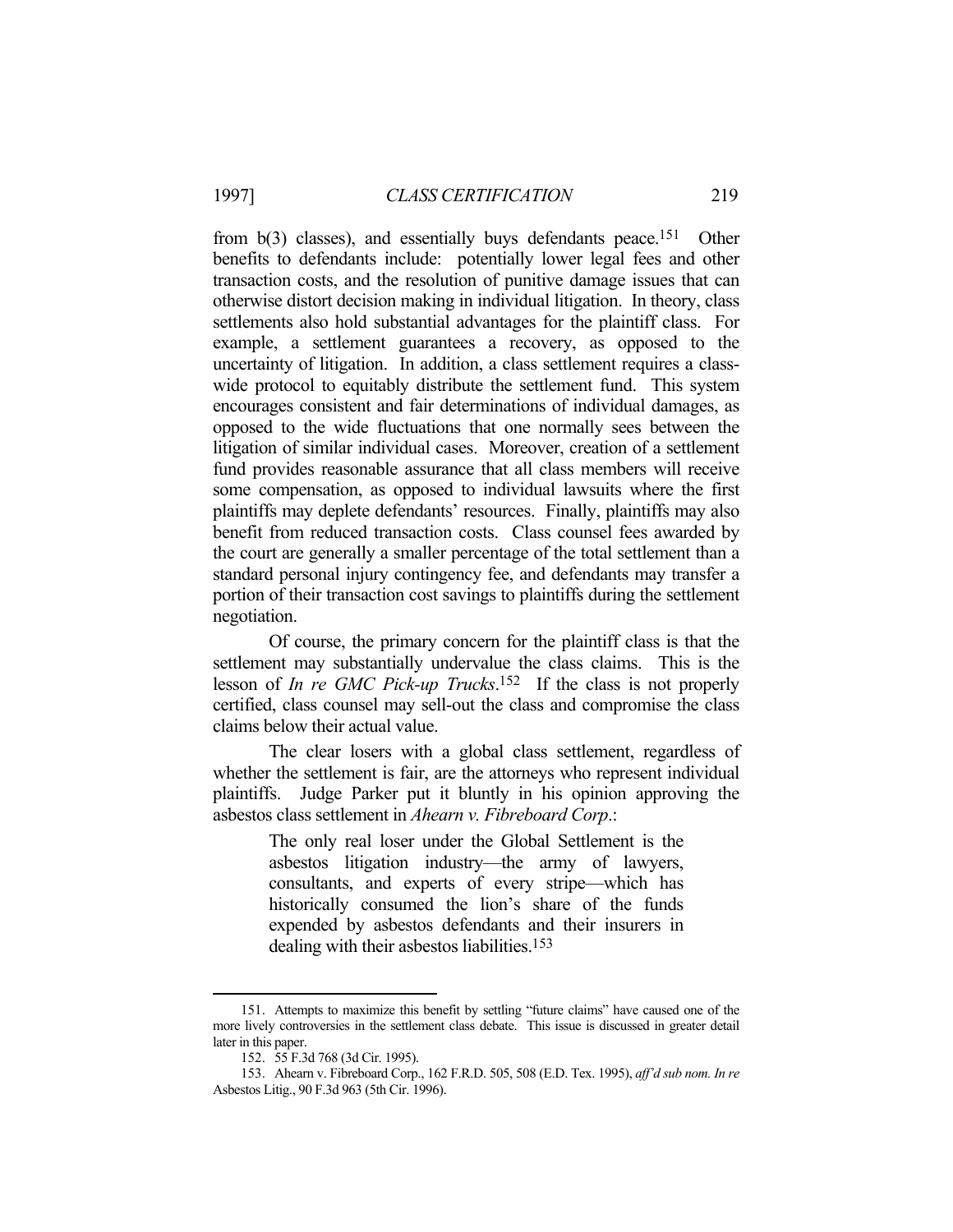from b(3) classes), and essentially buys defendants peace.151 Other benefits to defendants include: potentially lower legal fees and other transaction costs, and the resolution of punitive damage issues that can otherwise distort decision making in individual litigation. In theory, class settlements also hold substantial advantages for the plaintiff class. For example, a settlement guarantees a recovery, as opposed to the uncertainty of litigation. In addition, a class settlement requires a classwide protocol to equitably distribute the settlement fund. This system encourages consistent and fair determinations of individual damages, as opposed to the wide fluctuations that one normally sees between the litigation of similar individual cases. Moreover, creation of a settlement fund provides reasonable assurance that all class members will receive some compensation, as opposed to individual lawsuits where the first plaintiffs may deplete defendants' resources. Finally, plaintiffs may also benefit from reduced transaction costs. Class counsel fees awarded by the court are generally a smaller percentage of the total settlement than a standard personal injury contingency fee, and defendants may transfer a portion of their transaction cost savings to plaintiffs during the settlement negotiation.

 Of course, the primary concern for the plaintiff class is that the settlement may substantially undervalue the class claims. This is the lesson of *In re GMC Pick-up Trucks*. 152 If the class is not properly certified, class counsel may sell-out the class and compromise the class claims below their actual value.

 The clear losers with a global class settlement, regardless of whether the settlement is fair, are the attorneys who represent individual plaintiffs. Judge Parker put it bluntly in his opinion approving the asbestos class settlement in *Ahearn v. Fibreboard Corp*.:

> The only real loser under the Global Settlement is the asbestos litigation industry—the army of lawyers, consultants, and experts of every stripe—which has historically consumed the lion's share of the funds expended by asbestos defendants and their insurers in dealing with their asbestos liabilities.153

 <sup>151.</sup> Attempts to maximize this benefit by settling "future claims" have caused one of the more lively controversies in the settlement class debate. This issue is discussed in greater detail later in this paper.

 <sup>152. 55</sup> F.3d 768 (3d Cir. 1995).

 <sup>153.</sup> Ahearn v. Fibreboard Corp., 162 F.R.D. 505, 508 (E.D. Tex. 1995), *aff'd sub nom. In re* Asbestos Litig., 90 F.3d 963 (5th Cir. 1996).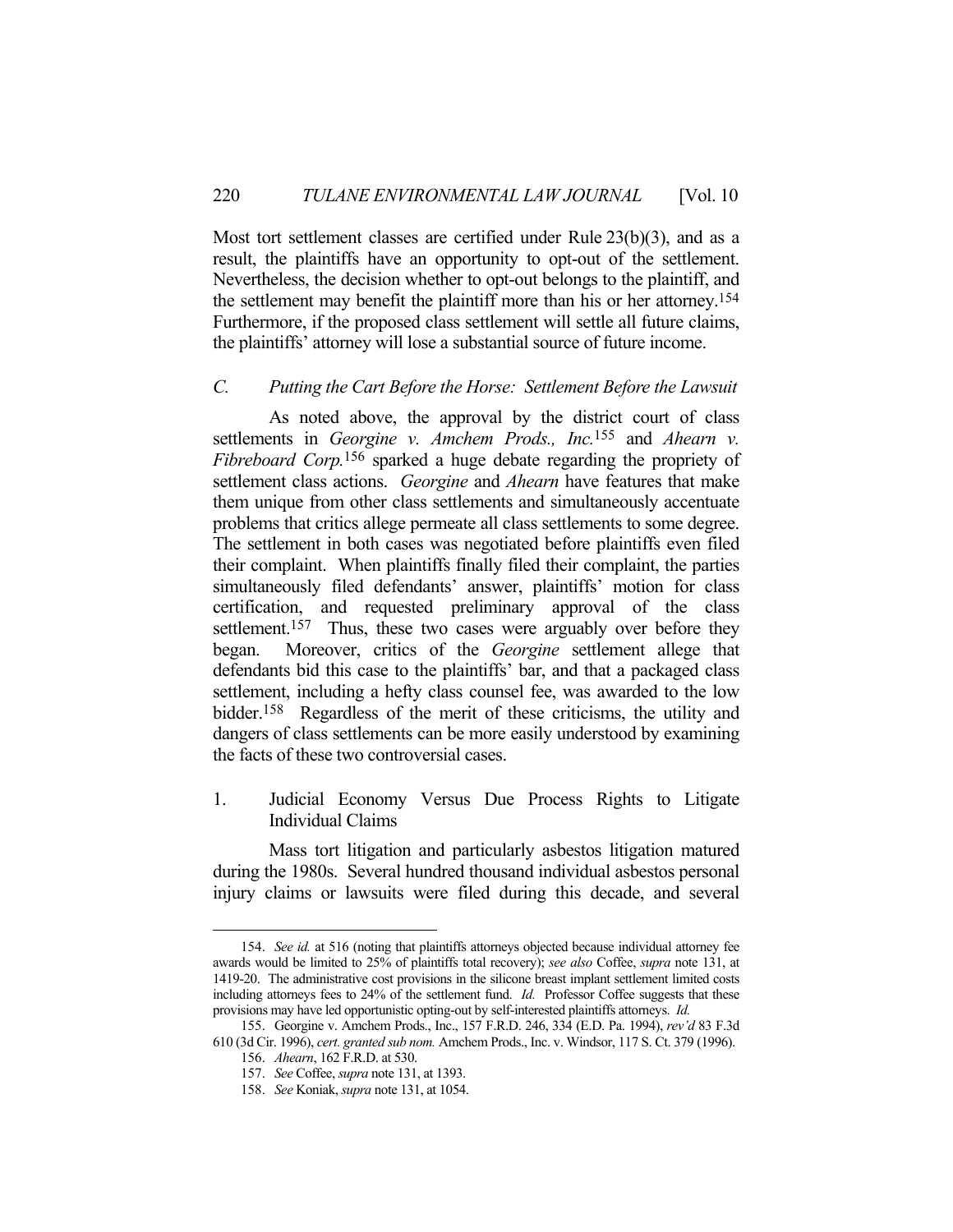Most tort settlement classes are certified under Rule 23(b)(3), and as a result, the plaintiffs have an opportunity to opt-out of the settlement. Nevertheless, the decision whether to opt-out belongs to the plaintiff, and the settlement may benefit the plaintiff more than his or her attorney.154 Furthermore, if the proposed class settlement will settle all future claims, the plaintiffs' attorney will lose a substantial source of future income.

#### *C. Putting the Cart Before the Horse: Settlement Before the Lawsuit*

 As noted above, the approval by the district court of class settlements in *Georgine v. Amchem Prods., Inc.*155 and *Ahearn v. Fibreboard Corp.*156 sparked a huge debate regarding the propriety of settlement class actions. *Georgine* and *Ahearn* have features that make them unique from other class settlements and simultaneously accentuate problems that critics allege permeate all class settlements to some degree. The settlement in both cases was negotiated before plaintiffs even filed their complaint. When plaintiffs finally filed their complaint, the parties simultaneously filed defendants' answer, plaintiffs' motion for class certification, and requested preliminary approval of the class settlement.<sup>157</sup> Thus, these two cases were arguably over before they began. Moreover, critics of the *Georgine* settlement allege that defendants bid this case to the plaintiffs' bar, and that a packaged class settlement, including a hefty class counsel fee, was awarded to the low bidder.158 Regardless of the merit of these criticisms, the utility and dangers of class settlements can be more easily understood by examining the facts of these two controversial cases.

1. Judicial Economy Versus Due Process Rights to Litigate Individual Claims

 Mass tort litigation and particularly asbestos litigation matured during the 1980s. Several hundred thousand individual asbestos personal injury claims or lawsuits were filed during this decade, and several

 <sup>154.</sup> *See id.* at 516 (noting that plaintiffs attorneys objected because individual attorney fee awards would be limited to 25% of plaintiffs total recovery); *see also* Coffee, *supra* note 131, at 1419-20. The administrative cost provisions in the silicone breast implant settlement limited costs including attorneys fees to 24% of the settlement fund. *Id.* Professor Coffee suggests that these provisions may have led opportunistic opting-out by self-interested plaintiffs attorneys. *Id.*

 <sup>155.</sup> Georgine v. Amchem Prods., Inc., 157 F.R.D. 246, 334 (E.D. Pa. 1994), *rev'd* 83 F.3d 610 (3d Cir. 1996), *cert. granted sub nom.* Amchem Prods., Inc. v. Windsor, 117 S. Ct. 379 (1996).

 <sup>156.</sup> *Ahearn*, 162 F.R.D. at 530.

 <sup>157.</sup> *See* Coffee, *supra* note 131, at 1393.

 <sup>158.</sup> *See* Koniak, *supra* note 131, at 1054.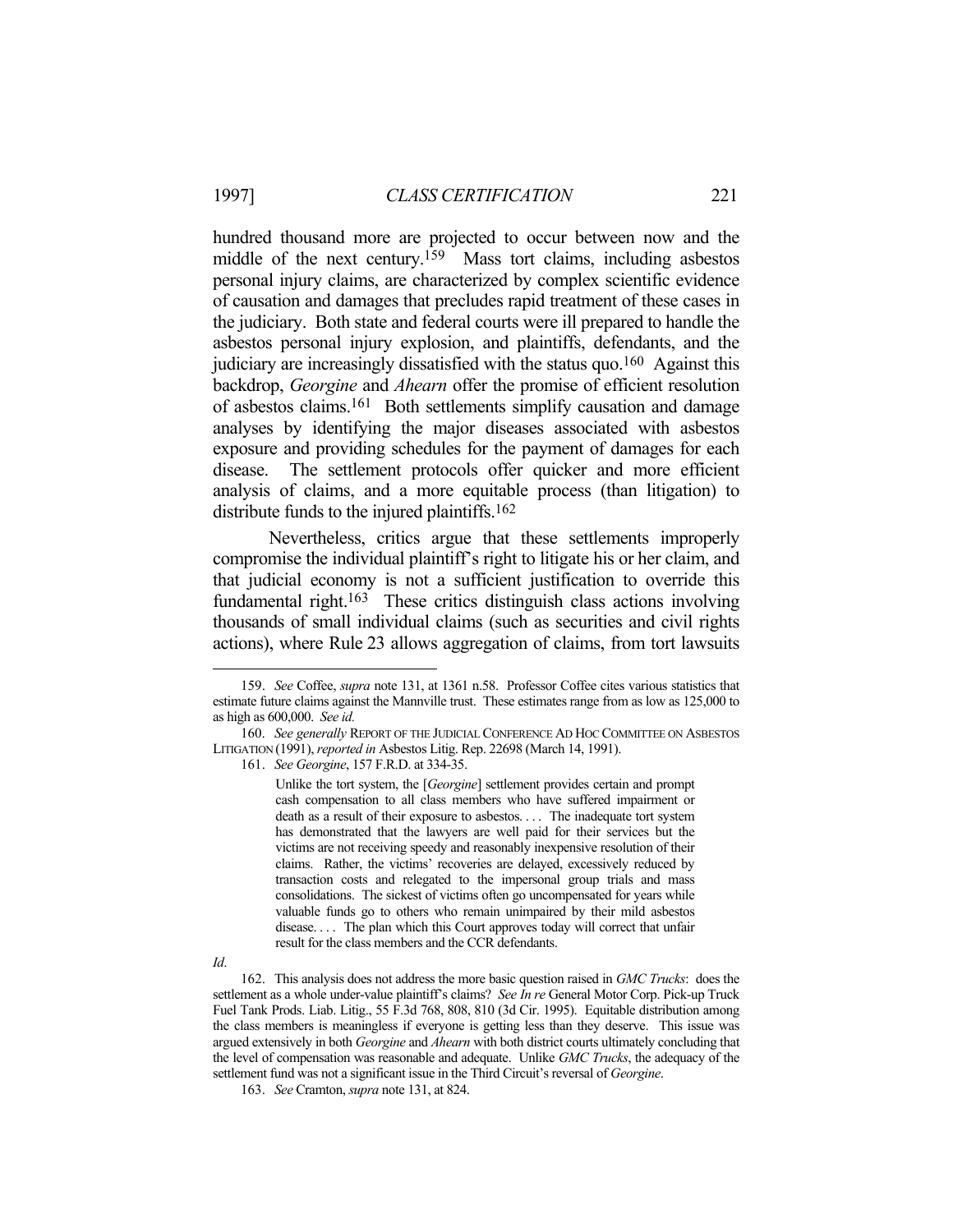hundred thousand more are projected to occur between now and the middle of the next century.<sup>159</sup> Mass tort claims, including asbestos personal injury claims, are characterized by complex scientific evidence of causation and damages that precludes rapid treatment of these cases in the judiciary. Both state and federal courts were ill prepared to handle the asbestos personal injury explosion, and plaintiffs, defendants, and the judiciary are increasingly dissatisfied with the status quo.160 Against this backdrop, *Georgine* and *Ahearn* offer the promise of efficient resolution of asbestos claims.161 Both settlements simplify causation and damage analyses by identifying the major diseases associated with asbestos exposure and providing schedules for the payment of damages for each disease. The settlement protocols offer quicker and more efficient analysis of claims, and a more equitable process (than litigation) to distribute funds to the injured plaintiffs.162

 Nevertheless, critics argue that these settlements improperly compromise the individual plaintiff's right to litigate his or her claim, and that judicial economy is not a sufficient justification to override this fundamental right.163 These critics distinguish class actions involving thousands of small individual claims (such as securities and civil rights actions), where Rule 23 allows aggregation of claims, from tort lawsuits

161. *See Georgine*, 157 F.R.D. at 334-35.

Unlike the tort system, the [*Georgine*] settlement provides certain and prompt cash compensation to all class members who have suffered impairment or death as a result of their exposure to asbestos. . . . The inadequate tort system has demonstrated that the lawyers are well paid for their services but the victims are not receiving speedy and reasonably inexpensive resolution of their claims. Rather, the victims' recoveries are delayed, excessively reduced by transaction costs and relegated to the impersonal group trials and mass consolidations. The sickest of victims often go uncompensated for years while valuable funds go to others who remain unimpaired by their mild asbestos disease. . . . The plan which this Court approves today will correct that unfair result for the class members and the CCR defendants.

 <sup>159.</sup> *See* Coffee, *supra* note 131, at 1361 n.58. Professor Coffee cites various statistics that estimate future claims against the Mannville trust. These estimates range from as low as 125,000 to as high as 600,000. *See id.*

 <sup>160.</sup> *See generally* REPORT OF THE JUDICIAL CONFERENCE AD HOC COMMITTEE ON ASBESTOS LITIGATION (1991), *reported in* Asbestos Litig. Rep. 22698 (March 14, 1991).

*Id*.

 <sup>162.</sup> This analysis does not address the more basic question raised in *GMC Trucks*: does the settlement as a whole under-value plaintiff's claims? *See In re* General Motor Corp. Pick-up Truck Fuel Tank Prods. Liab. Litig., 55 F.3d 768, 808, 810 (3d Cir. 1995). Equitable distribution among the class members is meaningless if everyone is getting less than they deserve. This issue was argued extensively in both *Georgine* and *Ahearn* with both district courts ultimately concluding that the level of compensation was reasonable and adequate. Unlike *GMC Trucks*, the adequacy of the settlement fund was not a significant issue in the Third Circuit's reversal of *Georgine*.

 <sup>163.</sup> *See* Cramton, *supra* note 131, at 824.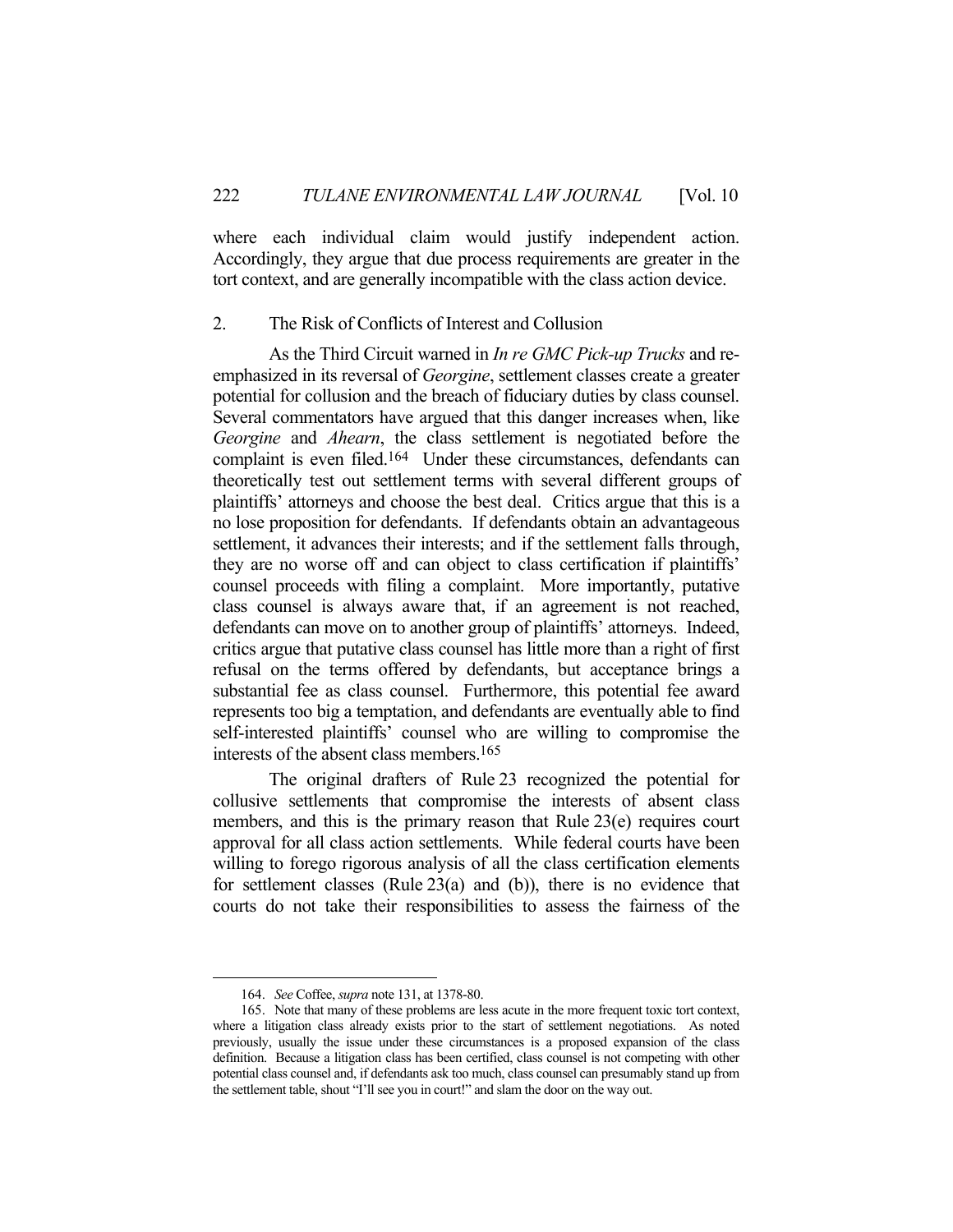where each individual claim would justify independent action. Accordingly, they argue that due process requirements are greater in the tort context, and are generally incompatible with the class action device.

#### 2. The Risk of Conflicts of Interest and Collusion

 As the Third Circuit warned in *In re GMC Pick-up Trucks* and reemphasized in its reversal of *Georgine*, settlement classes create a greater potential for collusion and the breach of fiduciary duties by class counsel. Several commentators have argued that this danger increases when, like *Georgine* and *Ahearn*, the class settlement is negotiated before the complaint is even filed.<sup>164</sup> Under these circumstances, defendants can theoretically test out settlement terms with several different groups of plaintiffs' attorneys and choose the best deal. Critics argue that this is a no lose proposition for defendants. If defendants obtain an advantageous settlement, it advances their interests; and if the settlement falls through, they are no worse off and can object to class certification if plaintiffs' counsel proceeds with filing a complaint. More importantly, putative class counsel is always aware that, if an agreement is not reached, defendants can move on to another group of plaintiffs' attorneys. Indeed, critics argue that putative class counsel has little more than a right of first refusal on the terms offered by defendants, but acceptance brings a substantial fee as class counsel. Furthermore, this potential fee award represents too big a temptation, and defendants are eventually able to find self-interested plaintiffs' counsel who are willing to compromise the interests of the absent class members.165

 The original drafters of Rule 23 recognized the potential for collusive settlements that compromise the interests of absent class members, and this is the primary reason that Rule 23(e) requires court approval for all class action settlements. While federal courts have been willing to forego rigorous analysis of all the class certification elements for settlement classes (Rule 23(a) and (b)), there is no evidence that courts do not take their responsibilities to assess the fairness of the

 <sup>164.</sup> *See* Coffee, *supra* note 131, at 1378-80.

 <sup>165.</sup> Note that many of these problems are less acute in the more frequent toxic tort context, where a litigation class already exists prior to the start of settlement negotiations. As noted previously, usually the issue under these circumstances is a proposed expansion of the class definition. Because a litigation class has been certified, class counsel is not competing with other potential class counsel and, if defendants ask too much, class counsel can presumably stand up from the settlement table, shout "I'll see you in court!" and slam the door on the way out.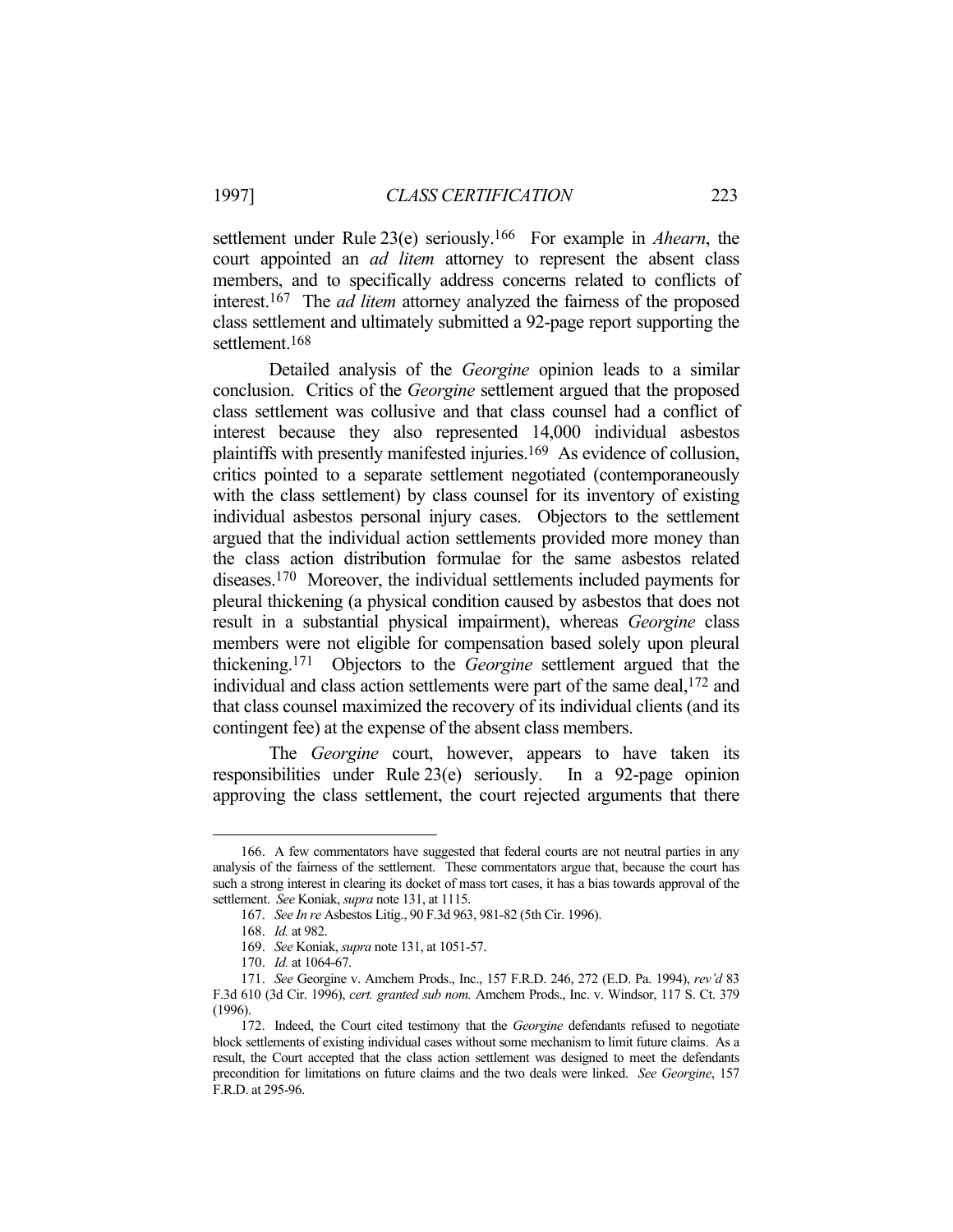settlement under Rule 23(e) seriously.166 For example in *Ahearn*, the court appointed an *ad litem* attorney to represent the absent class members, and to specifically address concerns related to conflicts of interest.167 The *ad litem* attorney analyzed the fairness of the proposed class settlement and ultimately submitted a 92-page report supporting the settlement.<sup>168</sup>

 Detailed analysis of the *Georgine* opinion leads to a similar conclusion. Critics of the *Georgine* settlement argued that the proposed class settlement was collusive and that class counsel had a conflict of interest because they also represented 14,000 individual asbestos plaintiffs with presently manifested injuries.169 As evidence of collusion, critics pointed to a separate settlement negotiated (contemporaneously with the class settlement) by class counsel for its inventory of existing individual asbestos personal injury cases. Objectors to the settlement argued that the individual action settlements provided more money than the class action distribution formulae for the same asbestos related diseases.170 Moreover, the individual settlements included payments for pleural thickening (a physical condition caused by asbestos that does not result in a substantial physical impairment), whereas *Georgine* class members were not eligible for compensation based solely upon pleural thickening.171 Objectors to the *Georgine* settlement argued that the individual and class action settlements were part of the same deal,<sup>172</sup> and that class counsel maximized the recovery of its individual clients (and its contingent fee) at the expense of the absent class members.

 The *Georgine* court, however, appears to have taken its responsibilities under Rule 23(e) seriously. In a 92-page opinion approving the class settlement, the court rejected arguments that there

 <sup>166.</sup> A few commentators have suggested that federal courts are not neutral parties in any analysis of the fairness of the settlement. These commentators argue that, because the court has such a strong interest in clearing its docket of mass tort cases, it has a bias towards approval of the settlement. *See* Koniak, *supra* note 131, at 1115.

 <sup>167.</sup> *See In re* Asbestos Litig., 90 F.3d 963, 981-82 (5th Cir. 1996).

 <sup>168.</sup> *Id.* at 982.

 <sup>169.</sup> *See* Koniak, *supra* note 131, at 1051-57.

 <sup>170.</sup> *Id.* at 1064-67.

 <sup>171.</sup> *See* Georgine v. Amchem Prods., Inc., 157 F.R.D. 246, 272 (E.D. Pa. 1994), *rev'd* 83 F.3d 610 (3d Cir. 1996), *cert. granted sub nom.* Amchem Prods., Inc. v. Windsor, 117 S. Ct. 379 (1996).

 <sup>172.</sup> Indeed, the Court cited testimony that the *Georgine* defendants refused to negotiate block settlements of existing individual cases without some mechanism to limit future claims. As a result, the Court accepted that the class action settlement was designed to meet the defendants precondition for limitations on future claims and the two deals were linked. *See Georgine*, 157 F.R.D. at 295-96.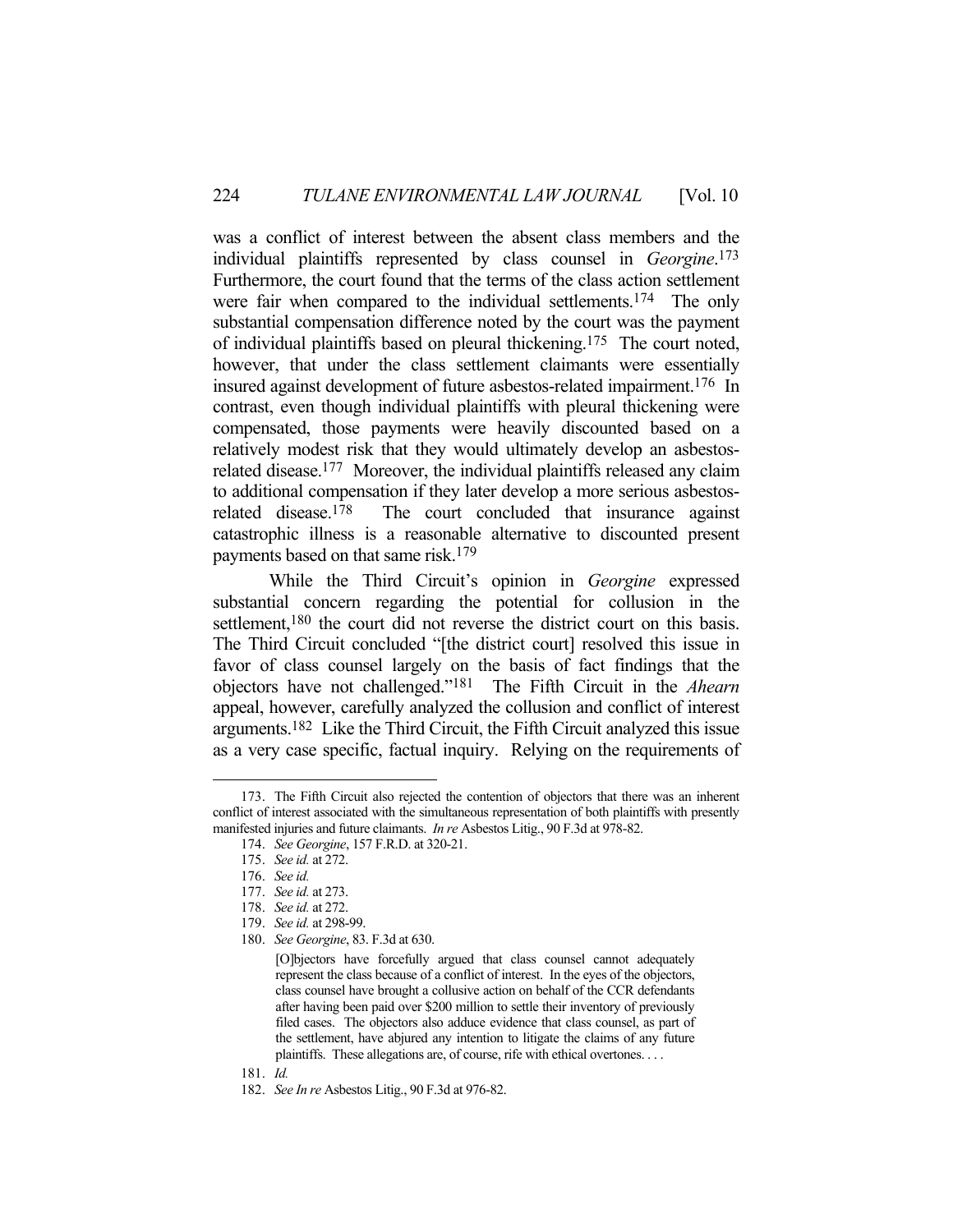was a conflict of interest between the absent class members and the individual plaintiffs represented by class counsel in *Georgine*. 173 Furthermore, the court found that the terms of the class action settlement were fair when compared to the individual settlements.<sup>174</sup> The only substantial compensation difference noted by the court was the payment of individual plaintiffs based on pleural thickening.175 The court noted, however, that under the class settlement claimants were essentially insured against development of future asbestos-related impairment.176 In contrast, even though individual plaintiffs with pleural thickening were compensated, those payments were heavily discounted based on a relatively modest risk that they would ultimately develop an asbestosrelated disease.<sup>177</sup> Moreover, the individual plaintiffs released any claim to additional compensation if they later develop a more serious asbestosrelated disease.<sup>178</sup> The court concluded that insurance against catastrophic illness is a reasonable alternative to discounted present payments based on that same risk.179

 While the Third Circuit's opinion in *Georgine* expressed substantial concern regarding the potential for collusion in the settlement,<sup>180</sup> the court did not reverse the district court on this basis. The Third Circuit concluded "[the district court] resolved this issue in favor of class counsel largely on the basis of fact findings that the objectors have not challenged."181 The Fifth Circuit in the *Ahearn* appeal, however, carefully analyzed the collusion and conflict of interest arguments.182 Like the Third Circuit, the Fifth Circuit analyzed this issue as a very case specific, factual inquiry. Relying on the requirements of

<u>.</u>

181. *Id.*

 <sup>173.</sup> The Fifth Circuit also rejected the contention of objectors that there was an inherent conflict of interest associated with the simultaneous representation of both plaintiffs with presently manifested injuries and future claimants. *In re* Asbestos Litig., 90 F.3d at 978-82.

 <sup>174.</sup> *See Georgine*, 157 F.R.D. at 320-21.

 <sup>175.</sup> *See id.* at 272.

 <sup>176.</sup> *See id.*

 <sup>177.</sup> *See id.* at 273.

 <sup>178.</sup> *See id.* at 272.

 <sup>179.</sup> *See id.* at 298-99.

 <sup>180.</sup> *See Georgine*, 83. F.3d at 630.

<sup>[</sup>O]bjectors have forcefully argued that class counsel cannot adequately represent the class because of a conflict of interest. In the eyes of the objectors, class counsel have brought a collusive action on behalf of the CCR defendants after having been paid over \$200 million to settle their inventory of previously filed cases. The objectors also adduce evidence that class counsel, as part of the settlement, have abjured any intention to litigate the claims of any future plaintiffs. These allegations are, of course, rife with ethical overtones. . . .

 <sup>182.</sup> *See In re* Asbestos Litig., 90 F.3d at 976-82.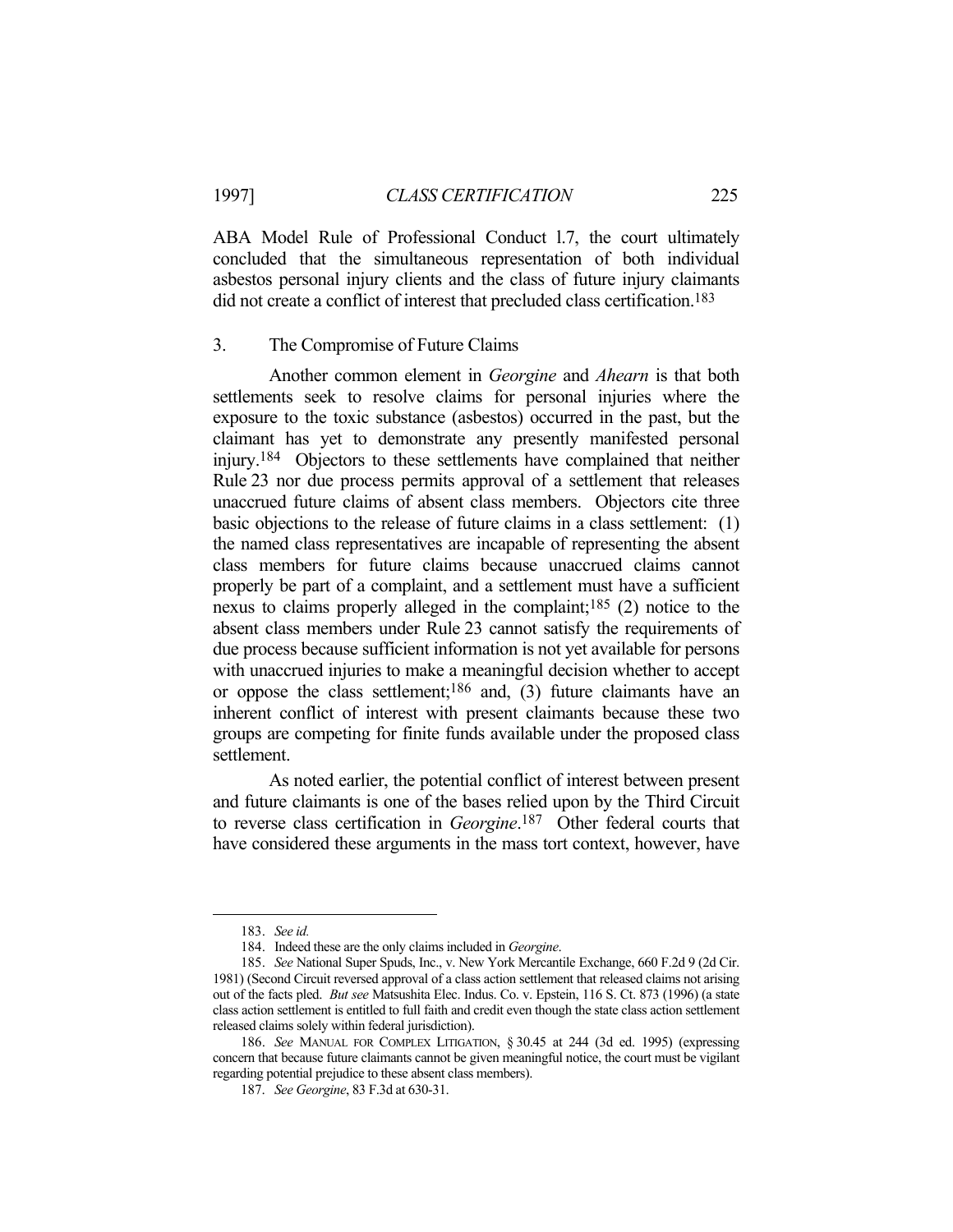ABA Model Rule of Professional Conduct l.7, the court ultimately concluded that the simultaneous representation of both individual asbestos personal injury clients and the class of future injury claimants did not create a conflict of interest that precluded class certification.<sup>183</sup>

#### 3. The Compromise of Future Claims

 Another common element in *Georgine* and *Ahearn* is that both settlements seek to resolve claims for personal injuries where the exposure to the toxic substance (asbestos) occurred in the past, but the claimant has yet to demonstrate any presently manifested personal injury.184 Objectors to these settlements have complained that neither Rule 23 nor due process permits approval of a settlement that releases unaccrued future claims of absent class members. Objectors cite three basic objections to the release of future claims in a class settlement: (1) the named class representatives are incapable of representing the absent class members for future claims because unaccrued claims cannot properly be part of a complaint, and a settlement must have a sufficient nexus to claims properly alleged in the complaint;185 (2) notice to the absent class members under Rule 23 cannot satisfy the requirements of due process because sufficient information is not yet available for persons with unaccrued injuries to make a meaningful decision whether to accept or oppose the class settlement;<sup>186</sup> and, (3) future claimants have an inherent conflict of interest with present claimants because these two groups are competing for finite funds available under the proposed class settlement.

 As noted earlier, the potential conflict of interest between present and future claimants is one of the bases relied upon by the Third Circuit to reverse class certification in *Georgine*. 187 Other federal courts that have considered these arguments in the mass tort context, however, have

 <sup>183.</sup> *See id.*

 <sup>184.</sup> Indeed these are the only claims included in *Georgine*.

 <sup>185.</sup> *See* National Super Spuds, Inc., v. New York Mercantile Exchange, 660 F.2d 9 (2d Cir. 1981) (Second Circuit reversed approval of a class action settlement that released claims not arising out of the facts pled. *But see* Matsushita Elec. Indus. Co. v. Epstein, 116 S. Ct. 873 (1996) (a state class action settlement is entitled to full faith and credit even though the state class action settlement released claims solely within federal jurisdiction).

 <sup>186.</sup> *See* MANUAL FOR COMPLEX LITIGATION, § 30.45 at 244 (3d ed. 1995) (expressing concern that because future claimants cannot be given meaningful notice, the court must be vigilant regarding potential prejudice to these absent class members).

 <sup>187.</sup> *See Georgine*, 83 F.3d at 630-31.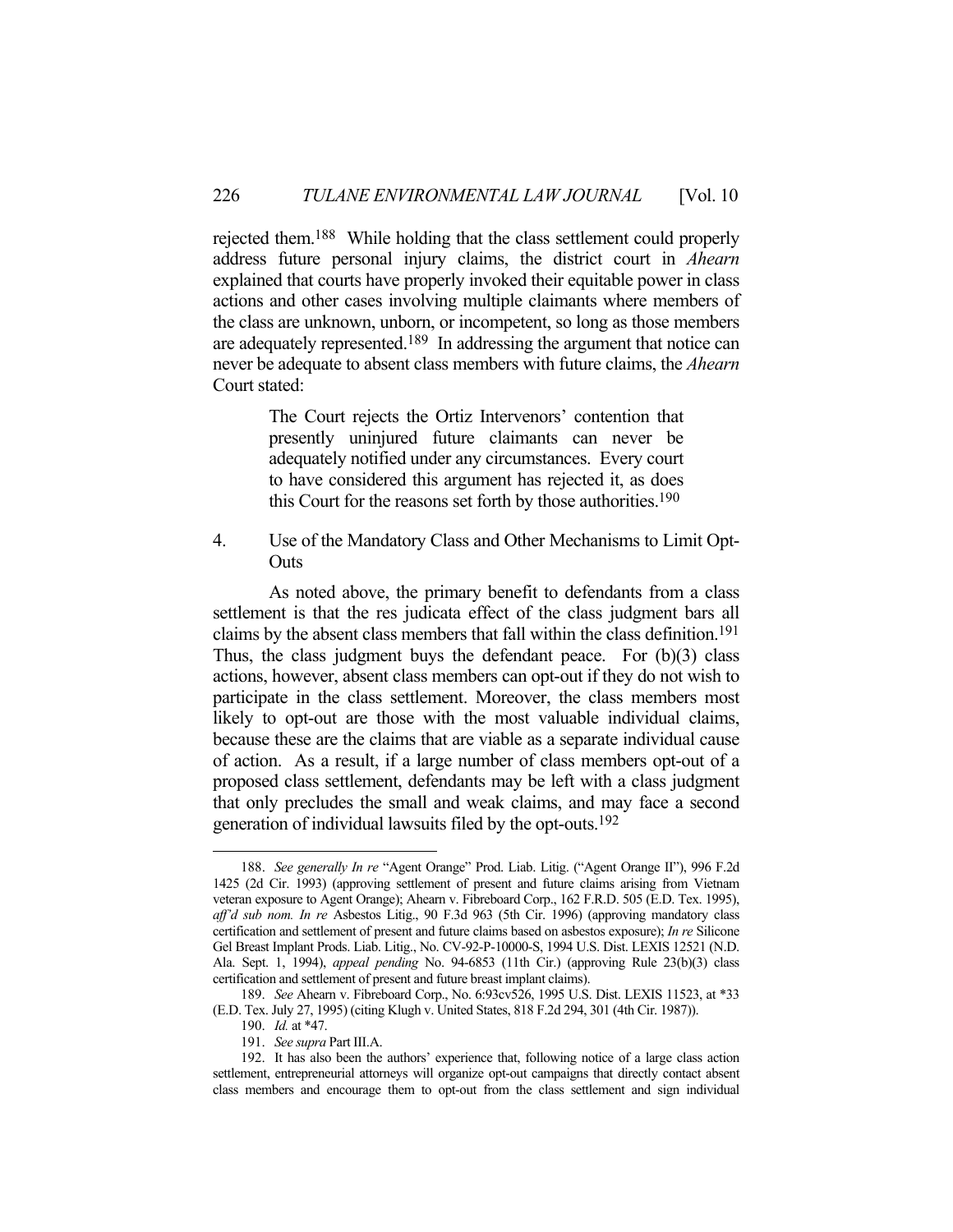rejected them.188 While holding that the class settlement could properly address future personal injury claims, the district court in *Ahearn* explained that courts have properly invoked their equitable power in class actions and other cases involving multiple claimants where members of the class are unknown, unborn, or incompetent, so long as those members are adequately represented.189 In addressing the argument that notice can never be adequate to absent class members with future claims, the *Ahearn* Court stated:

> The Court rejects the Ortiz Intervenors' contention that presently uninjured future claimants can never be adequately notified under any circumstances. Every court to have considered this argument has rejected it, as does this Court for the reasons set forth by those authorities.190

4. Use of the Mandatory Class and Other Mechanisms to Limit Opt-**Outs** 

 As noted above, the primary benefit to defendants from a class settlement is that the res judicata effect of the class judgment bars all claims by the absent class members that fall within the class definition.191 Thus, the class judgment buys the defendant peace. For (b)(3) class actions, however, absent class members can opt-out if they do not wish to participate in the class settlement. Moreover, the class members most likely to opt-out are those with the most valuable individual claims, because these are the claims that are viable as a separate individual cause of action. As a result, if a large number of class members opt-out of a proposed class settlement, defendants may be left with a class judgment that only precludes the small and weak claims, and may face a second generation of individual lawsuits filed by the opt-outs.192

1

191. *See supra* Part III.A.

 <sup>188.</sup> *See generally In re* "Agent Orange" Prod. Liab. Litig. ("Agent Orange II"), 996 F.2d 1425 (2d Cir. 1993) (approving settlement of present and future claims arising from Vietnam veteran exposure to Agent Orange); Ahearn v. Fibreboard Corp., 162 F.R.D. 505 (E.D. Tex. 1995), *aff'd sub nom. In re* Asbestos Litig., 90 F.3d 963 (5th Cir. 1996) (approving mandatory class certification and settlement of present and future claims based on asbestos exposure); *In re* Silicone Gel Breast Implant Prods. Liab. Litig., No. CV-92-P-10000-S, 1994 U.S. Dist. LEXIS 12521 (N.D. Ala. Sept. 1, 1994), *appeal pending* No. 94-6853 (11th Cir.) (approving Rule 23(b)(3) class certification and settlement of present and future breast implant claims).

 <sup>189.</sup> *See* Ahearn v. Fibreboard Corp., No. 6:93cv526, 1995 U.S. Dist. LEXIS 11523, at \*33 (E.D. Tex. July 27, 1995) (citing Klugh v. United States, 818 F.2d 294, 301 (4th Cir. 1987)).

 <sup>190.</sup> *Id.* at \*47.

 <sup>192.</sup> It has also been the authors' experience that, following notice of a large class action settlement, entrepreneurial attorneys will organize opt-out campaigns that directly contact absent class members and encourage them to opt-out from the class settlement and sign individual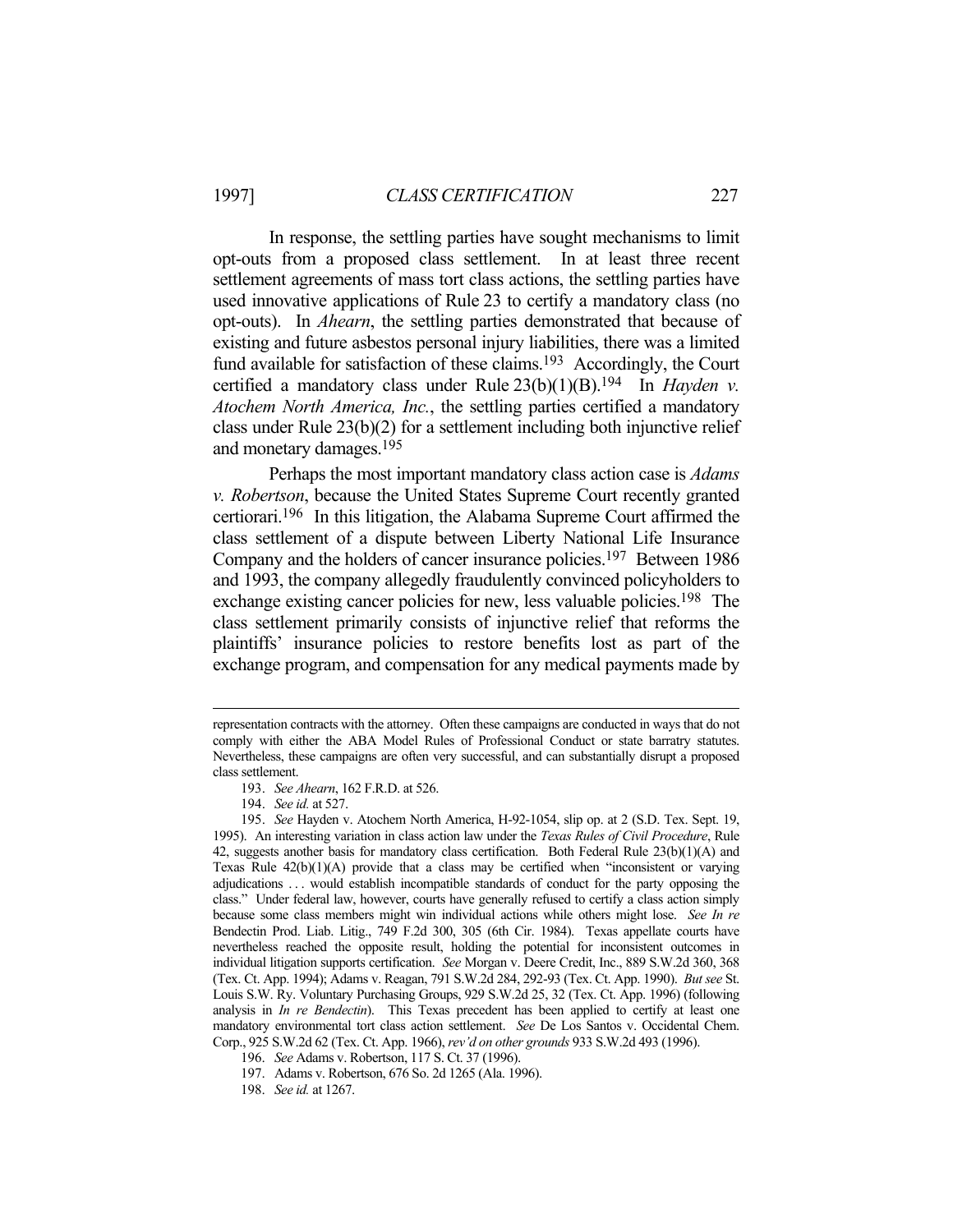In response, the settling parties have sought mechanisms to limit opt-outs from a proposed class settlement. In at least three recent settlement agreements of mass tort class actions, the settling parties have used innovative applications of Rule 23 to certify a mandatory class (no opt-outs). In *Ahearn*, the settling parties demonstrated that because of existing and future asbestos personal injury liabilities, there was a limited fund available for satisfaction of these claims.<sup>193</sup> Accordingly, the Court certified a mandatory class under Rule 23(b)(1)(B).194 In *Hayden v. Atochem North America, Inc.*, the settling parties certified a mandatory class under Rule 23(b)(2) for a settlement including both injunctive relief and monetary damages.195

 Perhaps the most important mandatory class action case is *Adams v. Robertson*, because the United States Supreme Court recently granted certiorari.196 In this litigation, the Alabama Supreme Court affirmed the class settlement of a dispute between Liberty National Life Insurance Company and the holders of cancer insurance policies.197 Between 1986 and 1993, the company allegedly fraudulently convinced policyholders to exchange existing cancer policies for new, less valuable policies.<sup>198</sup> The class settlement primarily consists of injunctive relief that reforms the plaintiffs' insurance policies to restore benefits lost as part of the exchange program, and compensation for any medical payments made by

representation contracts with the attorney. Often these campaigns are conducted in ways that do not comply with either the ABA Model Rules of Professional Conduct or state barratry statutes. Nevertheless, these campaigns are often very successful, and can substantially disrupt a proposed class settlement.

 <sup>193.</sup> *See Ahearn*, 162 F.R.D. at 526.

 <sup>194.</sup> *See id.* at 527.

 <sup>195.</sup> *See* Hayden v. Atochem North America, H-92-1054, slip op. at 2 (S.D. Tex. Sept. 19, 1995). An interesting variation in class action law under the *Texas Rules of Civil Procedure*, Rule 42, suggests another basis for mandatory class certification. Both Federal Rule 23(b)(1)(A) and Texas Rule  $42(b)(1)(A)$  provide that a class may be certified when "inconsistent or varying adjudications . . . would establish incompatible standards of conduct for the party opposing the class." Under federal law, however, courts have generally refused to certify a class action simply because some class members might win individual actions while others might lose. *See In re* Bendectin Prod. Liab. Litig., 749 F.2d 300, 305 (6th Cir. 1984). Texas appellate courts have nevertheless reached the opposite result, holding the potential for inconsistent outcomes in individual litigation supports certification. *See* Morgan v. Deere Credit, Inc., 889 S.W.2d 360, 368 (Tex. Ct. App. 1994); Adams v. Reagan, 791 S.W.2d 284, 292-93 (Tex. Ct. App. 1990). *But see* St. Louis S.W. Ry. Voluntary Purchasing Groups, 929 S.W.2d 25, 32 (Tex. Ct. App. 1996) (following analysis in *In re Bendectin*). This Texas precedent has been applied to certify at least one mandatory environmental tort class action settlement. *See* De Los Santos v. Occidental Chem. Corp., 925 S.W.2d 62 (Tex. Ct. App. 1966), *rev'd on other grounds* 933 S.W.2d 493 (1996).

 <sup>196.</sup> *See* Adams v. Robertson, 117 S. Ct. 37 (1996).

 <sup>197.</sup> Adams v. Robertson, 676 So. 2d 1265 (Ala. 1996).

 <sup>198.</sup> *See id.* at 1267.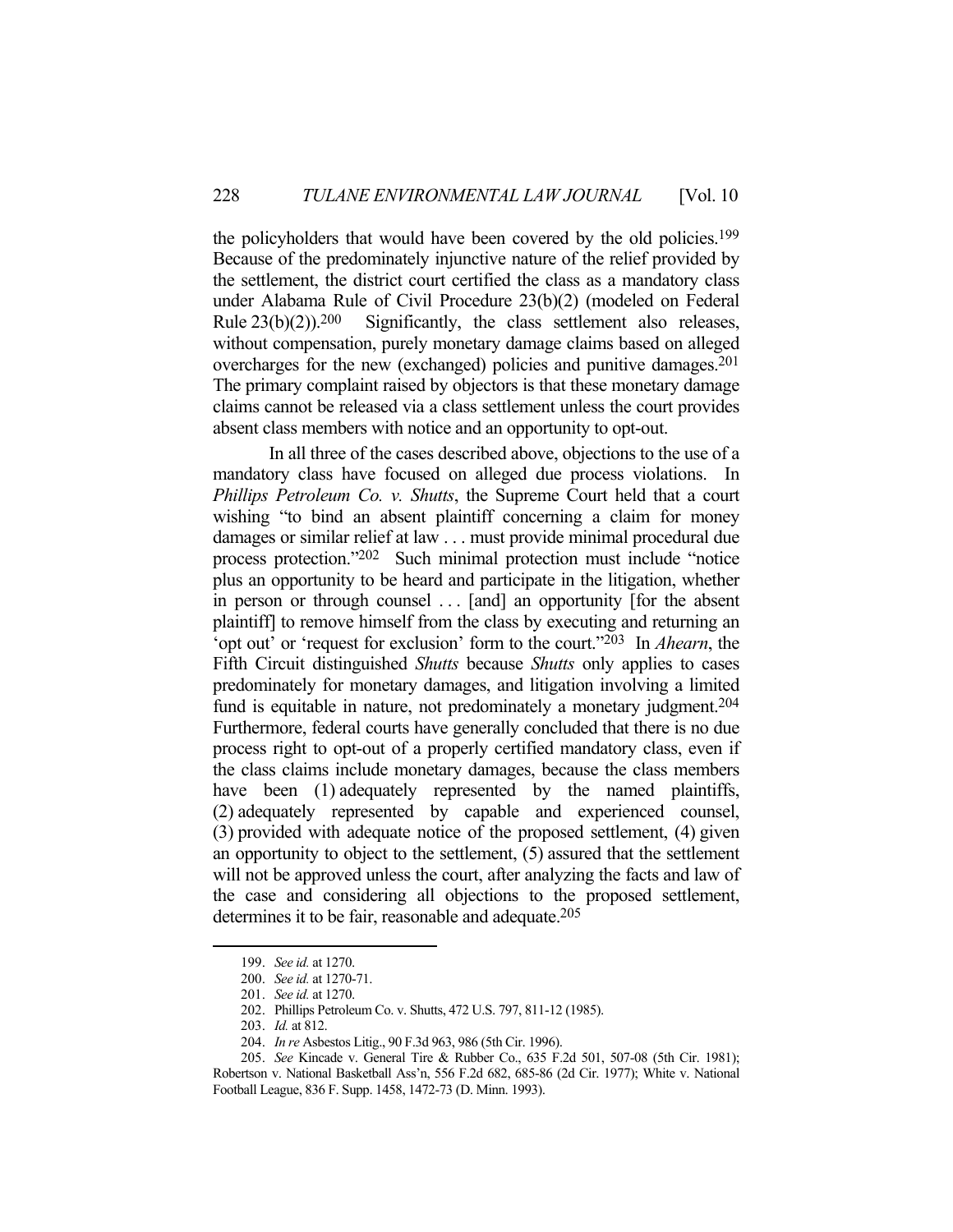the policyholders that would have been covered by the old policies.<sup>199</sup> Because of the predominately injunctive nature of the relief provided by the settlement, the district court certified the class as a mandatory class under Alabama Rule of Civil Procedure 23(b)(2) (modeled on Federal Rule  $23(b)(2)$ ).<sup>200</sup> Significantly, the class settlement also releases, without compensation, purely monetary damage claims based on alleged overcharges for the new (exchanged) policies and punitive damages.201 The primary complaint raised by objectors is that these monetary damage claims cannot be released via a class settlement unless the court provides absent class members with notice and an opportunity to opt-out.

 In all three of the cases described above, objections to the use of a mandatory class have focused on alleged due process violations. In *Phillips Petroleum Co. v. Shutts*, the Supreme Court held that a court wishing "to bind an absent plaintiff concerning a claim for money damages or similar relief at law . . . must provide minimal procedural due process protection."202 Such minimal protection must include "notice plus an opportunity to be heard and participate in the litigation, whether in person or through counsel ... [and] an opportunity [for the absent plaintiff] to remove himself from the class by executing and returning an 'opt out' or 'request for exclusion' form to the court."203 In *Ahearn*, the Fifth Circuit distinguished *Shutts* because *Shutts* only applies to cases predominately for monetary damages, and litigation involving a limited fund is equitable in nature, not predominately a monetary judgment.<sup>204</sup> Furthermore, federal courts have generally concluded that there is no due process right to opt-out of a properly certified mandatory class, even if the class claims include monetary damages, because the class members have been (1) adequately represented by the named plaintiffs, (2) adequately represented by capable and experienced counsel, (3) provided with adequate notice of the proposed settlement, (4) given an opportunity to object to the settlement, (5) assured that the settlement will not be approved unless the court, after analyzing the facts and law of the case and considering all objections to the proposed settlement, determines it to be fair, reasonable and adequate.<sup>205</sup>

 <sup>199.</sup> *See id.* at 1270.

 <sup>200.</sup> *See id.* at 1270-71.

 <sup>201.</sup> *See id.* at 1270.

 <sup>202.</sup> Phillips Petroleum Co. v. Shutts, 472 U.S. 797, 811-12 (1985).

 <sup>203.</sup> *Id.* at 812.

 <sup>204.</sup> *In re* Asbestos Litig., 90 F.3d 963, 986 (5th Cir. 1996).

 <sup>205.</sup> *See* Kincade v. General Tire & Rubber Co., 635 F.2d 501, 507-08 (5th Cir. 1981); Robertson v. National Basketball Ass'n, 556 F.2d 682, 685-86 (2d Cir. 1977); White v. National Football League, 836 F. Supp. 1458, 1472-73 (D. Minn. 1993).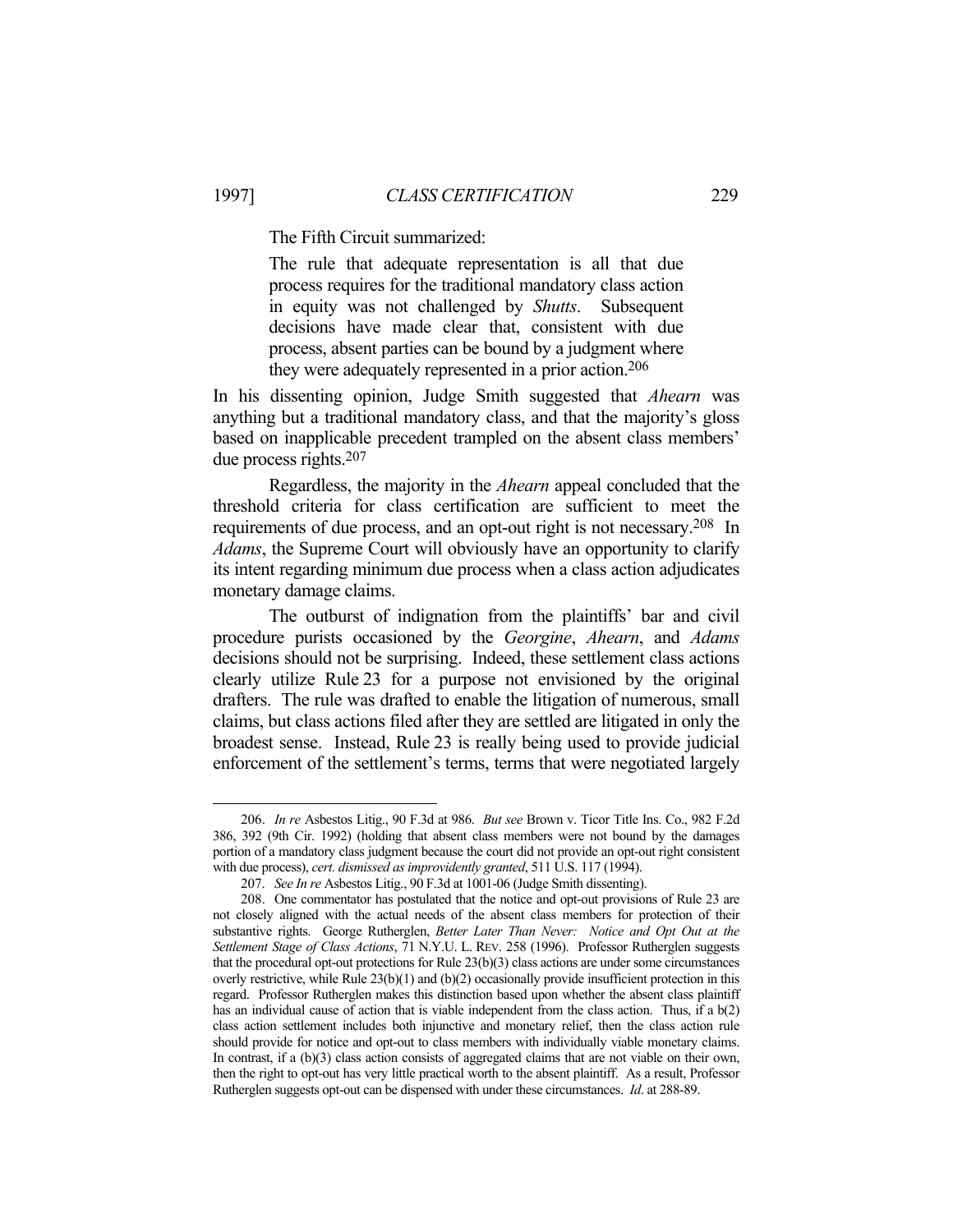The Fifth Circuit summarized:

The rule that adequate representation is all that due process requires for the traditional mandatory class action in equity was not challenged by *Shutts*. Subsequent decisions have made clear that, consistent with due process, absent parties can be bound by a judgment where they were adequately represented in a prior action.206

In his dissenting opinion, Judge Smith suggested that *Ahearn* was anything but a traditional mandatory class, and that the majority's gloss based on inapplicable precedent trampled on the absent class members' due process rights.207

 Regardless, the majority in the *Ahearn* appeal concluded that the threshold criteria for class certification are sufficient to meet the requirements of due process, and an opt-out right is not necessary.208 In *Adams*, the Supreme Court will obviously have an opportunity to clarify its intent regarding minimum due process when a class action adjudicates monetary damage claims.

 The outburst of indignation from the plaintiffs' bar and civil procedure purists occasioned by the *Georgine*, *Ahearn*, and *Adams* decisions should not be surprising. Indeed, these settlement class actions clearly utilize Rule 23 for a purpose not envisioned by the original drafters. The rule was drafted to enable the litigation of numerous, small claims, but class actions filed after they are settled are litigated in only the broadest sense. Instead, Rule 23 is really being used to provide judicial enforcement of the settlement's terms, terms that were negotiated largely

 <sup>206.</sup> *In re* Asbestos Litig., 90 F.3d at 986. *But see* Brown v. Ticor Title Ins. Co., 982 F.2d 386, 392 (9th Cir. 1992) (holding that absent class members were not bound by the damages portion of a mandatory class judgment because the court did not provide an opt-out right consistent with due process), *cert. dismissed as improvidently granted*, 511 U.S. 117 (1994).

 <sup>207.</sup> *See In re* Asbestos Litig., 90 F.3d at 1001-06 (Judge Smith dissenting).

 <sup>208.</sup> One commentator has postulated that the notice and opt-out provisions of Rule 23 are not closely aligned with the actual needs of the absent class members for protection of their substantive rights. George Rutherglen, *Better Later Than Never: Notice and Opt Out at the Settlement Stage of Class Actions*, 71 N.Y.U. L. REV. 258 (1996). Professor Rutherglen suggests that the procedural opt-out protections for Rule 23(b)(3) class actions are under some circumstances overly restrictive, while Rule 23(b)(1) and (b)(2) occasionally provide insufficient protection in this regard. Professor Rutherglen makes this distinction based upon whether the absent class plaintiff has an individual cause of action that is viable independent from the class action. Thus, if a  $b(2)$ class action settlement includes both injunctive and monetary relief, then the class action rule should provide for notice and opt-out to class members with individually viable monetary claims. In contrast, if a (b)(3) class action consists of aggregated claims that are not viable on their own, then the right to opt-out has very little practical worth to the absent plaintiff. As a result, Professor Rutherglen suggests opt-out can be dispensed with under these circumstances. *Id*. at 288-89.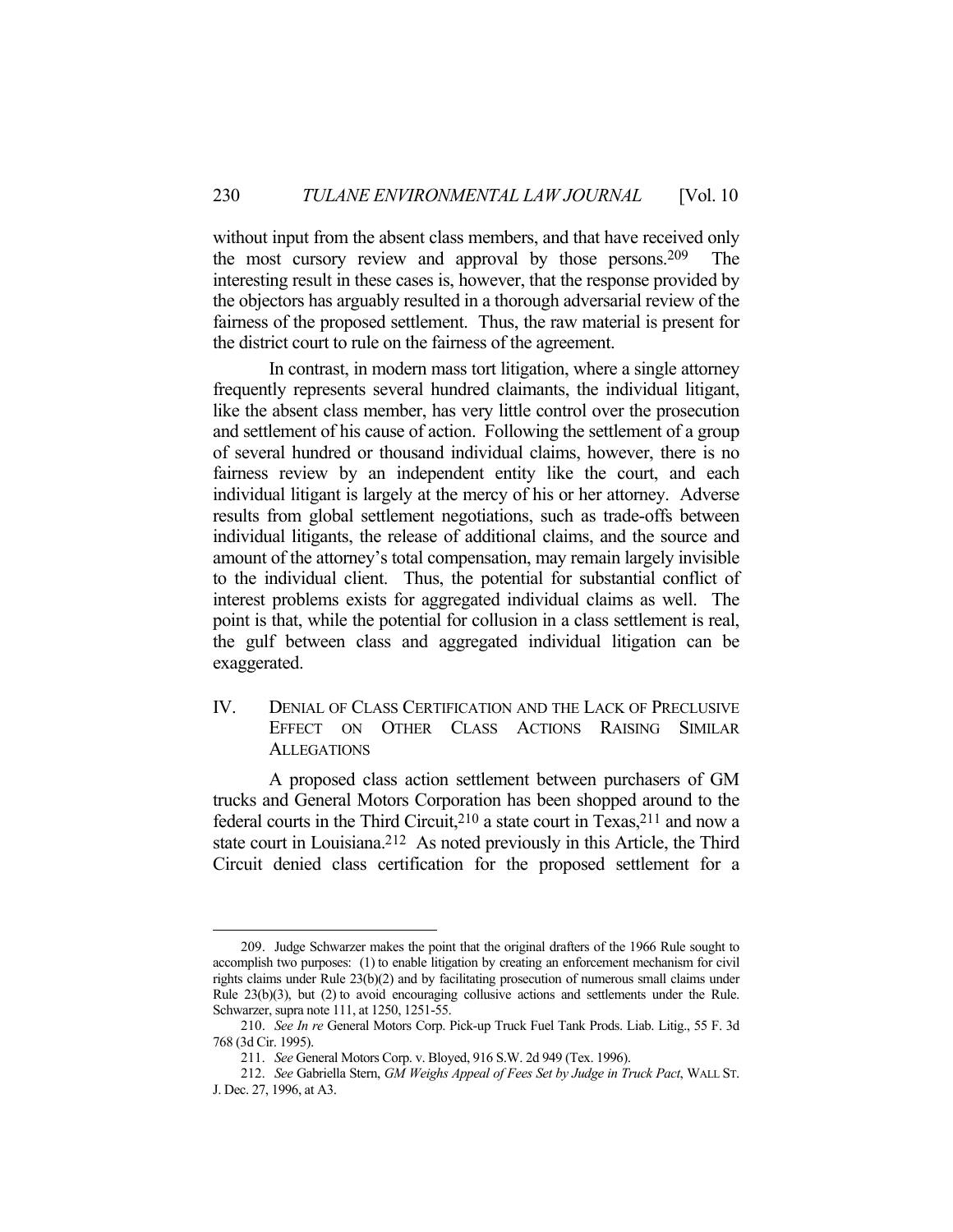without input from the absent class members, and that have received only the most cursory review and approval by those persons.209 The interesting result in these cases is, however, that the response provided by the objectors has arguably resulted in a thorough adversarial review of the fairness of the proposed settlement. Thus, the raw material is present for the district court to rule on the fairness of the agreement.

 In contrast, in modern mass tort litigation, where a single attorney frequently represents several hundred claimants, the individual litigant, like the absent class member, has very little control over the prosecution and settlement of his cause of action. Following the settlement of a group of several hundred or thousand individual claims, however, there is no fairness review by an independent entity like the court, and each individual litigant is largely at the mercy of his or her attorney. Adverse results from global settlement negotiations, such as trade-offs between individual litigants, the release of additional claims, and the source and amount of the attorney's total compensation, may remain largely invisible to the individual client. Thus, the potential for substantial conflict of interest problems exists for aggregated individual claims as well. The point is that, while the potential for collusion in a class settlement is real, the gulf between class and aggregated individual litigation can be exaggerated.

## IV. DENIAL OF CLASS CERTIFICATION AND THE LACK OF PRECLUSIVE EFFECT ON OTHER CLASS ACTIONS RAISING SIMILAR **ALLEGATIONS**

 A proposed class action settlement between purchasers of GM trucks and General Motors Corporation has been shopped around to the federal courts in the Third Circuit,<sup>210</sup> a state court in Texas,<sup>211</sup> and now a state court in Louisiana.<sup>212</sup> As noted previously in this Article, the Third Circuit denied class certification for the proposed settlement for a

 <sup>209.</sup> Judge Schwarzer makes the point that the original drafters of the 1966 Rule sought to accomplish two purposes: (1) to enable litigation by creating an enforcement mechanism for civil rights claims under Rule 23(b)(2) and by facilitating prosecution of numerous small claims under Rule 23(b)(3), but (2) to avoid encouraging collusive actions and settlements under the Rule. Schwarzer, supra note 111, at 1250, 1251-55.

 <sup>210.</sup> *See In re* General Motors Corp. Pick-up Truck Fuel Tank Prods. Liab. Litig., 55 F. 3d 768 (3d Cir. 1995).

 <sup>211.</sup> *See* General Motors Corp. v. Bloyed, 916 S.W. 2d 949 (Tex. 1996).

 <sup>212.</sup> *See* Gabriella Stern, *GM Weighs Appeal of Fees Set by Judge in Truck Pact*, WALL ST. J. Dec. 27, 1996, at A3.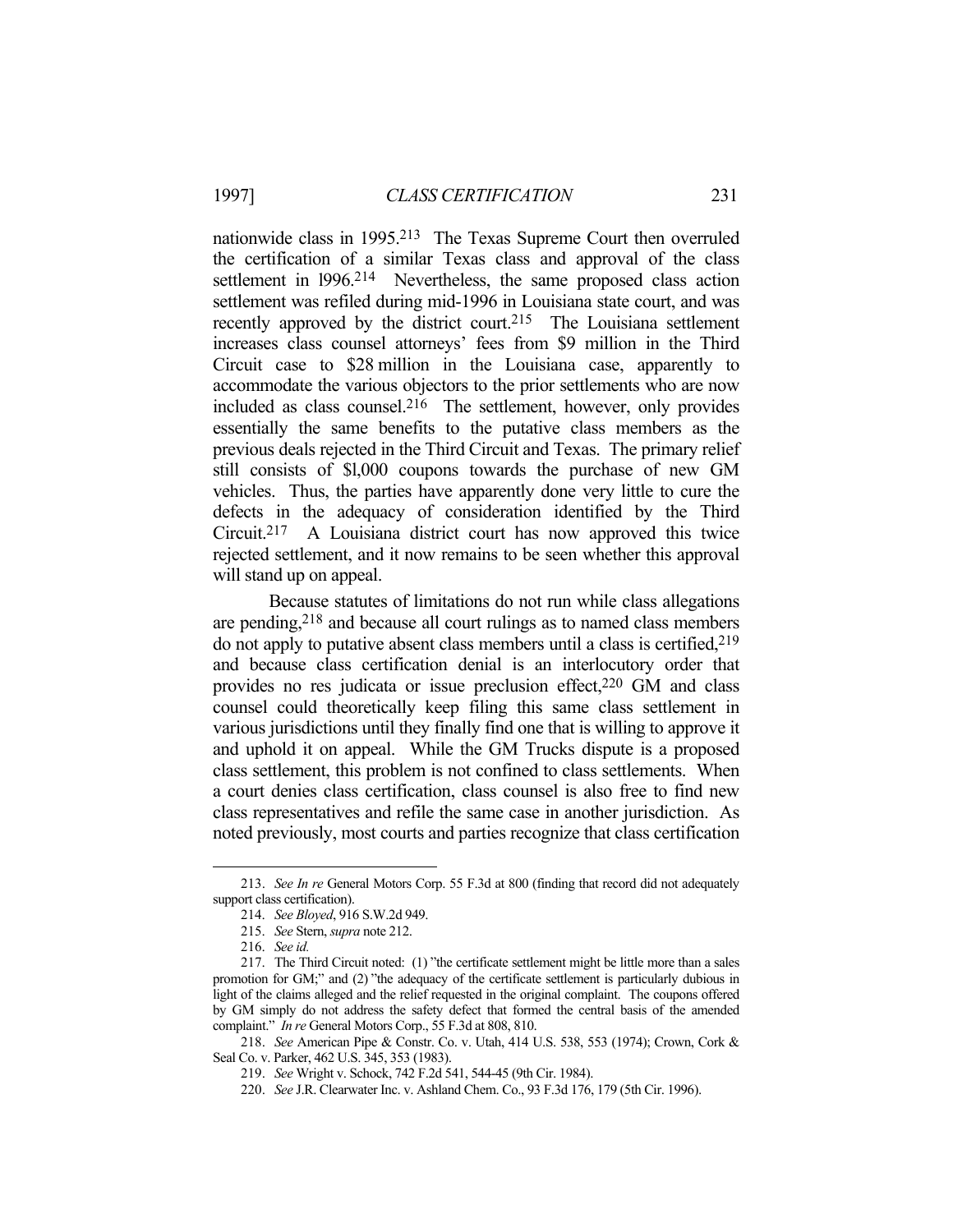nationwide class in 1995.213 The Texas Supreme Court then overruled the certification of a similar Texas class and approval of the class settlement in 1996.<sup>214</sup> Nevertheless, the same proposed class action settlement was refiled during mid-1996 in Louisiana state court, and was recently approved by the district court.215 The Louisiana settlement increases class counsel attorneys' fees from \$9 million in the Third Circuit case to \$28 million in the Louisiana case, apparently to accommodate the various objectors to the prior settlements who are now included as class counsel.216 The settlement, however, only provides essentially the same benefits to the putative class members as the previous deals rejected in the Third Circuit and Texas. The primary relief still consists of \$l,000 coupons towards the purchase of new GM vehicles. Thus, the parties have apparently done very little to cure the defects in the adequacy of consideration identified by the Third Circuit.217 A Louisiana district court has now approved this twice rejected settlement, and it now remains to be seen whether this approval will stand up on appeal.

 Because statutes of limitations do not run while class allegations are pending,218 and because all court rulings as to named class members do not apply to putative absent class members until a class is certified,219 and because class certification denial is an interlocutory order that provides no res judicata or issue preclusion effect,<sup>220</sup> GM and class counsel could theoretically keep filing this same class settlement in various jurisdictions until they finally find one that is willing to approve it and uphold it on appeal. While the GM Trucks dispute is a proposed class settlement, this problem is not confined to class settlements. When a court denies class certification, class counsel is also free to find new class representatives and refile the same case in another jurisdiction. As noted previously, most courts and parties recognize that class certification

 <sup>213.</sup> *See In re* General Motors Corp. 55 F.3d at 800 (finding that record did not adequately support class certification).

 <sup>214.</sup> *See Bloyed*, 916 S.W.2d 949.

 <sup>215.</sup> *See* Stern, *supra* note 212.

 <sup>216.</sup> *See id.*

 <sup>217.</sup> The Third Circuit noted: (1) "the certificate settlement might be little more than a sales promotion for GM;" and (2) "the adequacy of the certificate settlement is particularly dubious in light of the claims alleged and the relief requested in the original complaint. The coupons offered by GM simply do not address the safety defect that formed the central basis of the amended complaint." *In re* General Motors Corp., 55 F.3d at 808, 810.

 <sup>218.</sup> *See* American Pipe & Constr. Co. v. Utah, 414 U.S. 538, 553 (1974); Crown, Cork & Seal Co. v. Parker, 462 U.S. 345, 353 (1983).

 <sup>219.</sup> *See* Wright v. Schock, 742 F.2d 541, 544-45 (9th Cir. 1984).

 <sup>220.</sup> *See* J.R. Clearwater Inc. v. Ashland Chem. Co., 93 F.3d 176, 179 (5th Cir. 1996).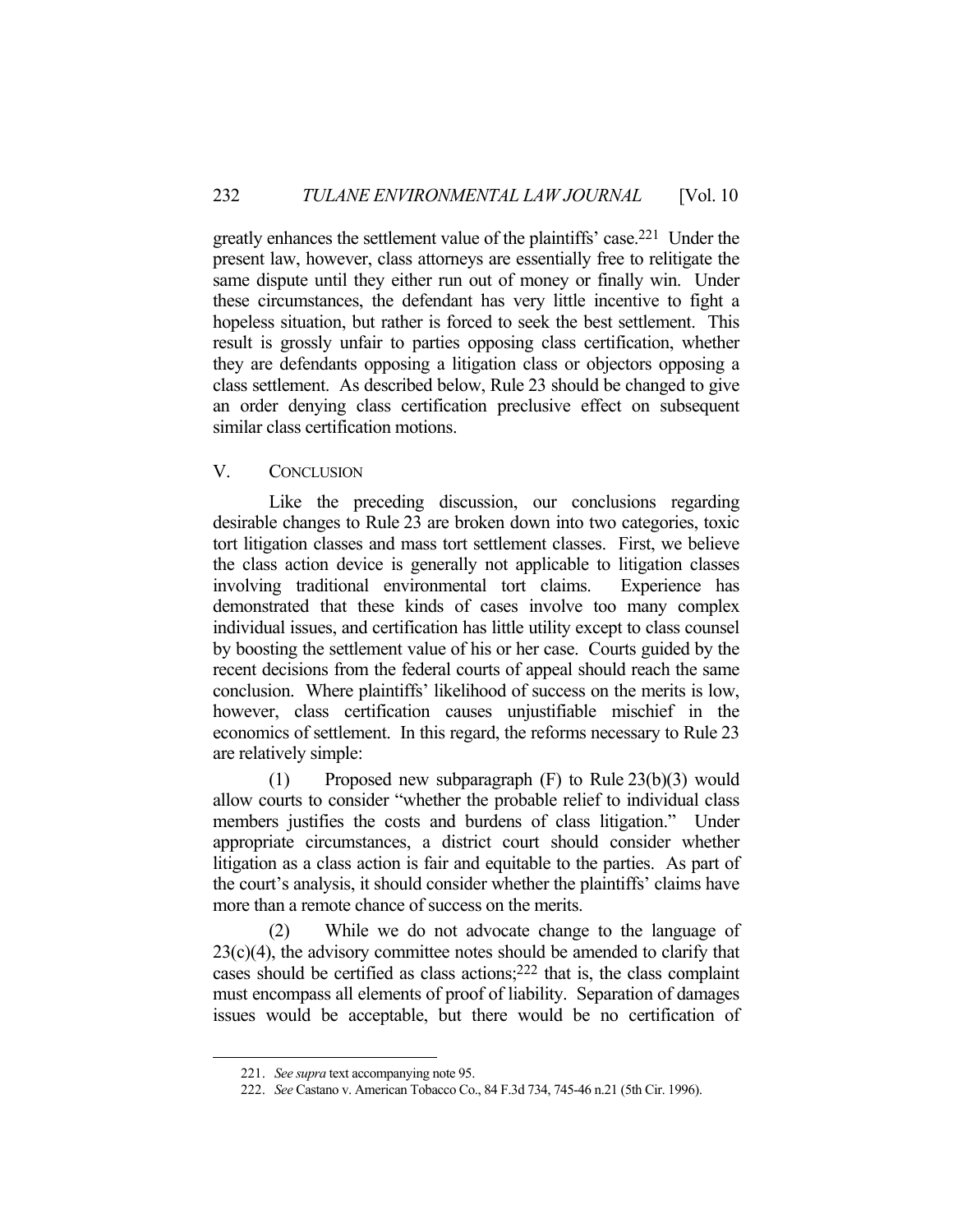greatly enhances the settlement value of the plaintiffs' case.221 Under the present law, however, class attorneys are essentially free to relitigate the same dispute until they either run out of money or finally win. Under these circumstances, the defendant has very little incentive to fight a hopeless situation, but rather is forced to seek the best settlement. This result is grossly unfair to parties opposing class certification, whether they are defendants opposing a litigation class or objectors opposing a class settlement. As described below, Rule 23 should be changed to give an order denying class certification preclusive effect on subsequent similar class certification motions.

## V. CONCLUSION

 Like the preceding discussion, our conclusions regarding desirable changes to Rule 23 are broken down into two categories, toxic tort litigation classes and mass tort settlement classes. First, we believe the class action device is generally not applicable to litigation classes involving traditional environmental tort claims. Experience has demonstrated that these kinds of cases involve too many complex individual issues, and certification has little utility except to class counsel by boosting the settlement value of his or her case. Courts guided by the recent decisions from the federal courts of appeal should reach the same conclusion. Where plaintiffs' likelihood of success on the merits is low, however, class certification causes unjustifiable mischief in the economics of settlement. In this regard, the reforms necessary to Rule 23 are relatively simple:

(1) Proposed new subparagraph  $(F)$  to Rule 23(b)(3) would allow courts to consider "whether the probable relief to individual class members justifies the costs and burdens of class litigation." Under appropriate circumstances, a district court should consider whether litigation as a class action is fair and equitable to the parties. As part of the court's analysis, it should consider whether the plaintiffs' claims have more than a remote chance of success on the merits.

 (2) While we do not advocate change to the language of  $23(c)(4)$ , the advisory committee notes should be amended to clarify that cases should be certified as class actions;222 that is, the class complaint must encompass all elements of proof of liability. Separation of damages issues would be acceptable, but there would be no certification of

 <sup>221.</sup> *See supra* text accompanying note 95.

 <sup>222.</sup> *See* Castano v. American Tobacco Co., 84 F.3d 734, 745-46 n.21 (5th Cir. 1996).